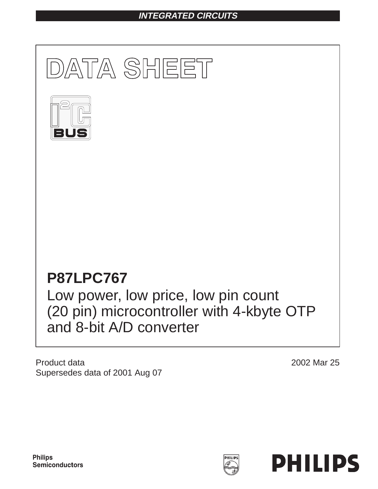## **INTEGRATED CIRCUITS**



Product data Supersedes data of 2001 Aug 07

2002 Mar 25

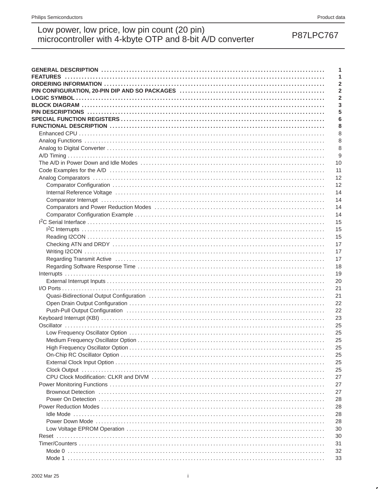**P87LPC767** 

# Low power, low price, low pin count (20 pin)<br>microcontroller with 4-kbyte OTP and 8-bit A/D converter

| Analog Comparators (a) respectively and the control of the control of the control of the control of the control of the control of the control of the control of the control of the control of the control of the control of th |  |
|--------------------------------------------------------------------------------------------------------------------------------------------------------------------------------------------------------------------------------|--|
|                                                                                                                                                                                                                                |  |
| Internal Reference Voltage (and according to the control of the control of the control of the control of the control of the control of the control of the control of the control of the control of the control of the control  |  |
| Comparator Interrupt (a) and a control of the control of the control of the control of the control of the control of the control of the control of the control of the control of the control of the control of the control of  |  |
|                                                                                                                                                                                                                                |  |
|                                                                                                                                                                                                                                |  |
|                                                                                                                                                                                                                                |  |
|                                                                                                                                                                                                                                |  |
|                                                                                                                                                                                                                                |  |
|                                                                                                                                                                                                                                |  |
|                                                                                                                                                                                                                                |  |
|                                                                                                                                                                                                                                |  |
|                                                                                                                                                                                                                                |  |
|                                                                                                                                                                                                                                |  |
|                                                                                                                                                                                                                                |  |
|                                                                                                                                                                                                                                |  |
|                                                                                                                                                                                                                                |  |
|                                                                                                                                                                                                                                |  |
|                                                                                                                                                                                                                                |  |
|                                                                                                                                                                                                                                |  |
|                                                                                                                                                                                                                                |  |
|                                                                                                                                                                                                                                |  |
|                                                                                                                                                                                                                                |  |
|                                                                                                                                                                                                                                |  |
|                                                                                                                                                                                                                                |  |
|                                                                                                                                                                                                                                |  |
|                                                                                                                                                                                                                                |  |
|                                                                                                                                                                                                                                |  |
|                                                                                                                                                                                                                                |  |
|                                                                                                                                                                                                                                |  |
| Brownout Detection (a) respectively and the control of the control of the control of the control of the control of the control of the control of the control of the control of the control of the control of the control of th |  |
|                                                                                                                                                                                                                                |  |
|                                                                                                                                                                                                                                |  |
|                                                                                                                                                                                                                                |  |
|                                                                                                                                                                                                                                |  |
|                                                                                                                                                                                                                                |  |
|                                                                                                                                                                                                                                |  |
|                                                                                                                                                                                                                                |  |
|                                                                                                                                                                                                                                |  |
|                                                                                                                                                                                                                                |  |
|                                                                                                                                                                                                                                |  |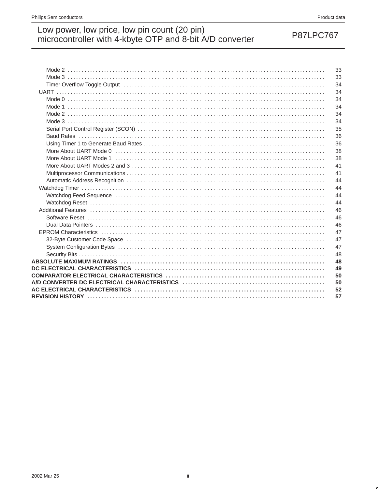## **P87LPC767**

|                                                                                                                 | 33 |
|-----------------------------------------------------------------------------------------------------------------|----|
|                                                                                                                 | 33 |
| Timer Overflow Toggle Output (and accommodation of the Contract of the Contract of Timer Overflow Toggle Output | 34 |
|                                                                                                                 | 34 |
|                                                                                                                 | 34 |
|                                                                                                                 | 34 |
|                                                                                                                 | 34 |
|                                                                                                                 | 34 |
|                                                                                                                 | 35 |
|                                                                                                                 | 36 |
|                                                                                                                 | 36 |
|                                                                                                                 | 38 |
|                                                                                                                 | 38 |
|                                                                                                                 | 41 |
|                                                                                                                 | 41 |
|                                                                                                                 | 44 |
|                                                                                                                 | 44 |
|                                                                                                                 | 44 |
|                                                                                                                 | 44 |
|                                                                                                                 | 46 |
|                                                                                                                 | 46 |
|                                                                                                                 | 46 |
|                                                                                                                 | 47 |
| 32-Byte Customer Code Space (and all and all and all and all and all and all and all and all and all and all a  | 47 |
|                                                                                                                 | 47 |
|                                                                                                                 | 48 |
|                                                                                                                 | 48 |
|                                                                                                                 | 49 |
|                                                                                                                 | 50 |
|                                                                                                                 | 50 |
|                                                                                                                 | 52 |
|                                                                                                                 | 57 |
|                                                                                                                 |    |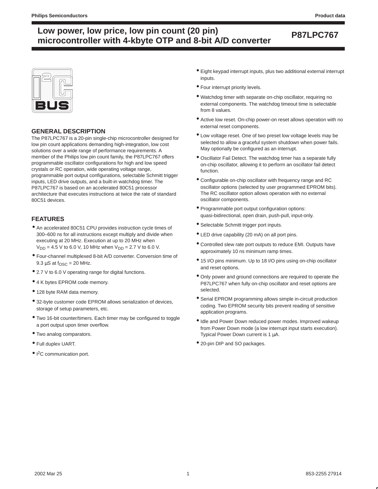

### **GENERAL DESCRIPTION**

The P87LPC767 is a 20-pin single-chip microcontroller designed for low pin count applications demanding high-integration, low cost solutions over a wide range of performance requirements. A member of the Philips low pin count family, the P87LPC767 offers programmable oscillator configurations for high and low speed crystals or RC operation, wide operating voltage range, programmable port output configurations, selectable Schmitt trigger inputs, LED drive outputs, and a built-in watchdog timer. The P87LPC767 is based on an accelerated 80C51 processor architecture that executes instructions at twice the rate of standard 80C51 devices.

### **FEATURES**

- An accelerated 80C51 CPU provides instruction cycle times of 300–600 ns for all instructions except multiply and divide when executing at 20 MHz. Execution at up to 20 MHz when  $V_{DD} = 4.5$  V to 6.0 V, 10 MHz when  $V_{DD} = 2.7$  V to 6.0 V.
- Four-channel multiplexed 8-bit A/D converter. Conversion time of 9.3  $\mu$ S at f<sub>OSC</sub> = 20 MHz.
- 2.7 V to 6.0 V operating range for digital functions.
- 4 K bytes EPROM code memory.
- 128 byte RAM data memory.
- 32-byte customer code EPROM allows serialization of devices, storage of setup parameters, etc.
- Two 16-bit counter/timers. Each timer may be configured to toggle a port output upon timer overflow.
- Two analog comparators.
- Full duplex UART.
- I<sup>2</sup>C communication port.
- Eight keypad interrupt inputs, plus two additional external interrupt inputs.
- Four interrupt priority levels.
- Watchdog timer with separate on-chip oscillator, requiring no external components. The watchdog timeout time is selectable from 8 values.
- Active low reset. On-chip power-on reset allows operation with no external reset components.
- Low voltage reset. One of two preset low voltage levels may be selected to allow a graceful system shutdown when power fails. May optionally be configured as an interrupt.
- Oscillator Fail Detect. The watchdog timer has a separate fully on-chip oscillator, allowing it to perform an oscillator fail detect function.
- Configurable on-chip oscillator with frequency range and RC oscillator options (selected by user programmed EPROM bits). The RC oscillator option allows operation with no external oscillator components.
- Programmable port output configuration options: quasi-bidirectional, open drain, push-pull, input-only.
- Selectable Schmitt trigger port inputs.
- LED drive capability (20 mA) on all port pins.
- Controlled slew rate port outputs to reduce EMI. Outputs have approximately 10 ns minimum ramp times.
- 15 I/O pins minimum. Up to 18 I/O pins using on-chip oscillator and reset options.
- Only power and ground connections are required to operate the P87LPC767 when fully on-chip oscillator and reset options are selected.
- Serial EPROM programming allows simple in-circuit production coding. Two EPROM security bits prevent reading of sensitive application programs.
- Idle and Power Down reduced power modes. Improved wakeup from Power Down mode (a low interrupt input starts execution). Typical Power Down current is 1 µA.
- 20-pin DIP and SO packages.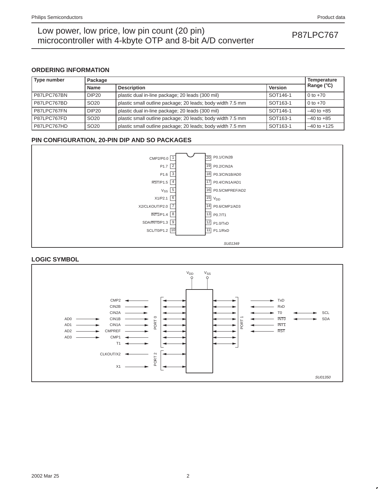### **ORDERING INFORMATION**

| Type number | Package           | Temperature<br>Range ( $\degree$ C)                        |          |                 |  |  |  |
|-------------|-------------------|------------------------------------------------------------|----------|-----------------|--|--|--|
|             | <b>Name</b>       | <b>Version</b><br><b>Description</b>                       |          |                 |  |  |  |
| P87LPC767BN | DIP <sub>20</sub> | plastic dual in-line package; 20 leads (300 mil)           | SOT146-1 | $0 to +70$      |  |  |  |
| P87LPC767BD | SO <sub>20</sub>  | plastic small outline package; 20 leads; body width 7.5 mm | SOT163-1 | 0 to $+70$      |  |  |  |
| P87LPC767FN | DIP <sub>20</sub> | plastic dual in-line package; 20 leads (300 mil)           | SOT146-1 | $-40$ to $+85$  |  |  |  |
| P87LPC767FD | SO <sub>20</sub>  | plastic small outline package; 20 leads; body width 7.5 mm | SOT163-1 | $-40$ to $+85$  |  |  |  |
| P87LPC767HD | SO <sub>20</sub>  | plastic small outline package; 20 leads; body width 7.5 mm | SOT163-1 | $-40$ to $+125$ |  |  |  |

### **PIN CONFIGURATION, 20-PIN DIP AND SO PACKAGES**



### **LOGIC SYMBOL**

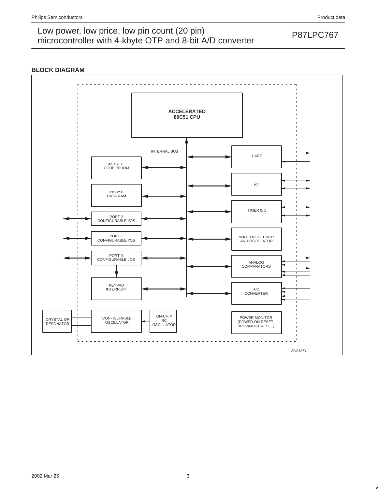### **BLOCK DIAGRAM**

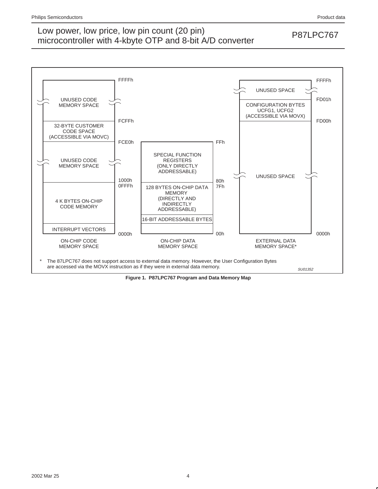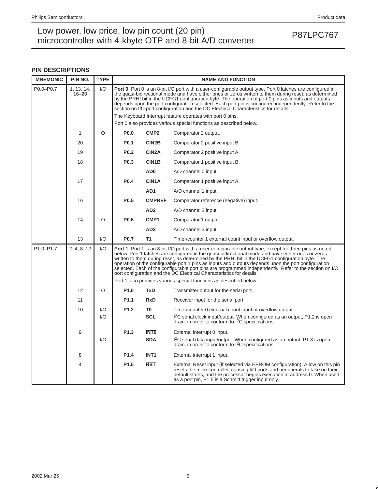## Low power, low price, low pin count (20 pin)<br>misroecantrallar with 4 kb to OTD and 8 bit A/D converter. microcontroller with 4-kbyte OTP and 8-bit A/D converter

### **PIN DESCRIPTIONS**

| <b>MNEMONIC</b> | PIN NO.                 | <b>TYPE</b>  |                  |                                                                                                                                                                                                                                                                                                                                                                                                                                                                                                                              | <b>NAME AND FUNCTION</b>                                                                                                                                                                                                                                                                                                                                                                                                                                                                                                                                                                                            |  |  |  |  |  |
|-----------------|-------------------------|--------------|------------------|------------------------------------------------------------------------------------------------------------------------------------------------------------------------------------------------------------------------------------------------------------------------------------------------------------------------------------------------------------------------------------------------------------------------------------------------------------------------------------------------------------------------------|---------------------------------------------------------------------------------------------------------------------------------------------------------------------------------------------------------------------------------------------------------------------------------------------------------------------------------------------------------------------------------------------------------------------------------------------------------------------------------------------------------------------------------------------------------------------------------------------------------------------|--|--|--|--|--|
| P0.0-P0.7       | 1, 13, 14,<br>$16 - 20$ | 1/O          |                  | Port 0: Port 0 is an 8-bit I/O port with a user-configurable output type. Port 0 latches are configured in<br>the quasi-bidirectional mode and have either ones or zeros written to them during reset, as determined<br>by the PRHI bit in the UCFG1 configuration byte. The operation of port 0 pins as inputs and outputs<br>depends upon the port configuration selected. Each port pin is configured independently. Refer to the<br>section on I/O port configuration and the DC Electrical Characteristics for details. |                                                                                                                                                                                                                                                                                                                                                                                                                                                                                                                                                                                                                     |  |  |  |  |  |
|                 |                         |              |                  | The Keyboard Interrupt feature operates with port 0 pins.                                                                                                                                                                                                                                                                                                                                                                                                                                                                    |                                                                                                                                                                                                                                                                                                                                                                                                                                                                                                                                                                                                                     |  |  |  |  |  |
|                 |                         |              |                  |                                                                                                                                                                                                                                                                                                                                                                                                                                                                                                                              | Port 0 also provides various special functions as described below.                                                                                                                                                                                                                                                                                                                                                                                                                                                                                                                                                  |  |  |  |  |  |
|                 | 1                       | O            | <b>P0.0</b>      | CMP <sub>2</sub>                                                                                                                                                                                                                                                                                                                                                                                                                                                                                                             | Comparator 2 output.                                                                                                                                                                                                                                                                                                                                                                                                                                                                                                                                                                                                |  |  |  |  |  |
|                 | 20                      | <sup>1</sup> | P <sub>0.1</sub> | CIN2B                                                                                                                                                                                                                                                                                                                                                                                                                                                                                                                        | Comparator 2 positive input B.                                                                                                                                                                                                                                                                                                                                                                                                                                                                                                                                                                                      |  |  |  |  |  |
|                 | 19                      |              | <b>P0.2</b>      | CIN <sub>2</sub> A                                                                                                                                                                                                                                                                                                                                                                                                                                                                                                           | Comparator 2 positive input A.                                                                                                                                                                                                                                                                                                                                                                                                                                                                                                                                                                                      |  |  |  |  |  |
|                 | 18                      |              | P <sub>0.3</sub> | CIN1B                                                                                                                                                                                                                                                                                                                                                                                                                                                                                                                        | Comparator 1 positive input B.                                                                                                                                                                                                                                                                                                                                                                                                                                                                                                                                                                                      |  |  |  |  |  |
|                 |                         | <b>I</b>     |                  | AD <sub>0</sub>                                                                                                                                                                                                                                                                                                                                                                                                                                                                                                              | A/D channel 0 input.                                                                                                                                                                                                                                                                                                                                                                                                                                                                                                                                                                                                |  |  |  |  |  |
|                 | 17                      |              | P0.4             | CIN1A                                                                                                                                                                                                                                                                                                                                                                                                                                                                                                                        | Comparator 1 positive input A.                                                                                                                                                                                                                                                                                                                                                                                                                                                                                                                                                                                      |  |  |  |  |  |
|                 |                         |              |                  | AD <sub>1</sub>                                                                                                                                                                                                                                                                                                                                                                                                                                                                                                              | A/D channel 1 input.                                                                                                                                                                                                                                                                                                                                                                                                                                                                                                                                                                                                |  |  |  |  |  |
|                 | 16                      | J.           | P <sub>0.5</sub> | <b>CMPREF</b>                                                                                                                                                                                                                                                                                                                                                                                                                                                                                                                | Comparator reference (negative) input.                                                                                                                                                                                                                                                                                                                                                                                                                                                                                                                                                                              |  |  |  |  |  |
|                 |                         |              |                  | AD <sub>2</sub>                                                                                                                                                                                                                                                                                                                                                                                                                                                                                                              | A/D channel 2 input.                                                                                                                                                                                                                                                                                                                                                                                                                                                                                                                                                                                                |  |  |  |  |  |
|                 | 14                      | O            | P <sub>0.6</sub> | CMP <sub>1</sub>                                                                                                                                                                                                                                                                                                                                                                                                                                                                                                             | Comparator 1 output.                                                                                                                                                                                                                                                                                                                                                                                                                                                                                                                                                                                                |  |  |  |  |  |
|                 |                         | J.           |                  | AD <sub>3</sub>                                                                                                                                                                                                                                                                                                                                                                                                                                                                                                              | A/D channel 3 input.                                                                                                                                                                                                                                                                                                                                                                                                                                                                                                                                                                                                |  |  |  |  |  |
|                 | 13                      | 1/O          | P <sub>0.7</sub> | <b>T1</b>                                                                                                                                                                                                                                                                                                                                                                                                                                                                                                                    | Timer/counter 1 external count input or overflow output.                                                                                                                                                                                                                                                                                                                                                                                                                                                                                                                                                            |  |  |  |  |  |
| P1.0-P1.7       | $2 - 4, 8 - 12$         | 1/O          |                  |                                                                                                                                                                                                                                                                                                                                                                                                                                                                                                                              | <b>Port 1:</b> Port 1 is an 8-bit I/O port with a user-configurable output type, except for three pins as noted<br>below. Port 1 latches are configured in the quasi-bidirectional mode and have either ones or zeros<br>written to them during reset, as determined by the PRHI bit in the UCFG1 configuration byte. The<br>operation of the configurable port 1 pins as inputs and outputs depends upon the port configuration<br>selected. Each of the configurable port pins are programmed independently. Refer to the section on I/O<br>port configuration and the DC Electrical Characteristics for details. |  |  |  |  |  |
|                 |                         |              |                  |                                                                                                                                                                                                                                                                                                                                                                                                                                                                                                                              | Port 1 also provides various special functions as described below.                                                                                                                                                                                                                                                                                                                                                                                                                                                                                                                                                  |  |  |  |  |  |
|                 | 12                      | $\circ$      | P <sub>1.0</sub> | <b>TxD</b>                                                                                                                                                                                                                                                                                                                                                                                                                                                                                                                   | Transmitter output for the serial port.                                                                                                                                                                                                                                                                                                                                                                                                                                                                                                                                                                             |  |  |  |  |  |
|                 | 11                      | $\mathbf{I}$ | P <sub>1.1</sub> | <b>RxD</b>                                                                                                                                                                                                                                                                                                                                                                                                                                                                                                                   | Receiver input for the serial port.                                                                                                                                                                                                                                                                                                                                                                                                                                                                                                                                                                                 |  |  |  |  |  |
|                 | 10                      | 1/O          | P <sub>1.2</sub> | T <sub>0</sub>                                                                                                                                                                                                                                                                                                                                                                                                                                                                                                               | Timer/counter 0 external count input or overflow output.                                                                                                                                                                                                                                                                                                                                                                                                                                                                                                                                                            |  |  |  |  |  |
|                 |                         | 1/O          |                  | <b>SCL</b>                                                                                                                                                                                                                                                                                                                                                                                                                                                                                                                   | $12C$ serial clock input/output. When configured as an output, P1.2 is open drain, in order to conform to $12C$ specifications.                                                                                                                                                                                                                                                                                                                                                                                                                                                                                     |  |  |  |  |  |
|                 | 9                       | $\mathbf{I}$ | P <sub>1.3</sub> | <b>INTO</b>                                                                                                                                                                                                                                                                                                                                                                                                                                                                                                                  | External interrupt 0 input.                                                                                                                                                                                                                                                                                                                                                                                                                                                                                                                                                                                         |  |  |  |  |  |
|                 |                         | 1/O          |                  | <b>SDA</b>                                                                                                                                                                                                                                                                                                                                                                                                                                                                                                                   | I <sup>2</sup> C serial data input/output. When configured as an output, P1.3 is open<br>drain, in order to conform to $1^2C$ specifications.                                                                                                                                                                                                                                                                                                                                                                                                                                                                       |  |  |  |  |  |
|                 | 8                       | J.           | P <sub>1.4</sub> | <b>INT1</b>                                                                                                                                                                                                                                                                                                                                                                                                                                                                                                                  | External interrupt 1 input.                                                                                                                                                                                                                                                                                                                                                                                                                                                                                                                                                                                         |  |  |  |  |  |
|                 | 4                       | <b>I</b>     | P <sub>1.5</sub> | <b>RST</b>                                                                                                                                                                                                                                                                                                                                                                                                                                                                                                                   | External Reset input (if selected via EPROM configuration). A low on this pin<br>resets the microcontroller, causing I/O ports and peripherals to take on their<br>default states, and the processor begins execution at address 0. When used<br>as a port pin, P1.5 is a Schmitt trigger input only.                                                                                                                                                                                                                                                                                                               |  |  |  |  |  |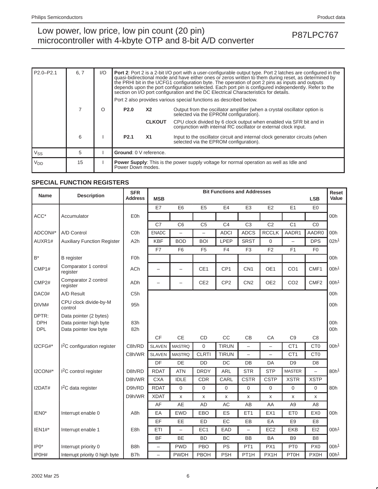## Low power, low price, low pin count (20 pin)<br>misroecantrallar with 4 kb to OTD and 8 bit A/D converter. microcontroller with 4-kbyte OTP and 8-bit A/D converter

| $P2.0 - P2.1$   | 6.7 | I/O |                  |                                                                                                                                    | <b>Port 2:</b> Port 2 is a 2-bit I/O port with a user-configurable output type. Port 2 latches are configured in the<br>quasi-bidirectional mode and have either ones or zeros written to them during reset, as determined by<br>the PRHI bit in the UCFG1 configuration byte. The operation of port 2 pins as inputs and outputs<br>depends upon the port configuration selected. Each port pin is configured independently. Refer to the<br>section on I/O port configuration and the DC Electrical Characteristics for details.<br>Port 2 also provides various special functions as described below. |  |  |  |
|-----------------|-----|-----|------------------|------------------------------------------------------------------------------------------------------------------------------------|----------------------------------------------------------------------------------------------------------------------------------------------------------------------------------------------------------------------------------------------------------------------------------------------------------------------------------------------------------------------------------------------------------------------------------------------------------------------------------------------------------------------------------------------------------------------------------------------------------|--|--|--|
|                 |     | Ω   | <b>P2.0</b>      | <b>X2</b>                                                                                                                          | Output from the oscillator amplifier (when a crystal oscillator option is<br>selected via the EPROM configuration).                                                                                                                                                                                                                                                                                                                                                                                                                                                                                      |  |  |  |
|                 |     |     |                  | <b>CLKOUT</b>                                                                                                                      | CPU clock divided by 6 clock output when enabled via SFR bit and in conjunction with internal RC oscillator or external clock input.                                                                                                                                                                                                                                                                                                                                                                                                                                                                     |  |  |  |
|                 | 6   |     | P <sub>2.1</sub> | <b>X1</b><br>Input to the oscillator circuit and internal clock generator circuits (when<br>selected via the EPROM configuration). |                                                                                                                                                                                                                                                                                                                                                                                                                                                                                                                                                                                                          |  |  |  |
| Vss             | 5   |     |                  | Ground: 0 V reference.                                                                                                             |                                                                                                                                                                                                                                                                                                                                                                                                                                                                                                                                                                                                          |  |  |  |
| V <sub>DD</sub> | 15  |     |                  | <b>Power Supply:</b> This is the power supply voltage for normal operation as well as Idle and<br>Power Down modes.                |                                                                                                                                                                                                                                                                                                                                                                                                                                                                                                                                                                                                          |  |  |  |

### **SPECIAL FUNCTION REGISTERS**

| <b>Name</b>                       | <b>Description</b>                                                        | <b>SFR</b><br><b>Address</b> | <b>MSB</b>               |                          |                          | <b>Bit Functions and Addresses</b> |                          |                          |                 | <b>LSB</b>               | Reset<br>Value   |
|-----------------------------------|---------------------------------------------------------------------------|------------------------------|--------------------------|--------------------------|--------------------------|------------------------------------|--------------------------|--------------------------|-----------------|--------------------------|------------------|
|                                   |                                                                           |                              | <b>E7</b>                | E <sub>6</sub>           | E <sub>5</sub>           | E <sub>4</sub>                     | E <sub>3</sub>           | E2                       | E1              | E <sub>0</sub>           |                  |
| ACC*                              | Accumulator                                                               | <b>E0h</b>                   |                          |                          |                          |                                    |                          |                          |                 |                          | 00h              |
|                                   |                                                                           |                              | C7                       | C <sub>6</sub>           | C <sub>5</sub>           | C <sub>4</sub>                     | C <sub>3</sub>           | C <sub>2</sub>           | C <sub>1</sub>  | CO                       |                  |
| ADCON#*                           | A/D Control                                                               | C <sub>O</sub> h             | <b>ENADC</b>             | $\overline{\phantom{0}}$ | $\overline{\phantom{0}}$ | <b>ADCI</b>                        | <b>ADCS</b>              | <b>RCCLK</b>             | AADR1           | AADR0                    | 00h              |
| AUXR1#                            | <b>Auxiliary Function Register</b>                                        | A <sub>2</sub> h             | <b>KBF</b>               | <b>BOD</b>               | <b>BOI</b>               | LPEP                               | <b>SRST</b>              | $\Omega$                 |                 | <b>DPS</b>               | 02h <sup>1</sup> |
|                                   |                                                                           |                              | F7                       | F <sub>6</sub>           | F <sub>5</sub>           | F4                                 | F <sub>3</sub>           | F <sub>2</sub>           | F1              | F <sub>0</sub>           |                  |
| $B^*$                             | <b>B</b> register                                                         | <b>F0h</b>                   |                          |                          |                          |                                    |                          |                          |                 |                          | 00h              |
| CMP1#                             | Comparator 1 control<br>register                                          | <b>ACh</b>                   | $\overline{\phantom{0}}$ | $\overline{\phantom{0}}$ | CE <sub>1</sub>          | CP <sub>1</sub>                    | CN <sub>1</sub>          | OE1                      | CO <sub>1</sub> | CMF1                     | 00h <sup>1</sup> |
| CMP <sub>2#</sub>                 | Comparator 2 control<br>register                                          | ADh                          |                          |                          | CE <sub>2</sub>          | CP <sub>2</sub>                    | CN <sub>2</sub>          | OE <sub>2</sub>          | CO <sub>2</sub> | CMF <sub>2</sub>         | 00h <sup>1</sup> |
| DAC0#                             | A/D Result                                                                | C <sub>5</sub> h             |                          |                          |                          |                                    |                          |                          |                 |                          | 00h              |
| DIVM#                             | CPU clock divide-by-M<br>control                                          | 95h                          |                          |                          |                          |                                    |                          |                          |                 |                          | 00h              |
| DPTR:<br><b>DPH</b><br><b>DPL</b> | Data pointer (2 bytes)<br>Data pointer high byte<br>Data pointer low byte | 83h<br>82h                   |                          |                          |                          |                                    |                          |                          |                 |                          | 00h<br>00h       |
|                                   |                                                                           |                              | <b>CF</b>                | <b>CE</b>                | <b>CD</b>                | CC                                 | CB                       | CA                       | C <sub>9</sub>  | C <sub>8</sub>           |                  |
| I2CFG#*                           | <sup>2</sup> C configuration register                                     | C8h/RD                       | <b>SLAVEN</b>            | <b>MASTRQ</b>            | $\Omega$                 | <b>TIRUN</b>                       | $\equiv$                 | $\overline{\phantom{0}}$ | CT <sub>1</sub> | CT <sub>0</sub>          | 00h <sup>1</sup> |
|                                   |                                                                           | C8h/WR                       | <b>SLAVEN</b>            | <b>MASTRQ</b>            | <b>CLRTI</b>             | <b>TIRUN</b>                       |                          |                          | CT <sub>1</sub> | CT <sub>0</sub>          |                  |
|                                   |                                                                           |                              | DF                       | DE                       | <b>DD</b>                | DC                                 | DB                       | DA                       | D <sub>9</sub>  | D <sub>8</sub>           |                  |
| I2CON#*                           | <sup>2</sup> C control register                                           | D8h/RD                       | <b>RDAT</b>              | <b>ATN</b>               | <b>DRDY</b>              | <b>ARL</b>                         | <b>STR</b>               | <b>STP</b>               | <b>MASTER</b>   | $\overline{\phantom{0}}$ | 80h <sup>1</sup> |
|                                   |                                                                           | D8h/WR                       | <b>CXA</b>               | <b>IDLE</b>              | <b>CDR</b>               | CARL                               | <b>CSTR</b>              | <b>CSTP</b>              | <b>XSTR</b>     | <b>XSTP</b>              |                  |
| I2DAT#                            | I <sup>2</sup> C data register                                            | D9h/RD                       | <b>RDAT</b>              | $\mathbf 0$              | 0                        | $\mathbf 0$                        | $\mathbf 0$              | $\overline{0}$           | $\mathbf{0}$    | $\mathbf 0$              | 80h              |
|                                   |                                                                           | D9h/WR                       | <b>XDAT</b>              | X                        | X                        | X                                  | X                        | X                        | X               | X                        |                  |
|                                   |                                                                           |                              | AF                       | AE                       | <b>AD</b>                | AC                                 | AB                       | AA                       | A <sub>9</sub>  | A <sub>8</sub>           |                  |
| IEN <sub>0</sub> *                | Interrupt enable 0                                                        | A8h                          | EA                       | <b>EWD</b>               | <b>EBO</b>               | ES                                 | ET <sub>1</sub>          | EX <sub>1</sub>          | ET <sub>0</sub> | EX <sub>0</sub>          | 00h              |
|                                   |                                                                           |                              | EF                       | EE                       | <b>ED</b>                | EC                                 | EB                       | EA                       | E <sub>9</sub>  | E <sub>8</sub>           |                  |
| $IEN1#*$                          | Interrupt enable 1<br>E8h                                                 |                              | ETI                      | $\overline{a}$           | EC <sub>1</sub>          | EAD                                | $\overline{\phantom{0}}$ | EC <sub>2</sub>          | <b>EKB</b>      | E12                      | 00h <sup>1</sup> |
|                                   |                                                                           |                              | <b>BF</b>                | <b>BE</b>                | <b>BD</b>                | BC                                 | <b>BB</b>                | <b>BA</b>                | B <sub>9</sub>  | B <sub>8</sub>           |                  |
| $IPO*$                            | Interrupt priority 0                                                      | B <sub>8</sub> h             |                          | <b>PWD</b>               | <b>PBO</b>               | PS                                 | PT <sub>1</sub>          | PX1                      | PT <sub>0</sub> | PX <sub>0</sub>          | 00h <sup>1</sup> |
| IP0H#                             | Interrupt priority 0 high byte                                            | B7h                          | $\overline{\phantom{0}}$ | <b>PWDH</b>              | PBOH                     | <b>PSH</b>                         | PT <sub>1</sub> H        | PX1H                     | <b>PT0H</b>     | PX0H                     | 00h <sup>1</sup> |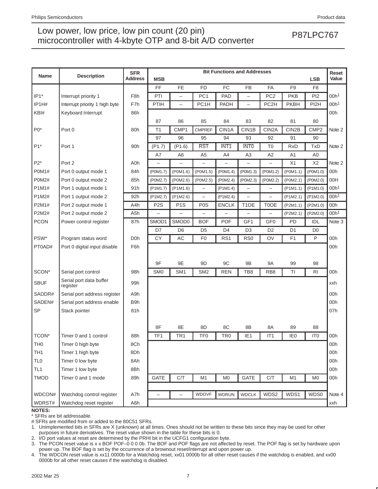| <b>Name</b>      | <b>Description</b>                  | <b>SFR</b><br><b>Address</b> | <b>MSB</b>               |                          |                   | <b>Bit Functions and Addresses</b> |                          |                          |                 | <b>LSB</b>        | Reset<br>Value   |
|------------------|-------------------------------------|------------------------------|--------------------------|--------------------------|-------------------|------------------------------------|--------------------------|--------------------------|-----------------|-------------------|------------------|
|                  |                                     |                              | FF                       | <b>FE</b>                | <b>FD</b>         | FC                                 | <b>FB</b>                | FA                       | F <sub>9</sub>  | F <sub>8</sub>    |                  |
| $IP1*$           | Interrupt priority 1                | F <sub>8</sub> h             | PTI                      | $\overline{\phantom{0}}$ | PC <sub>1</sub>   | <b>PAD</b>                         | $\overline{\phantom{0}}$ | PC <sub>2</sub>          | <b>PKB</b>      | PI <sub>2</sub>   | 00h <sup>1</sup> |
| IP1H#            | Interrupt priority 1 high byte      | F7h                          | PTIH                     | $\overline{\phantom{0}}$ | PC1H              | PADH                               | $\overline{\phantom{0}}$ | PC <sub>2</sub> H        | <b>PKBH</b>     | PI <sub>2</sub> H | 00h <sup>1</sup> |
| KBI#             | Keyboard Interrupt                  | 86h                          |                          |                          |                   |                                    |                          |                          |                 |                   | 00h              |
|                  |                                     |                              | 87                       | 86                       | 85                | 84                                 | 83                       | 82                       | 81              | 80                |                  |
| $P0*$            | Port 0                              | 80h                          | T <sub>1</sub>           | CMP1                     | <b>CMPREF</b>     | CIN1A                              | CIN1B                    | CIN <sub>2</sub> A       | CIN2B           | CMP <sub>2</sub>  | Note 2           |
|                  |                                     |                              | 97                       | 96                       | 95                | 94                                 | 93                       | 92                       | 91              | 90                |                  |
| $P1*$            | Port 1                              | 90h                          | (P1.7)                   | (P1.6)                   | <b>RST</b>        | INT <sub>1</sub>                   | <b>INTO</b>              | T <sub>0</sub>           | <b>RxD</b>      | <b>TxD</b>        | Note 2           |
|                  |                                     |                              | A7                       | A <sub>6</sub>           | A <sub>5</sub>    | A4                                 | A <sub>3</sub>           | A2                       | A1              | A0                |                  |
| $P2*$            | Port 2                              | A0h                          | -                        | $\overline{\phantom{0}}$ |                   | -                                  | $\qquad \qquad -$        | $\qquad \qquad -$        | X1              | X2                | Note 2           |
| <b>P0M1#</b>     | Port 0 output mode 1                | 84h                          | (P0M1.7)                 | (POM1.6)                 | (P0M1.5)          | (P0M1.4)                           | (P0M1.3)                 | (P0M1.2)                 | (P0M1.1)        | (P0M1.0)          | 00h              |
| <b>P0M2#</b>     | Port 0 output mode 2                | 85h                          | (P0M2.7)                 | (POM2.6)                 | (P0M2.5)          | (P0M2.4)                           | (P0M2.3)                 | (P0M2.2)                 | (P0M2.1)        | (P0M2.0)          | 00H              |
| P1M1#            | Port 1 output mode 1                | 91h                          | (P1M1.7)                 | $($ P1M1.6)              |                   | $($ P1M1.4 $)$                     |                          |                          | $($ P1M1.1)     | $($ P1M1.0)       | 00h <sup>1</sup> |
| P1M2#            | Port 1 output mode 2                | 92h                          | (P1M2.7)                 | (P1M2.6)                 | $\qquad \qquad -$ | $($ P1M2.4 $)$                     | $\qquad \qquad -$        | $\overline{\phantom{0}}$ | (P1M2.1)        | $($ P1M2.0)       | 00h <sup>1</sup> |
| P2M1#            | Port 2 output mode 1                | A4h                          | P <sub>2</sub> S         | P <sub>1</sub> S         | P <sub>0</sub> S  | <b>ENCLK</b>                       | T <sub>1</sub> OE        | T0OE                     | (P2M1.1)        | (P2M1.0)          | 00h              |
| P2M2#            | Port 2 output mode 2                | A5h                          | $\overline{\phantom{0}}$ |                          |                   |                                    |                          | $\overline{\phantom{0}}$ | (P2M2.1)        | (P2M2.0)          | 00h <sup>1</sup> |
| <b>PCON</b>      | Power control register              | 87h                          | SMOD1                    | SMOD0                    | <b>BOF</b>        | <b>POF</b>                         | GF1                      | GF <sub>0</sub>          | PD              | IDL               | Note 3           |
|                  |                                     |                              | D7                       | D <sub>6</sub>           | D <sub>5</sub>    | D <sub>4</sub>                     | D <sub>3</sub>           | D <sub>2</sub>           | D1              | D <sub>0</sub>    |                  |
| PSW*             | Program status word                 | D <sub>O</sub> h             | CY                       | AC                       | F <sub>0</sub>    | RS <sub>1</sub>                    | RS <sub>0</sub>          | OV                       | F1              | P                 | 00h              |
| PT0AD#           | Port 0 digital input disable        | F6h                          |                          |                          |                   |                                    |                          |                          |                 |                   | 00h              |
|                  |                                     |                              |                          |                          |                   |                                    |                          |                          |                 |                   |                  |
|                  |                                     |                              | 9F                       | 9E                       | 9D                | 9C                                 | 9B                       | 9Α                       | 99              | 98                |                  |
| SCON*            | Serial port control                 | 98h                          | SM <sub>0</sub>          | SM <sub>1</sub>          | SM <sub>2</sub>   | <b>REN</b>                         | TB8                      | RB <sub>8</sub>          | TI              | <b>RI</b>         | 00h              |
| <b>SBUF</b>      | Serial port data buffer<br>register | 99h                          |                          |                          |                   |                                    |                          |                          |                 |                   | xxh              |
| SADDR#           | Serial port address register        | A9h                          |                          |                          |                   |                                    |                          |                          |                 |                   | 00h              |
| SADEN#           | Serial port address enable          | B9h                          |                          |                          |                   |                                    |                          |                          |                 |                   | 00h              |
| <b>SP</b>        | Stack pointer                       | 81h                          |                          |                          |                   |                                    |                          |                          |                 |                   | 07h              |
|                  |                                     |                              |                          |                          |                   |                                    |                          |                          |                 |                   |                  |
|                  |                                     |                              | 8F                       | 8E                       | 8D                | 8C                                 | 8B                       | 8A                       | 89              | 88                |                  |
| TCON*            | Timer 0 and 1 control               | 88h                          | TF <sub>1</sub>          | TR <sub>1</sub>          | TF <sub>0</sub>   | TR <sub>0</sub>                    | IE <sub>1</sub>          | IT1                      | IE <sub>0</sub> | IT <sub>0</sub>   | 00h              |
| I H <sub>0</sub> | Timer 0 high byte                   | 8Ch                          |                          |                          |                   |                                    |                          |                          |                 |                   | 00h              |
| TH <sub>1</sub>  | Timer 1 high byte                   | 8Dh                          |                          |                          |                   |                                    |                          |                          |                 |                   | 00h              |
| TL <sub>0</sub>  | Timer 0 low byte                    | 8Ah                          |                          |                          |                   |                                    |                          |                          |                 |                   | 00h              |
| TL <sub>1</sub>  | Timer 1 low byte                    | 8Bh                          |                          |                          |                   |                                    |                          |                          |                 |                   | 00h              |
| <b>TMOD</b>      | Timer 0 and 1 mode                  | 89h                          | <b>GATE</b>              | C/T                      | M1                | M <sub>0</sub>                     | GATE                     | C/T                      | M <sub>1</sub>  | M <sub>0</sub>    | 00h              |
|                  |                                     |                              |                          |                          |                   |                                    |                          |                          |                 |                   |                  |
| WDCON#           | Watchdog control register           | A7h                          | $\overline{\phantom{0}}$ | $\overline{\phantom{0}}$ | <b>WDOVF</b>      | <b>WDRUN</b>                       | <b>WDCLK</b>             | WDS2                     | WDS1            | WDS0              | Note 4           |
| WDRST#           | Watchdog reset register             | A6h                          |                          |                          |                   |                                    |                          |                          |                 |                   | xxh              |

**NOTES:**

\* SFRs are bit addressable.

# SFRs are modified from or added to the 80C51 SFRs.

1. Unimplemented bits in SFRs are X (unknown) at all times. Ones should not be written to these bits since they may be used for other purposes in future derivatives. The reset value shown in the table for these bits is 0.

2. I/O port values at reset are determined by the PRHI bit in the UCFG1 configuration byte.

3. The PCON reset value is x x BOF POF–0 0 0 0b. The BOF and POF flags are not affected by reset. The POF flag is set by hardware upon power up. The BOF flag is set by the occurrence of a brownout reset/interrupt and upon power up.

4. The WDCON reset value is xx11 0000b for a Watchdog reset, xx01 0000b for all other reset causes if the watchdog is enabled, and xx00 0000b for all other reset causes if the watchdog is disabled.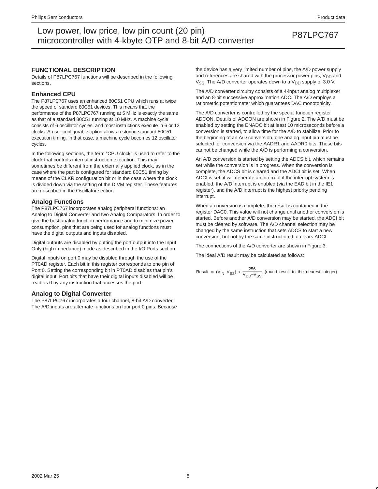### **FUNCTIONAL DESCRIPTION**

Details of P87LPC767 functions will be described in the following sections.

#### **Enhanced CPU**

The P87LPC767 uses an enhanced 80C51 CPU which runs at twice the speed of standard 80C51 devices. This means that the performance of the P87LPC767 running at 5 MHz is exactly the same as that of a standard 80C51 running at 10 MHz. A machine cycle consists of 6 oscillator cycles, and most instructions execute in 6 or 12 clocks. A user configurable option allows restoring standard 80C51 execution timing. In that case, a machine cycle becomes 12 oscillator cycles.

In the following sections, the term "CPU clock" is used to refer to the clock that controls internal instruction execution. This may sometimes be different from the externally applied clock, as in the case where the part is configured for standard 80C51 timing by means of the CLKR configuration bit or in the case where the clock is divided down via the setting of the DIVM register. These features are described in the Oscillator section.

### **Analog Functions**

The P87LPC767 incorporates analog peripheral functions: an Analog to Digital Converter and two Analog Comparators. In order to give the best analog function performance and to minimize power consumption, pins that are being used for analog functions must have the digital outputs and inputs disabled.

Digital outputs are disabled by putting the port output into the Input Only (high impedance) mode as described in the I/O Ports section.

Digital inputs on port 0 may be disabled through the use of the PT0AD register. Each bit in this register corresponds to one pin of Port 0. Setting the corresponding bit in PT0AD disables that pin's digital input. Port bits that have their digital inputs disabled will be read as 0 by any instruction that accesses the port.

### **Analog to Digital Converter**

The P87LPC767 incorporates a four channel, 8-bit A/D converter. The A/D inputs are alternate functions on four port 0 pins. Because the device has a very limited number of pins, the A/D power supply and references are shared with the processor power pins,  $V_{DD}$  and  $V_{SS}$ . The A/D converter operates down to a  $V_{DD}$  supply of 3.0 V.

The A/D converter circuitry consists of a 4-input analog multiplexer and an 8-bit successive approximation ADC. The A/D employs a ratiometric potentiometer which guarantees DAC monotonicity.

The A/D converter is controlled by the special function register ADCON. Details of ADCON are shown in Figure 2. The A/D must be enabled by setting the ENADC bit at least 10 microseconds before a conversion is started, to allow time for the A/D to stabilize. Prior to the beginning of an A/D conversion, one analog input pin must be selected for conversion via the AADR1 and AADR0 bits. These bits cannot be changed while the A/D is performing a conversion.

An A/D conversion is started by setting the ADCS bit, which remains set while the conversion is in progress. When the conversion is complete, the ADCS bit is cleared and the ADCI bit is set. When ADCI is set, it will generate an interrupt if the interrupt system is enabled, the A/D interrupt is enabled (via the EAD bit in the IE1 register), and the A/D interrupt is the highest priority pending interrupt.

When a conversion is complete, the result is contained in the register DAC0. This value will not change until another conversion is started. Before another A/D conversion may be started, the ADCI bit must be cleared by software. The A/D channel selection may be changed by the same instruction that sets ADCS to start a new conversion, but not by the same instruction that clears ADCI.

The connections of the A/D converter are shown in Figure 3.

The ideal A/D result may be calculated as follows:

Result = 
$$
(V_{IN} - V_{SS}) \times \frac{256}{V_{DD} - V_{SS}}
$$
 (round result to the nearest integer)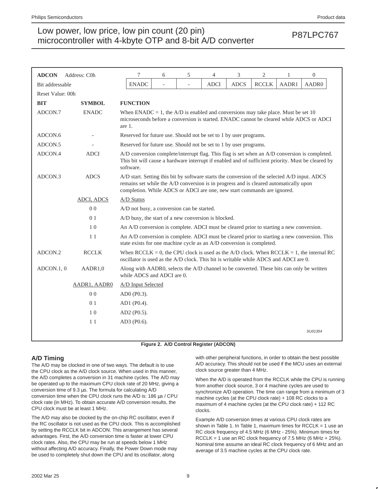| <b>ADCON</b>     | Address: C0h      | 7                                                                                                                                                                                                                                                                 | 6                                                                 | 5                        | 4           | 3           | $\overline{c}$ | 1     | $\boldsymbol{0}$ |  |  |
|------------------|-------------------|-------------------------------------------------------------------------------------------------------------------------------------------------------------------------------------------------------------------------------------------------------------------|-------------------------------------------------------------------|--------------------------|-------------|-------------|----------------|-------|------------------|--|--|
| Bit addressable  |                   | <b>ENADC</b>                                                                                                                                                                                                                                                      | $\overline{\phantom{a}}$                                          | $\overline{\phantom{0}}$ | <b>ADCI</b> | <b>ADCS</b> | <b>RCCLK</b>   | AADR1 | AADR0            |  |  |
| Reset Value: 00h |                   |                                                                                                                                                                                                                                                                   |                                                                   |                          |             |             |                |       |                  |  |  |
| <b>BIT</b>       | <b>SYMBOL</b>     | <b>FUNCTION</b>                                                                                                                                                                                                                                                   |                                                                   |                          |             |             |                |       |                  |  |  |
| ADCON.7          | <b>ENADC</b>      | When ENADC = 1, the A/D is enabled and conversions may take place. Must be set 10<br>microseconds before a conversion is started. ENADC cannot be cleared while ADCS or ADCI<br>are 1.                                                                            |                                                                   |                          |             |             |                |       |                  |  |  |
| ADCON.6          |                   |                                                                                                                                                                                                                                                                   | Reserved for future use. Should not be set to 1 by user programs. |                          |             |             |                |       |                  |  |  |
| ADCON.5          |                   | Reserved for future use. Should not be set to 1 by user programs.                                                                                                                                                                                                 |                                                                   |                          |             |             |                |       |                  |  |  |
| ADCON.4          | <b>ADCI</b>       | A/D conversion complete/interrupt flag. This flag is set when an A/D conversion is completed.<br>This bit will cause a hardware interrupt if enabled and of sufficient priority. Must be cleared by<br>software.                                                  |                                                                   |                          |             |             |                |       |                  |  |  |
| ADCON.3          | <b>ADCS</b>       | A/D start. Setting this bit by software starts the conversion of the selected A/D input. ADCS<br>remains set while the A/D conversion is in progress and is cleared automatically upon<br>completion. While ADCS or ADCI are one, new start commands are ignored. |                                                                   |                          |             |             |                |       |                  |  |  |
|                  | <b>ADCI, ADCS</b> | A/D Status                                                                                                                                                                                                                                                        |                                                                   |                          |             |             |                |       |                  |  |  |
|                  | 0 <sub>0</sub>    | A/D not busy, a conversion can be started.                                                                                                                                                                                                                        |                                                                   |                          |             |             |                |       |                  |  |  |
|                  | 0 <sub>1</sub>    | A/D busy, the start of a new conversion is blocked.                                                                                                                                                                                                               |                                                                   |                          |             |             |                |       |                  |  |  |
|                  | 1 <sub>0</sub>    | An A/D conversion is complete. ADCI must be cleared prior to starting a new conversion.                                                                                                                                                                           |                                                                   |                          |             |             |                |       |                  |  |  |
|                  | 11                | An A/D conversion is complete. ADCI must be cleared prior to starting a new conversion. This<br>state exists for one machine cycle as an A/D conversion is completed.                                                                                             |                                                                   |                          |             |             |                |       |                  |  |  |
| ADCON.2          | <b>RCCLK</b>      | When $RCCLK = 0$ , the CPU clock is used as the A/D clock. When $RCCLK = 1$ , the internal RC<br>oscillator is used as the A/D clock. This bit is writable while ADCS and ADCI are 0.                                                                             |                                                                   |                          |             |             |                |       |                  |  |  |
| ADCON.1, 0       | AADR1,0           | Along with AADR0, selects the A/D channel to be converted. These bits can only be written<br>while ADCS and ADCI are 0.                                                                                                                                           |                                                                   |                          |             |             |                |       |                  |  |  |
|                  | AADR1, AADR0      | A/D Input Selected                                                                                                                                                                                                                                                |                                                                   |                          |             |             |                |       |                  |  |  |
|                  | 0 <sub>0</sub>    | AD0 (P0.3).                                                                                                                                                                                                                                                       |                                                                   |                          |             |             |                |       |                  |  |  |
|                  | 0 <sub>1</sub>    | AD1 (P0.4).                                                                                                                                                                                                                                                       |                                                                   |                          |             |             |                |       |                  |  |  |
|                  | 10                | AD2 (P0.5).                                                                                                                                                                                                                                                       |                                                                   |                          |             |             |                |       |                  |  |  |
|                  | 11                | AD3 (P0.6).                                                                                                                                                                                                                                                       |                                                                   |                          |             |             |                |       |                  |  |  |
|                  |                   |                                                                                                                                                                                                                                                                   |                                                                   |                          |             |             |                |       | SU01354          |  |  |

**Figure 2. A/D Control Register (ADCON)**

### **A/D Timing**

The A/D may be clocked in one of two ways. The default is to use the CPU clock as the A/D clock source. When used in this manner, the A/D completes a conversion in 31 machine cycles. The A/D may be operated up to the maximum CPU clock rate of 20 MHz, giving a conversion time of 9.3 µs. The formula for calculating A/D conversion time when the CPU clock runs the A/D is: 186 µs / CPU clock rate (in MHz). To obtain accurate A/D conversion results, the CPU clock must be at least 1 MHz.

The A/D may also be clocked by the on-chip RC oscillator, even if the RC oscillator is not used as the CPU clock. This is accomplished by setting the RCCLK bit in ADCON. This arrangement has several advantages. First, the A/D conversion time is faster at lower CPU clock rates. Also, the CPU may be run at speeds below 1 MHz without affecting A/D accuracy. Finally, the Power Down mode may be used to completely shut down the CPU and its oscillator, along

with other peripheral functions, in order to obtain the best possible A/D accuracy. This should not be used if the MCU uses an external clock source greater than 4 MHz.

When the A/D is operated from the RCCLK while the CPU is running from another clock source, 3 or 4 machine cycles are used to synchronize A/D operation. The time can range from a minimum of 3 machine cycles (at the CPU clock rate) + 108 RC clocks to a maximum of 4 machine cycles (at the CPU clock rate) + 112 RC clocks.

Example A/D conversion times at various CPU clock rates are shown in Table 1. In Table 1, maximum times for  $RCCLK = 1$  use an RC clock frequency of 4.5 MHz (6 MHz - 25%). Minimum times for RCCLK = 1 use an RC clock frequency of 7.5 MHz (6 MHz + 25%). Nominal time assume an ideal RC clock frequency of 6 MHz and an average of 3.5 machine cycles at the CPU clock rate.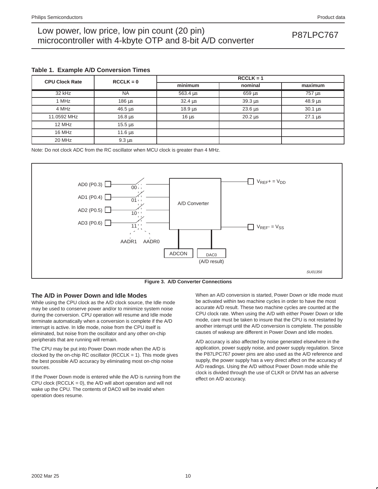### **Table 1. Example A/D Conversion Times**

| <b>CPU Clock Rate</b> | $RCCLK = 0$              | $RCCLK = 1$      |                            |                            |  |  |  |  |
|-----------------------|--------------------------|------------------|----------------------------|----------------------------|--|--|--|--|
|                       |                          | minimum          | nominal                    | maximum                    |  |  |  |  |
| 32 kHz                | <b>NA</b>                | 563.4 us         | $659 \,\mathrm{\upmu s}$   | 757 µs                     |  |  |  |  |
| 1 MHz                 | $186 \,\mathrm{\upmu s}$ | $32.4 \,\mu s$   | $39.3 \mu s$               | $48.9 \,\mu s$             |  |  |  |  |
| 4 MHz                 | $46.5 \,\mu s$           | $18.9 \,\mu s$   | $23.6 \,\mu s$             | $30.1 \text{ }\mu\text{s}$ |  |  |  |  |
| 11.0592 MHz           | $16.8 \,\mathrm{us}$     | 16 <sub>us</sub> | $20.2 \text{ }\mu\text{s}$ | $27.1$ us                  |  |  |  |  |
| 12 MHz                | $15.5 \,\mathrm{us}$     |                  |                            |                            |  |  |  |  |
| 16 MHz                | $11.6 \,\mu s$           |                  |                            |                            |  |  |  |  |
| 20 MHz                | $9.3 \mu s$              |                  |                            |                            |  |  |  |  |

Note: Do not clock ADC from the RC oscillator when MCU clock is greater than 4 MHz.





### **The A/D in Power Down and Idle Modes**

While using the CPU clock as the A/D clock source, the Idle mode may be used to conserve power and/or to minimize system noise during the conversion. CPU operation will resume and Idle mode terminate automatically when a conversion is complete if the A/D interrupt is active. In Idle mode, noise from the CPU itself is eliminated, but noise from the oscillator and any other on-chip peripherals that are running will remain.

The CPU may be put into Power Down mode when the A/D is clocked by the on-chip RC oscillator (RCCLK = 1). This mode gives the best possible A/D accuracy by eliminating most on-chip noise sources.

If the Power Down mode is entered while the A/D is running from the CPU clock (RCCLK = 0), the  $A/D$  will abort operation and will not wake up the CPU. The contents of DAC0 will be invalid when operation does resume.

When an A/D conversion is started, Power Down or Idle mode must be activated within two machine cycles in order to have the most accurate A/D result. These two machine cycles are counted at the CPU clock rate. When using the A/D with either Power Down or Idle mode, care must be taken to insure that the CPU is not restarted by another interrupt until the A/D conversion is complete. The possible causes of wakeup are different in Power Down and Idle modes.

A/D accuracy is also affected by noise generated elsewhere in the application, power supply noise, and power supply regulation. Since the P87LPC767 power pins are also used as the A/D reference and supply, the power supply has a very direct affect on the accuracy of A/D readings. Using the A/D without Power Down mode while the clock is divided through the use of CLKR or DIVM has an adverse effect on A/D accuracy.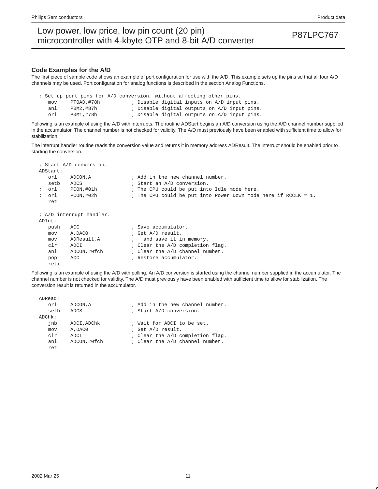#### **Code Examples for the A/D**

The first piece of sample code shows an example of port configuration for use with the A/D. This example sets up the pins so that all four A/D channels may be used. Port configuration for analog functions is described in the section Analog Functions.

|     |  |            |  |  | ; Set up port pins for A/D conversion, without affecting other pins. |  |  |
|-----|--|------------|--|--|----------------------------------------------------------------------|--|--|
| mov |  | PT0AD,#78h |  |  | ; Disable digital inputs on A/D input pins.                          |  |  |
| anl |  | P0M2,#87h  |  |  | ; Disable digital outputs on A/D input pins.                         |  |  |
| orl |  | P0M1,#78h  |  |  | ; Disable digital outputs on A/D input pins.                         |  |  |

Following is an example of using the A/D with interrupts. The routine ADStart begins an A/D conversion using the A/D channel number supplied in the accumulator. The channel number is not checked for validity. The A/D must previously have been enabled with sufficient time to allow for stabilization.

The interrupt handler routine reads the conversion value and returns it in memory address ADResult. The interrupt should be enabled prior to starting the conversion.

|               |      | ; Start A/D conversion.  |                                                                   |
|---------------|------|--------------------------|-------------------------------------------------------------------|
| ADStart:      |      |                          |                                                                   |
|               | orl  | ADCON, A                 | ; Add in the new channel number.                                  |
|               | setb | ADCS                     | ; Start an A/D conversion.                                        |
| $\ddot{i}$    | orl  | PCON,#01h                | ; The CPU could be put into Idle mode here.                       |
| $\mathcal{L}$ | orl  | PCON, #02h               | ; The CPU could be put into Power Down mode here if RCCLK = $1$ . |
|               | ret  |                          |                                                                   |
|               |      |                          |                                                                   |
|               |      | ; A/D interrupt handler. |                                                                   |
| ADInt:        |      |                          |                                                                   |
|               | push | ACC                      | ; Save accumulator.                                               |
|               | mov  | A, DAC0                  | ; Get A/D result,                                                 |
|               | mov  | ADResult, A              | ; and save it in memory.                                          |
|               | clr  | ADCI                     | ; Clear the A/D completion flag.                                  |
|               | anl  | ADCON,#0fch              | ; Clear the A/D channel number.                                   |
|               | pop  | ACC                      | ; Restore accumulator.                                            |
|               | reti |                          |                                                                   |

Following is an example of using the A/D with polling. An A/D conversion is started using the channel number supplied in the accumulator. The channel number is not checked for validity. The A/D must previously have been enabled with sufficient time to allow for stabilization. The conversion result is returned in the accumulator.

| ADRead:   |              |                                  |  |  |  |  |
|-----------|--------------|----------------------------------|--|--|--|--|
| orl       | ADCON, A     | ; Add in the new channel number. |  |  |  |  |
| setb      | ADCS         | ; Start A/D conversion.          |  |  |  |  |
| $ADChk$ : |              |                                  |  |  |  |  |
| inb       | ADCI, ADChk  | ; Wait for ADCI to be set.       |  |  |  |  |
| mov       | A, DACO      | ; Get A/D result.                |  |  |  |  |
| c1r       | ADCI         | ; Clear the A/D completion flag. |  |  |  |  |
| anl       | ADCON, #0fch | ; Clear the A/D channel number.  |  |  |  |  |
| ret.      |              |                                  |  |  |  |  |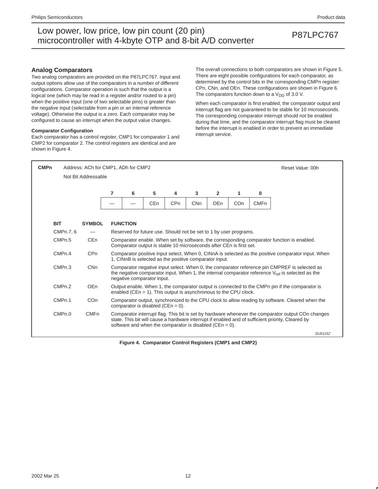### **Analog Comparators**

Two analog comparators are provided on the P87LPC767. Input and output options allow use of the comparators in a number of different configurations. Comparator operation is such that the output is a logical one (which may be read in a register and/or routed to a pin) when the positive input (one of two selectable pins) is greater than the negative input (selectable from a pin or an internal reference voltage). Otherwise the output is a zero. Each comparator may be configured to cause an interrupt when the output value changes.

#### **Comparator Configuration**

Each comparator has a control register, CMP1 for comparator 1 and CMP2 for comparator 2. The control registers are identical and are shown in Figure 4.

The overall connections to both comparators are shown in Figure 5. There are eight possible configurations for each comparator, as determined by the control bits in the corresponding CMPn register: CPn, CNn, and OEn. These configurations are shown in Figure 6. The comparators function down to a  $V_{DD}$  of 3.0 V.

When each comparator is first enabled, the comparator output and interrupt flag are not guaranteed to be stable for 10 microseconds. The corresponding comparator interrupt should not be enabled during that time, and the comparator interrupt flag must be cleared before the interrupt is enabled in order to prevent an immediate interrupt service.



**Figure 4. Comparator Control Registers (CMP1 and CMP2)**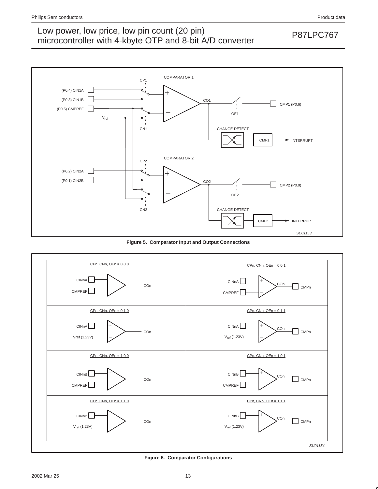

**Figure 5. Comparator Input and Output Connections**



**Figure 6. Comparator Configurations**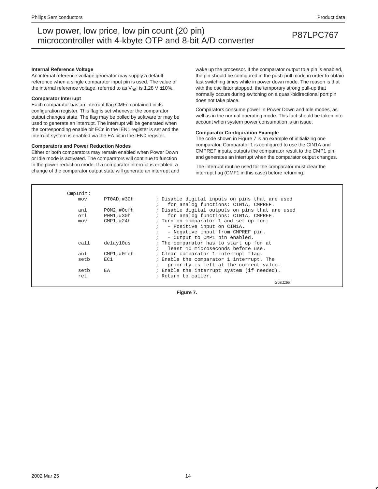#### **Internal Reference Voltage**

An internal reference voltage generator may supply a default reference when a single comparator input pin is used. The value of the internal reference voltage, referred to as  $V_{ref}$ , is 1.28 V  $\pm$ 10%.

#### **Comparator Interrupt**

Each comparator has an interrupt flag CMFn contained in its configuration register. This flag is set whenever the comparator output changes state. The flag may be polled by software or may be used to generate an interrupt. The interrupt will be generated when the corresponding enable bit ECn in the IEN1 register is set and the interrupt system is enabled via the EA bit in the IEN0 register.

#### **Comparators and Power Reduction Modes**

Either or both comparators may remain enabled when Power Down or Idle mode is activated. The comparators will continue to function in the power reduction mode. If a comparator interrupt is enabled, a change of the comparator output state will generate an interrupt and wake up the processor. If the comparator output to a pin is enabled, the pin should be configured in the push-pull mode in order to obtain fast switching times while in power down mode. The reason is that with the oscillator stopped, the temporary strong pull-up that normally occurs during switching on a quasi-bidirectional port pin does not take place.

Comparators consume power in Power Down and Idle modes, as well as in the normal operating mode. This fact should be taken into account when system power consumption is an issue.

#### **Comparator Configuration Example**

The code shown in Figure 7 is an example of initializing one comparator. Comparator 1 is configured to use the CIN1A and CMPREF inputs, outputs the comparator result to the CMP1 pin, and generates an interrupt when the comparator output changes.

The interrupt routine used for the comparator must clear the interrupt flag (CMF1 in this case) before returning.

| CmpInit: |             |                                                 |
|----------|-------------|-------------------------------------------------|
| mov      | PTOAD, #30h | ; Disable digital inputs on pins that are used  |
|          |             | for analog functions: CIN1A, CMPREF.            |
| anl      | POM2, #Ocfh | ; Disable digital outputs on pins that are used |
| orl      | P0M1,#30h   | for analog functions: CIN1A, CMPREF.            |
| mov      | CMP1,#24h   | ; Turn on comparator 1 and set up for:          |
|          |             | - Positive input on CIN1A.<br>$\ddot{i}$        |
|          |             | - Negative input from CMPREF pin.               |
|          |             | - Output to CMP1 pin enabled.                   |
| call     | delay10us   | ; The comparator has to start up for at         |
|          |             | least 10 microseconds before use.               |
| anl      | CMP1,#0feh  | : Clear comparator 1 interrupt flag.            |
| setb     | EC1         | ; Enable the comparator 1 interrupt. The        |
|          |             | priority is left at the current value.          |
| setb     | EA          | ; Enable the interrupt system (if needed).      |
| ret      |             | ; Return to caller.                             |
|          |             | SU01189                                         |

**Figure 7.**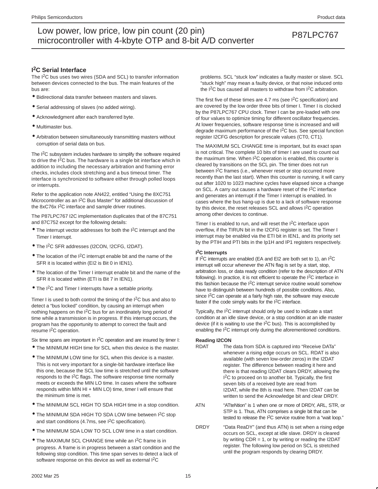### **I 2C Serial Interface**

The I<sup>2</sup>C bus uses two wires (SDA and SCL) to transfer information between devices connected to the bus. The main features of the bus are:

- Bidirectional data transfer between masters and slaves.
- Serial addressing of slaves (no added wiring).
- Acknowledgment after each transferred byte.
- Multimaster bus.
- Arbitration between simultaneously transmitting masters without corruption of serial data on bus.

The I<sup>2</sup>C subsystem includes hardware to simplify the software required to drive the I<sup>2</sup>C bus. The hardware is a single bit interface which in addition to including the necessary arbitration and framing error checks, includes clock stretching and a bus timeout timer. The interface is synchronized to software either through polled loops or interrupts.

Refer to the application note AN422, entitled "Using the 8XC751 Microcontroller as an I2C Bus Master" for additional discussion of the 8xC76x I<sup>2</sup>C interface and sample driver routines.

The P87LPC767 I2C implementation duplicates that of the 87C751 and 87C752 except for the following details:

- The interrupt vector addresses for both the I2C interrupt and the Timer I interrupt.
- The I2C SFR addresses (I2CON, !2CFG, I2DAT).
- $\bullet$  The location of the I<sup>2</sup>C interrupt enable bit and the name of the SFR it is located within (EI2 is Bit 0 in IEN1).
- The location of the Timer I interrupt enable bit and the name of the SFR it is located within (ETI is Bit 7 in IEN1).
- The I<sup>2</sup>C and Timer I interrupts have a settable priority.

Timer I is used to both control the timing of the  $1<sup>2</sup>C$  bus and also to detect a "bus locked" condition, by causing an interrupt when nothing happens on the I2C bus for an inordinately long period of time while a transmission is in progress. If this interrupt occurs, the program has the opportunity to attempt to correct the fault and resume I2C operation.

Six time spans are important in I<sup>2</sup>C operation and are insured by timer I:

- The MINIMUM HIGH time for SCL when this device is the master.
- The MINIMUM LOW time for SCL when this device is a master. This is not very important for a single-bit hardware interface like this one, because the SCL low time is stretched until the software responds to the  $1<sup>2</sup>C$  flags. The software response time normally meets or exceeds the MIN LO time. In cases where the software responds within MIN HI + MIN LO) time, timer I will ensure that the minimum time is met.
- The MINIMUM SCL HIGH TO SDA HIGH time in a stop condition.
- The MINIMUM SDA HIGH TO SDA LOW time between I<sup>2</sup>C stop and start conditions (4.7ms, see  $1<sup>2</sup>C$  specification).
- The MINIMUM SDA LOW TO SCL LOW time in a start condition.
- The MAXIMUM SCL CHANGE time while an I2C frame is in progress. A frame is in progress between a start condition and the following stop condition. This time span serves to detect a lack of software response on this device as well as external I<sup>2</sup>C

problems. SCL "stuck low" indicates a faulty master or slave. SCL "stuck high" may mean a faulty device, or that noise induced onto the I2C bus caused all masters to withdraw from I2C arbitration.

The first five of these times are 4.7 ms (see  $1<sup>2</sup>C$  specification) and are covered by the low order three bits of timer I. Timer I is clocked by the P87LPC767 CPU clock. Timer I can be pre-loaded with one of four values to optimize timing for different oscillator frequencies. At lower frequencies, software response time is increased and will degrade maximum performance of the I2C bus. See special function register I2CFG description for prescale values (CT0, CT1).

The MAXIMUM SCL CHANGE time is important, but its exact span is not critical. The complete 10 bits of timer I are used to count out the maximum time. When  $1<sup>2</sup>C$  operation is enabled, this counter is cleared by transitions on the SCL pin. The timer does not run between I2C frames (i.e., whenever reset or stop occurred more recently than the last start). When this counter is running, it will carry out after 1020 to 1023 machine cycles have elapsed since a change on SCL. A carry out causes a hardware reset of the I2C interface and generates an interrupt if the Timer I interrupt is enabled. In cases where the bus hang-up is due to a lack of software response by this device, the reset releases SCL and allows I2C operation among other devices to continue.

Timer I is enabled to run, and will reset the I2C interface upon overflow, if the TIRUN bit in the I2CFG register is set. The Timer I interrupt may be enabled via the ETI bit in IEN1, and its priority set by the PTIH and PTI bits in the Ip1H and IP1 registers respectively.

#### **I 2C Interrupts**

If I2C interrupts are enabled (EA and EI2 are both set to 1), an I2C interrupt will occur whenever the ATN flag is set by a start, stop, arbitration loss, or data ready condition (refer to the description of ATN following). In practice, it is not efficient to operate the I2C interface in this fashion because the I2C interrupt service routine would somehow have to distinguish between hundreds of possible conditions. Also, since I<sup>2</sup>C can operate at a fairly high rate, the software may execute faster if the code simply waits for the I2C interface.

Typically, the I2C interrupt should only be used to indicate a start condition at an idle slave device, or a stop condition at an idle master device (if it is waiting to use the  $I<sup>2</sup>C$  bus). This is accomplished by enabling the I2C interrupt only during the aforementioned conditions.

#### **Reading I2CON**

- RDAT The data from SDA is captured into "Receive DATa" whenever a rising edge occurs on SCL. RDAT is also available (with seven low-order zeros) in the I2DAT register. The difference between reading it here and there is that reading I2DAT clears DRDY, allowing the I<sup>2</sup>C to proceed on to another bit. Typically, the first seven bits of a received byte are read from I2DAT, while the 8th is read here. Then I2DAT can be written to send the Acknowledge bit and clear DRDY.
- ATN "ATteNtion" is 1 when one or more of DRDY, ARL, STR, or STP is 1. Thus, ATN comprises a single bit that can be tested to release the I2C service routine from a "wait loop."
- DRDY "Data ReaDY" (and thus ATN) is set when a rising edge occurs on SCL, except at idle slave. DRDY is cleared by writing  $CDR = 1$ , or by writing or reading the I2DAT register. The following low period on SCL is stretched until the program responds by clearing DRDY.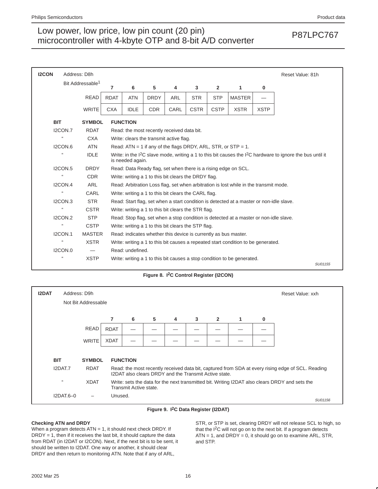| <b>I2CON</b> | Address: D8h               |                              |             |                                                                                                                                    |                                            |            |                                                                 |                |                                                                                         |             | Reset Value: 81h |
|--------------|----------------------------|------------------------------|-------------|------------------------------------------------------------------------------------------------------------------------------------|--------------------------------------------|------------|-----------------------------------------------------------------|----------------|-----------------------------------------------------------------------------------------|-------------|------------------|
|              |                            | Bit Addressable <sup>1</sup> | 7           | 6                                                                                                                                  | 5                                          | 4          | 3                                                               | $\overline{2}$ | 1                                                                                       | 0           |                  |
|              |                            | <b>READ</b>                  | <b>RDAT</b> | <b>ATN</b>                                                                                                                         | <b>DRDY</b>                                | <b>ARL</b> | <b>STR</b>                                                      | <b>STP</b>     | <b>MASTER</b>                                                                           |             |                  |
|              |                            | <b>WRITE</b>                 | <b>CXA</b>  | <b>IDLE</b>                                                                                                                        | <b>CDR</b>                                 | CARL       | <b>CSTR</b>                                                     | <b>CSTP</b>    | <b>XSTR</b>                                                                             | <b>XSTP</b> |                  |
| <b>BIT</b>   |                            | <b>SYMBOL</b>                |             | <b>FUNCTION</b>                                                                                                                    |                                            |            |                                                                 |                |                                                                                         |             |                  |
|              | <b>I2CON.7</b>             | <b>RDAT</b>                  |             |                                                                                                                                    | Read: the most recently received data bit. |            |                                                                 |                |                                                                                         |             |                  |
|              | $\mathfrak{c}\mathfrak{c}$ | <b>CXA</b>                   |             |                                                                                                                                    | Write: clears the transmit active flag.    |            |                                                                 |                |                                                                                         |             |                  |
|              | <b>I2CON.6</b>             | <b>ATN</b>                   |             |                                                                                                                                    |                                            |            |                                                                 |                | Read: $ATN = 1$ if any of the flags DRDY, ARL, STR, or STP = 1.                         |             |                  |
|              | $\Omega$                   | <b>IDLE</b>                  |             | Write: in the $1^2C$ slave mode, writing a 1 to this bit causes the $1^2C$ hardware to ignore the bus until it<br>is needed again. |                                            |            |                                                                 |                |                                                                                         |             |                  |
|              | <b>I2CON.5</b>             | <b>DRDY</b>                  |             |                                                                                                                                    |                                            |            |                                                                 |                | Read: Data Ready flag, set when there is a rising edge on SCL.                          |             |                  |
|              | $\Omega$                   | <b>CDR</b>                   |             |                                                                                                                                    |                                            |            | Write: writing a 1 to this bit clears the DRDY flag.            |                |                                                                                         |             |                  |
|              | I2CON.4                    | <b>ARL</b>                   |             |                                                                                                                                    |                                            |            |                                                                 |                | Read: Arbitration Loss flag, set when arbitration is lost while in the transmit mode.   |             |                  |
|              | $\Omega$                   | CARL                         |             |                                                                                                                                    |                                            |            | Write: writing a 1 to this bit clears the CARL flag.            |                |                                                                                         |             |                  |
|              | I2CON.3                    | <b>STR</b>                   |             |                                                                                                                                    |                                            |            |                                                                 |                | Read: Start flag, set when a start condition is detected at a master or non-idle slave. |             |                  |
|              | $\Omega$                   | <b>CSTR</b>                  |             |                                                                                                                                    |                                            |            | Write: writing a 1 to this bit clears the STR flag.             |                |                                                                                         |             |                  |
|              | IZCON.2                    | <b>STP</b>                   |             |                                                                                                                                    |                                            |            |                                                                 |                | Read: Stop flag, set when a stop condition is detected at a master or non-idle slave.   |             |                  |
|              | $\mathbf{G}$               | <b>CSTP</b>                  |             |                                                                                                                                    |                                            |            | Write: writing a 1 to this bit clears the STP flag.             |                |                                                                                         |             |                  |
|              | <b>I2CON.1</b>             | <b>MASTER</b>                |             |                                                                                                                                    |                                            |            | Read: indicates whether this device is currently as bus master. |                |                                                                                         |             |                  |
|              | $\Omega$                   | <b>XSTR</b>                  |             |                                                                                                                                    |                                            |            |                                                                 |                | Write: writing a 1 to this bit causes a repeated start condition to be generated.       |             |                  |
|              | <b>I2CON.0</b>             |                              |             | Read: undefined.                                                                                                                   |                                            |            |                                                                 |                |                                                                                         |             |                  |
|              | $\mathbf{G}$               | <b>XSTP</b>                  |             |                                                                                                                                    |                                            |            |                                                                 |                | Write: writing a 1 to this bit causes a stop condition to be generated.                 |             | SU01155          |

### **Figure 8. I2C Control Register (I2CON)**

| <b>I2DAT</b>               | Address: D9h<br>Not Bit Addressable |             |                                                                                                                          |   |   |   |                                                       |   |   | Reset Value: xxh                                                                                  |
|----------------------------|-------------------------------------|-------------|--------------------------------------------------------------------------------------------------------------------------|---|---|---|-------------------------------------------------------|---|---|---------------------------------------------------------------------------------------------------|
|                            |                                     | 7           | 6                                                                                                                        | 5 | 4 | 3 | $\overline{2}$                                        | 1 | 0 |                                                                                                   |
|                            | <b>READ</b>                         | <b>RDAT</b> |                                                                                                                          |   |   |   |                                                       |   |   |                                                                                                   |
|                            | <b>WRITE</b>                        | <b>XDAT</b> |                                                                                                                          |   |   |   |                                                       |   |   |                                                                                                   |
| <b>BIT</b>                 | <b>SYMBOL</b>                       |             | <b>FUNCTION</b>                                                                                                          |   |   |   |                                                       |   |   |                                                                                                   |
| I2DAT.7                    | <b>RDAT</b>                         |             |                                                                                                                          |   |   |   | I2DAT also clears DRDY and the Transmit Active state. |   |   | Read: the most recently received data bit, captured from SDA at every rising edge of SCL. Reading |
| $\mathfrak{c}\mathfrak{c}$ | <b>XDAT</b>                         |             | Write: sets the data for the next transmitted bit. Writing I2DAT also clears DRDY and sets the<br>Transmit Active state. |   |   |   |                                                       |   |   |                                                                                                   |
|                            | $I2DAT.6-0$                         | Unused.     |                                                                                                                          |   |   |   |                                                       |   |   | SU01156                                                                                           |

#### **Figure 9. I2C Data Register (I2DAT)**

### **Checking ATN and DRDY**

When a program detects ATN = 1, it should next check DRDY. If  $DRDY = 1$ , then if it receives the last bit, it should capture the data from RDAT (in I2DAT or I2CON). Next, if the next bit is to be sent, it should be written to I2DAT. One way or another, it should clear DRDY and then return to monitoring ATN. Note that if any of ARL,

STR, or STP is set, clearing DRDY will not release SCL to high, so that the I2C will not go on to the next bit. If a program detects  $ATN = 1$ , and  $DRDY = 0$ , it should go on to examine  $ARL$ ,  $STR$ , and STP.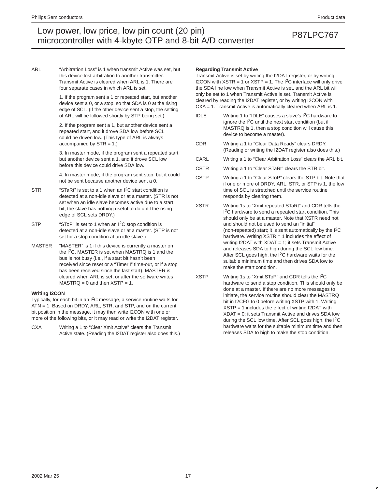ARL "Arbitration Loss" is 1 when transmit Active was set, but this device lost arbitration to another transmitter. Transmit Active is cleared when ARL is 1. There are four separate cases in which ARL is set.

> 1. If the program sent a 1 or repeated start, but another device sent a 0, or a stop, so that SDA is 0 at the rising edge of SCL. (If the other device sent a stop, the setting of ARL will be followed shortly by STP being set.)

2. If the program sent a 1, but another device sent a repeated start, and it drove SDA low before SCL could be driven low. (This type of ARL is always accompanied by STR = 1.)

3. In master mode, if the program sent a repeated start, but another device sent a 1, and it drove SCL low before this device could drive SDA low.

4. In master mode, if the program sent stop, but it could not be sent because another device sent a 0.

- STR "STaRt" is set to a 1 when an I<sup>2</sup>C start condition is detected at a non-idle slave or at a master. (STR is not set when an idle slave becomes active due to a start bit; the slave has nothing useful to do until the rising edge of SCL sets DRDY.)
- STP "SToP" is set to 1 when an I<sup>2</sup>C stop condition is detected at a non-idle slave or at a master. (STP is not set for a stop condition at an idle slave.)
- MASTER "MASTER" is 1 if this device is currently a master on the I2C. MASTER is set when MASTRQ is 1 and the bus is not busy (i.e., if a start bit hasn't been received since reset or a "Timer I" time-out, or if a stop has been received since the last start). MASTER is cleared when ARL is set, or after the software writes  $MASTRQ = 0$  and then  $XSTP = 1$ .

#### **Writing I2CON**

Typically, for each bit in an I2C message, a service routine waits for ATN = 1. Based on DRDY, ARL, STR, and STP, and on the current bit position in the message, it may then write I2CON with one or more of the following bits, or it may read or write the I2DAT register.

CXA Writing a 1 to "Clear Xmit Active" clears the Transmit Active state. (Reading the I2DAT register also does this.)

#### **Regarding Transmit Active**

Transmit Active is set by writing the I2DAT register, or by writing I2CON with  $XSTR = 1$  or  $XSTP = 1$ . The I<sup>2</sup>C interface will only drive the SDA line low when Transmit Active is set, and the ARL bit will only be set to 1 when Transmit Active is set. Transmit Active is cleared by reading the I2DAT register, or by writing I2CON with CXA = 1. Transmit Active is automatically cleared when ARL is 1.

- IDLE Writing 1 to "IDLE" causes a slave's I2C hardware to ignore the I<sup>2</sup>C until the next start condition (but if MASTRQ is 1, then a stop condition will cause this device to become a master).
- CDR Writing a 1 to "Clear Data Ready" clears DRDY. (Reading or writing the I2DAT register also does this.)
- CARL Writing a 1 to "Clear Arbitration Loss" clears the ARL bit.
- CSTR Writing a 1 to "Clear STaRt" clears the STR bit.
- CSTP Writing a 1 to "Clear SToP" clears the STP bit. Note that if one or more of DRDY, ARL, STR, or STP is 1, the low time of SCL is stretched until the service routine responds by clearing them.
- XSTR Writing 1s to "Xmit repeated STaRt" and CDR tells the I<sup>2</sup>C hardware to send a repeated start condition. This should only be at a master. Note that XSTR need not and should not be used to send an "initial" (non-repeated) start; it is sent automatically by the I2C hardware. Writing  $XSTR = 1$  includes the effect of writing I2DAT with XDAT = 1; it sets Transmit Active and releases SDA to high during the SCL low time. After SCL goes high, the I<sup>2</sup>C hardware waits for the suitable minimum time and then drives SDA low to make the start condition.
- XSTP Writing 1s to "Xmit SToP" and CDR tells the I2C hardware to send a stop condition. This should only be done at a master. If there are no more messages to initiate, the service routine should clear the MASTRQ bit in I2CFG to 0 before writing XSTP with 1. Writing XSTP = 1 includes the effect of writing I2DAT with XDAT = 0; it sets Transmit Active and drives SDA low during the SCL low time. After SCL goes high, the I<sup>2</sup>C hardware waits for the suitable minimum time and then releases SDA to high to make the stop condition.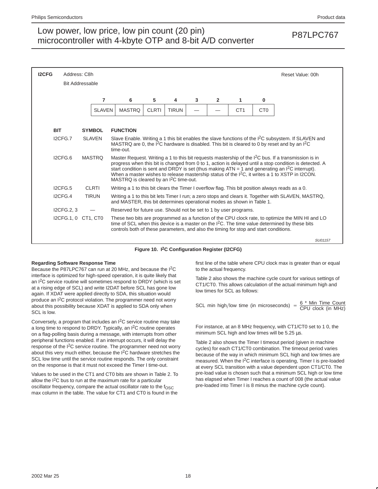| <b>I2CFG</b> | Address: C8h<br>Reset Value: 00h |               |                                                                        |                                                                                                                                                                                                                                                                                                        |              |   |                |                 |                 |                                                                                                                                                                                                                                                                                                                                                                                                                                       |
|--------------|----------------------------------|---------------|------------------------------------------------------------------------|--------------------------------------------------------------------------------------------------------------------------------------------------------------------------------------------------------------------------------------------------------------------------------------------------------|--------------|---|----------------|-----------------|-----------------|---------------------------------------------------------------------------------------------------------------------------------------------------------------------------------------------------------------------------------------------------------------------------------------------------------------------------------------------------------------------------------------------------------------------------------------|
|              | <b>Bit Addressable</b>           |               |                                                                        |                                                                                                                                                                                                                                                                                                        |              |   |                |                 |                 |                                                                                                                                                                                                                                                                                                                                                                                                                                       |
|              |                                  | 7             | 6                                                                      | 5                                                                                                                                                                                                                                                                                                      | 4            | 3 | $\overline{2}$ | 1               | 0               |                                                                                                                                                                                                                                                                                                                                                                                                                                       |
|              |                                  | <b>SLAVEN</b> | <b>MASTRQ</b>                                                          | <b>CLRTI</b>                                                                                                                                                                                                                                                                                           | <b>TIRUN</b> |   |                | CT <sub>1</sub> | C <sub>T0</sub> |                                                                                                                                                                                                                                                                                                                                                                                                                                       |
|              |                                  |               |                                                                        |                                                                                                                                                                                                                                                                                                        |              |   |                |                 |                 |                                                                                                                                                                                                                                                                                                                                                                                                                                       |
|              | <b>BIT</b>                       | <b>SYMBOL</b> | <b>FUNCTION</b>                                                        |                                                                                                                                                                                                                                                                                                        |              |   |                |                 |                 |                                                                                                                                                                                                                                                                                                                                                                                                                                       |
|              | I2CFG.7                          | <b>SLAVEN</b> | time-out.                                                              | Slave Enable. Writing a 1 this bit enables the slave functions of the I <sup>2</sup> C subsystem. If SLAVEN and<br>MASTRQ are 0, the $\overline{P}$ C hardware is disabled. This bit is cleared to 0 by reset and by an $P$ <sup>2</sup> C                                                             |              |   |                |                 |                 |                                                                                                                                                                                                                                                                                                                                                                                                                                       |
|              | ICFG.6                           | <b>MASTRO</b> | MASTRQ is cleared by an I <sup>2</sup> C time-out.                     |                                                                                                                                                                                                                                                                                                        |              |   |                |                 |                 | Master Request. Writing a 1 to this bit requests mastership of the $I^2C$ bus. If a transmission is in<br>progress when this bit is changed from 0 to 1, action is delayed until a stop condition is detected. A<br>start condition is sent and DRDY is set (thus making $ATN = 1$ and generating an $1^2C$ interrupt).<br>When a master wishes to release mastership status of the I <sup>2</sup> C, it writes a 1 to XSTP in I2CON. |
|              | ICFG.5                           | <b>CLRTI</b>  |                                                                        |                                                                                                                                                                                                                                                                                                        |              |   |                |                 |                 | Writing a 1 to this bit clears the Timer I overflow flag. This bit position always reads as a 0.                                                                                                                                                                                                                                                                                                                                      |
|              | ICFG.4                           | <b>TIRUN</b>  | and MASTER, this bit determines operational modes as shown in Table 1. |                                                                                                                                                                                                                                                                                                        |              |   |                |                 |                 | Writing a 1 to this bit lets Timer I run; a zero stops and clears it. Together with SLAVEN, MASTRQ,                                                                                                                                                                                                                                                                                                                                   |
|              | I2CFG.2, 3                       |               | Reserved for future use. Should not be set to 1 by user programs.      |                                                                                                                                                                                                                                                                                                        |              |   |                |                 |                 |                                                                                                                                                                                                                                                                                                                                                                                                                                       |
|              | I2CFG.1.0 CT1. CT0               |               |                                                                        | These two bits are programmed as a function of the CPU clock rate, to optimize the MIN HI and LO<br>time of SCL when this device is a master on the I <sup>2</sup> C. The time value determined by these bits<br>controls both of these parameters, and also the timing for stop and start conditions. |              |   |                |                 |                 |                                                                                                                                                                                                                                                                                                                                                                                                                                       |
|              |                                  |               |                                                                        |                                                                                                                                                                                                                                                                                                        |              |   |                |                 |                 | SU01157                                                                                                                                                                                                                                                                                                                                                                                                                               |

#### **Figure 10. I2C Configuration Register (I2CFG)**

#### **Regarding Software Response Time**

Because the P87LPC767 can run at 20 MHz, and because the I2C interface is optimized for high-speed operation, it is quite likely that an  $I^2C$  service routine will sometimes respond to DRDY (which is set at a rising edge of SCL) and write I2DAT before SCL has gone low again. If XDAT were applied directly to SDA, this situation would produce an I<sup>2</sup>C protocol violation. The programmer need not worry about this possibility because XDAT is applied to SDA only when SCL is low.

Conversely, a program that includes an I2C service routine may take a long time to respond to DRDY. Typically, an I<sup>2</sup>C routine operates on a flag-polling basis during a message, with interrupts from other peripheral functions enabled. If an interrupt occurs, it will delay the response of the I<sup>2</sup>C service routine. The programmer need not worry about this very much either, because the I<sup>2</sup>C hardware stretches the SCL low time until the service routine responds. The only constraint on the response is that it must not exceed the Timer I time-out.

Values to be used in the CT1 and CT0 bits are shown in Table 2. To allow the  $12C$  bus to run at the maximum rate for a particular oscillator frequency, compare the actual oscillator rate to the f<sub>OSC</sub> max column in the table. The value for CT1 and CT0 is found in the

first line of the table where CPU clock max is greater than or equal to the actual frequency.

Table 2 also shows the machine cycle count for various settings of CT1/CT0. This allows calculation of the actual minimum high and low times for SCL as follows:

SCL min high/low time (in microseconds) =  $\frac{6 \times$  Min Time Count

For instance, at an 8 MHz frequency, with CT1/CT0 set to 1 0, the minimum SCL high and low times will be 5.25  $\mu$ s.

Table 2 also shows the Timer I timeout period (given in machine cycles) for each CT1/CT0 combination. The timeout period varies because of the way in which minimum SCL high and low times are measured. When the I2C interface is operating, Timer I is pre-loaded at every SCL transition with a value dependent upon CT1/CT0. The pre-load value is chosen such that a minimum SCL high or low time has elapsed when Timer I reaches a count of 008 (the actual value pre-loaded into Timer I is 8 minus the machine cycle count).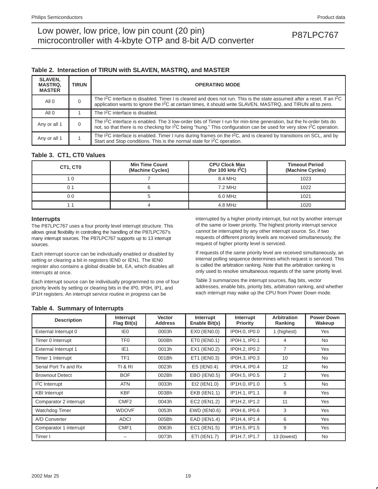### **Table 2. Interaction of TIRUN with SLAVEN, MASTRQ, and MASTER**

| <b>SLAVEN,</b><br><b>MASTRQ.</b><br><b>MASTER</b> | <b>TIRUN</b> | <b>OPERATING MODE</b>                                                                                                                                                                                                                                                            |
|---------------------------------------------------|--------------|----------------------------------------------------------------------------------------------------------------------------------------------------------------------------------------------------------------------------------------------------------------------------------|
| All 0                                             | 0            | The I <sup>2</sup> C interface is disabled. Timer I is cleared and does not run. This is the state assumed after a reset. If an I <sup>2</sup> C<br>application wants to ignore the I <sup>2</sup> C at certain times, it should write SLAVEN, MASTRQ, and TIRUN all to zero.    |
| All <sub>0</sub>                                  |              | The I <sup>2</sup> C interface is disabled.                                                                                                                                                                                                                                      |
| Any or all 1                                      | 0            | The <sup>12</sup> C interface is enabled. The 3 low-order bits of Timer I run for min-time generation, but the hi-order bits do<br>not, so that there is no checking for I <sup>2</sup> C being "hung." This configuration can be used for very slow I <sup>2</sup> C operation. |
| Any or all 1                                      |              | The I <sup>2</sup> C interface is enabled. Timer I runs during frames on the I <sup>2</sup> C, and is cleared by transitions on SCL, and by<br>Start and Stop conditions. This is the normal state for I <sup>2</sup> C operation.                                               |

### **Table 3. CT1, CT0 Values**

| CT1, CT0 | <b>Min Time Count</b><br>(Machine Cycles) |         | <b>Timeout Period</b><br>(Machine Cycles) |  |
|----------|-------------------------------------------|---------|-------------------------------------------|--|
|          |                                           | 8.4 MHz | 1023                                      |  |
|          |                                           | 7.2 MHz | 1022                                      |  |
| 0 0      |                                           | 6.0 MHz | 1021                                      |  |
|          |                                           | 4.8 MHz | 1020                                      |  |

### **Interrupts**

The P87LPC767 uses a four priority level interrupt structure. This allows great flexibility in controlling the handling of the P87LPC767's many interrupt sources. The P87LPC767 supports up to 13 interrupt sources.

Each interrupt source can be individually enabled or disabled by setting or clearing a bit in registers IEN0 or IEN1. The IEN0 register also contains a global disable bit, EA, which disables all interrupts at once.

Each interrupt source can be individually programmed to one of four priority levels by setting or clearing bits in the IP0, IP0H, IP1, and IP1H registers. An interrupt service routine in progress can be

interrupted by a higher priority interrupt, but not by another interrupt of the same or lower priority. The highest priority interrupt service cannot be interrupted by any other interrupt source. So, if two requests of different priority levels are received simultaneously, the request of higher priority level is serviced.

If requests of the same priority level are received simultaneously, an internal polling sequence determines which request is serviced. This is called the arbitration ranking. Note that the arbitration ranking is only used to resolve simultaneous requests of the same priority level.

Table 3 summarizes the interrupt sources, flag bits, vector addresses, enable bits, priority bits, arbitration ranking, and whether each interrupt may wake up the CPU from Power Down mode.

### **Table 4. Summary of Interrupts**

| <b>Description</b>          | Interrupt<br>Flag Bit(s) | <b>Vector</b><br><b>Address</b> | Interrupt<br>Enable Bit(s) | Interrupt<br><b>Priority</b> | <b>Arbitration</b><br>Ranking | <b>Power Down</b><br>Wakeup |
|-----------------------------|--------------------------|---------------------------------|----------------------------|------------------------------|-------------------------------|-----------------------------|
| External Interrupt 0        | IE0                      | 0003h                           | EX0 (IEN0.0)               | IP0H.0, IP0.0                | 1 (highest)                   | Yes                         |
| Timer 0 Interrupt           | TF0                      | 000Bh                           | ETO (IENO.1)               | IP0H.1. IP0.1                | 4                             | <b>No</b>                   |
| <b>External Interrupt 1</b> | IE <sub>1</sub>          | 0013h                           | EX1 (IEN0.2)               | IP0H.2, IP0.2                | 7                             | Yes                         |
| Timer 1 Interrupt           | TF <sub>1</sub>          | 001Bh                           | ET1 (IEN0.3)               | IP0H.3, IP0.3                | 10                            | <b>No</b>                   |
| Serial Port Tx and Rx       | <b>TI &amp; RI</b>       | 0023h                           | $ES$ (IENO.4)              | IP0H.4, IP0.4                | 12                            | <b>No</b>                   |
| <b>Brownout Detect</b>      | <b>BOF</b>               | 002Bh                           | EBO (IEN0.5)               | IP0H.5. IP0.5                | $\overline{2}$                | Yes                         |
| $I2C$ Interrupt             | <b>ATN</b>               | 0033h                           | EI2 (IEN1.0)               | IP1H.0. IP1.0                | 5                             | <b>No</b>                   |
| <b>KBI</b> Interrupt        | <b>KBF</b>               | 003Bh                           | <b>EKB (IEN1.1)</b>        | IP1H.1, IP1.1                | 8                             | Yes                         |
| Comparator 2 interrupt      | CMF <sub>2</sub>         | 0043h                           | EC2 (IEN1.2)               | IP1H.2, IP1.2                | 11                            | Yes                         |
| Watchdog Timer              | <b>WDOVF</b>             | 0053h                           | EWD (IEN0.6)               | <b>IP0H.6. IP0.6</b>         | 3                             | <b>Yes</b>                  |
| A/D Converter               | <b>ADCI</b>              | 005Bh                           | <b>EAD (IEN1.4)</b>        | IP1H.4, IP1.4                | 6                             | Yes                         |
| Comparator 1 interrupt      | CMF1                     | 0063h                           | EC1 (IEN1.5)               | IP1H.5, IP1.5                | 9                             | Yes                         |
| Timer I                     |                          | 0073h                           | ETI (IEN1.7)               | IP1H.7, IP1.7                | 13 (lowest)                   | <b>No</b>                   |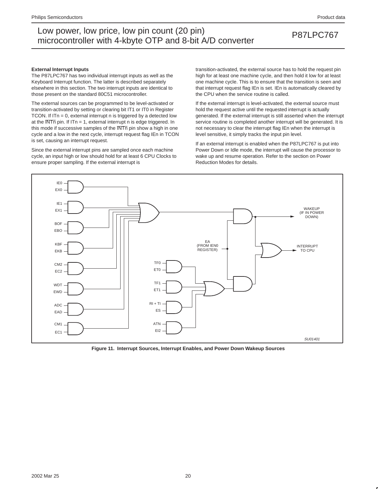#### **External Interrupt Inputs**

The P87LPC767 has two individual interrupt inputs as well as the Keyboard Interrupt function. The latter is described separately elsewhere in this section. The two interrupt inputs are identical to those present on the standard 80C51 microcontroller.

The external sources can be programmed to be level-activated or transition-activated by setting or clearing bit IT1 or IT0 in Register TCON. If ITn = 0, external interrupt n is triggered by a detected low at the  $\overline{\text{INTn}}$  pin. If ITn = 1, external interrupt n is edge triggered. In this mode if successive samples of the INTn pin show a high in one cycle and a low in the next cycle, interrupt request flag IEn in TCON is set, causing an interrupt request.

Since the external interrupt pins are sampled once each machine cycle, an input high or low should hold for at least 6 CPU Clocks to ensure proper sampling. If the external interrupt is

transition-activated, the external source has to hold the request pin high for at least one machine cycle, and then hold it low for at least one machine cycle. This is to ensure that the transition is seen and that interrupt request flag IEn is set. IEn is automatically cleared by the CPU when the service routine is called.

If the external interrupt is level-activated, the external source must hold the request active until the requested interrupt is actually generated. If the external interrupt is still asserted when the interrupt service routine is completed another interrupt will be generated. It is not necessary to clear the interrupt flag IEn when the interrupt is level sensitive, it simply tracks the input pin level.

If an external interrupt is enabled when the P87LPC767 is put into Power Down or Idle mode, the interrupt will cause the processor to wake up and resume operation. Refer to the section on Power Reduction Modes for details.



**Figure 11. Interrupt Sources, Interrupt Enables, and Power Down Wakeup Sources**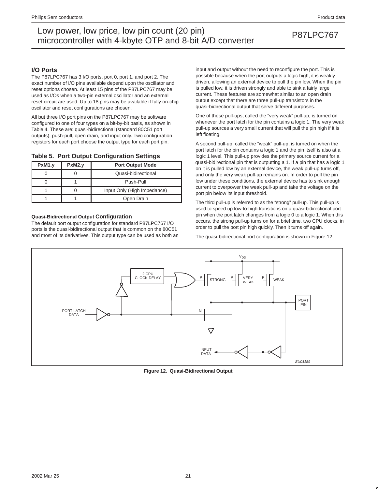### **I/O Ports**

The P87LPC767 has 3 I/O ports, port 0, port 1, and port 2. The exact number of I/O pins available depend upon the oscillator and reset options chosen. At least 15 pins of the P87LPC767 may be used as I/Os when a two-pin external oscillator and an external reset circuit are used. Up to 18 pins may be available if fully on-chip oscillator and reset configurations are chosen.

All but three I/O port pins on the P87LPC767 may be software configured to one of four types on a bit-by-bit basis, as shown in Table 4. These are: quasi-bidirectional (standard 80C51 port outputs), push-pull, open drain, and input only. Two configuration registers for each port choose the output type for each port pin.

### **Table 5. Port Output Configuration Settings**

| PxM1.y | PxM2.y | <b>Port Output Mode</b>     |  |  |  |
|--------|--------|-----------------------------|--|--|--|
|        |        | Quasi-bidirectional         |  |  |  |
|        |        | Push-Pull                   |  |  |  |
|        |        | Input Only (High Impedance) |  |  |  |
|        |        | Open Drain                  |  |  |  |

### **Quasi-Bidirectional Output Configuration**

The default port output configuration for standard P87LPC767 I/O ports is the quasi-bidirectional output that is common on the 80C51 and most of its derivatives. This output type can be used as both an input and output without the need to reconfigure the port. This is possible because when the port outputs a logic high, it is weakly driven, allowing an external device to pull the pin low. When the pin is pulled low, it is driven strongly and able to sink a fairly large current. These features are somewhat similar to an open drain output except that there are three pull-up transistors in the quasi-bidirectional output that serve different purposes.

One of these pull-ups, called the "very weak" pull-up, is turned on whenever the port latch for the pin contains a logic 1. The very weak pull-up sources a very small current that will pull the pin high if it is left floating.

A second pull-up, called the "weak" pull-up, is turned on when the port latch for the pin contains a logic 1 and the pin itself is also at a logic 1 level. This pull-up provides the primary source current for a quasi-bidirectional pin that is outputting a 1. If a pin that has a logic 1 on it is pulled low by an external device, the weak pull-up turns off, and only the very weak pull-up remains on. In order to pull the pin low under these conditions, the external device has to sink enough current to overpower the weak pull-up and take the voltage on the port pin below its input threshold.

The third pull-up is referred to as the "strong" pull-up. This pull-up is used to speed up low-to-high transitions on a quasi-bidirectional port pin when the port latch changes from a logic 0 to a logic 1. When this occurs, the strong pull-up turns on for a brief time, two CPU clocks, in order to pull the port pin high quickly. Then it turns off again.

The quasi-bidirectional port configuration is shown in Figure 12.



**Figure 12. Quasi-Bidirectional Output**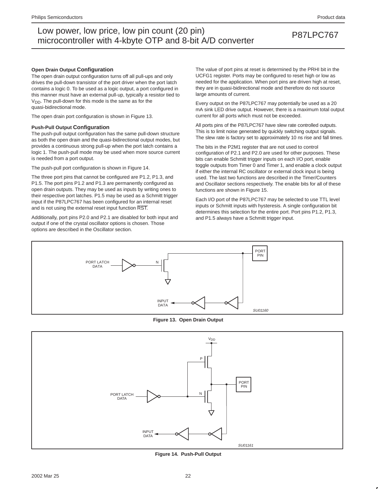#### **Open Drain Output Configuration**

The open drain output configuration turns off all pull-ups and only drives the pull-down transistor of the port driver when the port latch contains a logic 0. To be used as a logic output, a port configured in this manner must have an external pull-up, typically a resistor tied to  $V<sub>DD</sub>$ . The pull-down for this mode is the same as for the quasi-bidirectional mode.

The open drain port configuration is shown in Figure 13.

#### **Push-Pull Output Configuration**

The push-pull output configuration has the same pull-down structure as both the open drain and the quasi-bidirectional output modes, but provides a continuous strong pull-up when the port latch contains a logic 1. The push-pull mode may be used when more source current is needed from a port output.

The push-pull port configuration is shown in Figure 14.

The three port pins that cannot be configured are P1.2, P1.3, and P1.5. The port pins P1.2 and P1.3 are permanently configured as open drain outputs. They may be used as inputs by writing ones to their respective port latches. P1.5 may be used as a Schmitt trigger input if the P87LPC767 has been configured for an internal reset and is not using the external reset input function RST.

Additionally, port pins P2.0 and P2.1 are disabled for both input and output if one of the crystal oscillator options is chosen. Those options are described in the Oscillator section.

The value of port pins at reset is determined by the PRHI bit in the UCFG1 register. Ports may be configured to reset high or low as needed for the application. When port pins are driven high at reset, they are in quasi-bidirectional mode and therefore do not source large amounts of current.

Every output on the P87LPC767 may potentially be used as a 20 mA sink LED drive output. However, there is a maximum total output current for all ports which must not be exceeded.

All ports pins of the P87LPC767 have slew rate controlled outputs. This is to limit noise generated by quickly switching output signals. The slew rate is factory set to approximately 10 ns rise and fall times.

The bits in the P2M1 register that are not used to control configuration of P2.1 and P2.0 are used for other purposes. These bits can enable Schmitt trigger inputs on each I/O port, enable toggle outputs from Timer 0 and Timer 1, and enable a clock output if either the internal RC oscillator or external clock input is being used. The last two functions are described in the Timer/Counters and Oscillator sections respectively. The enable bits for all of these functions are shown in Figure 15.

Each I/O port of the P87LPC767 may be selected to use TTL level inputs or Schmitt inputs with hysteresis. A single configuration bit determines this selection for the entire port. Port pins P1.2, P1.3, and P1.5 always have a Schmitt trigger input.



**Figure 13. Open Drain Output**



**Figure 14. Push-Pull Output**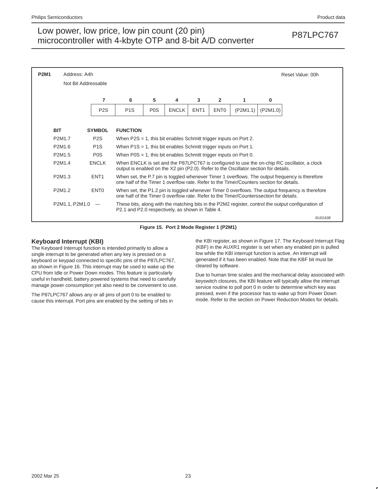

**Figure 15. Port 2 Mode Register 1 (P2M1)**

### **Keyboard Interrupt (KBI)**

The Keyboard Interrupt function is intended primarily to allow a single interrupt to be generated when any key is pressed on a keyboard or keypad connected to specific pins of the P87LPC767, as shown in Figure 16. This interrupt may be used to wake up the CPU from Idle or Power Down modes. This feature is particularly useful in handheld, battery powered systems that need to carefully manage power consumption yet also need to be convenient to use.

The P87LPC767 allows any or all pins of port 0 to be enabled to cause this interrupt. Port pins are enabled by the setting of bits in the KBI register, as shown in Figure 17. The Keyboard Interrupt Flag (KBF) in the AUXR1 register is set when any enabled pin is pulled low while the KBI interrupt function is active. An interrupt will generated if it has been enabled. Note that the KBF bit must be cleared by software.

Due to human time scales and the mechanical delay associated with keyswitch closures, the KBI feature will typically allow the interrupt service routine to poll port 0 in order to determine which key was pressed, even if the processor has to wake up from Power Down mode. Refer to the section on Power Reduction Modes for details.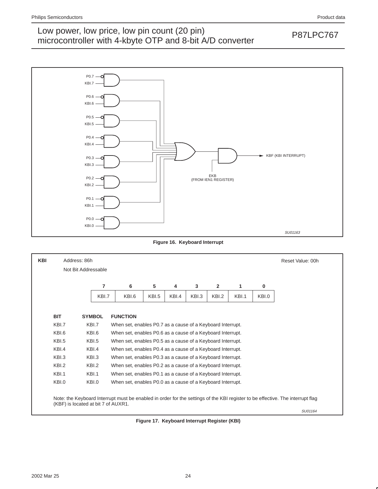## Low power, low price, low pin count (20 pin)<br>misroecantrallar with 4 kb to OTD and 8 bit A/D converter. microcontroller with 4-kbyte OTP and 8-bit A/D converter



**Figure 16. Keyboard Interrupt**

| <b>KBI</b> |                                                | Address: 86h        |       |                                                            |                                                            |       |       |       |       |       | Reset Value: 00h                                                                                                               |  |
|------------|------------------------------------------------|---------------------|-------|------------------------------------------------------------|------------------------------------------------------------|-------|-------|-------|-------|-------|--------------------------------------------------------------------------------------------------------------------------------|--|
|            |                                                | Not Bit Addressable |       |                                                            |                                                            |       |       |       |       |       |                                                                                                                                |  |
|            |                                                |                     |       |                                                            |                                                            |       |       |       |       |       |                                                                                                                                |  |
|            |                                                |                     | 7     | 6                                                          | 5                                                          | 4     | 3     | 2     | 1     | 0     |                                                                                                                                |  |
|            |                                                |                     | KBI.7 | KBI.6                                                      | KBI.5                                                      | KBI.4 | KBI.3 | KBI.2 | KBI.1 | KBI.0 |                                                                                                                                |  |
|            |                                                |                     |       |                                                            |                                                            |       |       |       |       |       |                                                                                                                                |  |
|            | <b>BIT</b><br><b>SYMBOL</b><br><b>FUNCTION</b> |                     |       |                                                            |                                                            |       |       |       |       |       |                                                                                                                                |  |
|            | KBI.7                                          |                     | KBI.7 | When set, enables P0.7 as a cause of a Keyboard Interrupt. |                                                            |       |       |       |       |       |                                                                                                                                |  |
|            | KBI.6                                          |                     | KBI.6 | When set, enables P0.6 as a cause of a Keyboard Interrupt. |                                                            |       |       |       |       |       |                                                                                                                                |  |
|            | KBI.5                                          |                     | KBI.5 |                                                            | When set, enables P0.5 as a cause of a Keyboard Interrupt. |       |       |       |       |       |                                                                                                                                |  |
|            | KBI.4                                          |                     | KBI.4 | When set, enables P0.4 as a cause of a Keyboard Interrupt. |                                                            |       |       |       |       |       |                                                                                                                                |  |
|            | KBI.3                                          |                     | KBI.3 | When set, enables P0.3 as a cause of a Keyboard Interrupt. |                                                            |       |       |       |       |       |                                                                                                                                |  |
|            | KBI.2                                          |                     | KBI.2 | When set, enables P0.2 as a cause of a Keyboard Interrupt. |                                                            |       |       |       |       |       |                                                                                                                                |  |
|            | KBI.1                                          | KBI.1               |       | When set, enables P0.1 as a cause of a Keyboard Interrupt. |                                                            |       |       |       |       |       |                                                                                                                                |  |
|            | KBI.0                                          |                     | KBI.0 | When set, enables P0.0 as a cause of a Keyboard Interrupt. |                                                            |       |       |       |       |       |                                                                                                                                |  |
|            |                                                |                     |       |                                                            |                                                            |       |       |       |       |       |                                                                                                                                |  |
|            |                                                |                     |       |                                                            |                                                            |       |       |       |       |       | Note: the Keyboard Interrupt must be enabled in order for the settings of the KBI register to be effective. The interrupt flag |  |
|            | (KBF) is located at bit 7 of AUXR1.            |                     |       |                                                            |                                                            |       |       |       |       |       |                                                                                                                                |  |
|            |                                                |                     |       |                                                            |                                                            |       |       |       |       |       | SU01164                                                                                                                        |  |

**Figure 17. Keyboard Interrupt Register (KBI)**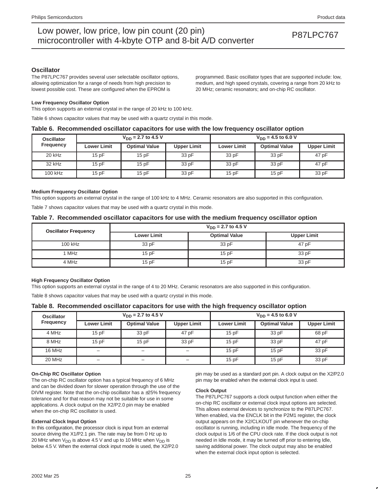### **Oscillator**

The P87LPC767 provides several user selectable oscillator options, allowing optimization for a range of needs from high precision to lowest possible cost. These are configured when the EPROM is

programmed. Basic oscillator types that are supported include: low, medium, and high speed crystals, covering a range from 20 kHz to 20 MHz; ceramic resonators; and on-chip RC oscillator.

#### **Low Frequency Oscillator Option**

This option supports an external crystal in the range of 20 kHz to 100 kHz.

Table 6 shows capacitor values that may be used with a quartz crystal in this mode.

#### **Table 6. Recommended oscillator capacitors for use with the low frequency oscillator option**

| <b>Oscillator</b> |                    | $V_{DD}$ = 2.7 to 4.5 V |                    | $V_{DD}$ = 4.5 to 6.0 V |                      |                    |  |
|-------------------|--------------------|-------------------------|--------------------|-------------------------|----------------------|--------------------|--|
| <b>Frequency</b>  | <b>Lower Limit</b> | <b>Optimal Value</b>    | <b>Upper Limit</b> | <b>Lower Limit</b>      | <b>Optimal Value</b> | <b>Upper Limit</b> |  |
| 20 kHz            | 15pF               | 15pF                    | 33 pF              | 33 pF                   | 33 pF                | 47 pF              |  |
| 32 kHz            | 15pF               | 15pF                    | 33 pF              | 33 pF                   | 33 pF                | 47 pF              |  |
| 100 kHz           | 15pF               | 15pF                    | 33 pF              | 15pF                    | 15pF                 | 33 pF              |  |

#### **Medium Frequency Oscillator Option**

This option supports an external crystal in the range of 100 kHz to 4 MHz. Ceramic resonators are also supported in this configuration.

Table 7 shows capacitor values that may be used with a quartz crystal in this mode.

### **Table 7. Recommended oscillator capacitors for use with the medium frequency oscillator option**

| <b>Oscillator Frequency</b> | $V_{DD}$ = 2.7 to 4.5 V |                      |                    |  |  |  |  |  |
|-----------------------------|-------------------------|----------------------|--------------------|--|--|--|--|--|
|                             | <b>Lower Limit</b>      | <b>Optimal Value</b> | <b>Upper Limit</b> |  |  |  |  |  |
| 100 kHz                     | 33 pF                   | 33 pF                | 47 pF              |  |  |  |  |  |
| 1 MHz                       | 15pF                    | 15pF                 | 33 pF              |  |  |  |  |  |
| 4 MHz                       | 15pF                    | 15pF                 | 33 pF              |  |  |  |  |  |

#### **High Frequency Oscillator Option**

This option supports an external crystal in the range of 4 to 20 MHz. Ceramic resonators are also supported in this configuration.

Table 8 shows capacitor values that may be used with a quartz crystal in this mode.

### **Table 8. Recommended oscillator capacitors for use with the high frequency oscillator option**

| <b>Oscillator</b> |                                            | $V_{DD}$ = 2.7 to 4.5 V |                          | $V_{DD} = 4.5$ to 6.0 V |                      |                    |  |  |
|-------------------|--------------------------------------------|-------------------------|--------------------------|-------------------------|----------------------|--------------------|--|--|
| <b>Frequency</b>  | <b>Optimal Value</b><br><b>Lower Limit</b> |                         | <b>Upper Limit</b>       | <b>Lower Limit</b>      | <b>Optimal Value</b> | <b>Upper Limit</b> |  |  |
| 4 MHz             | 15pF                                       | 33 pF                   | 47 pF                    | 15pF                    | 33 pF                | 68 pF              |  |  |
| 8 MHz             | 15pF                                       | 15pF                    | 33 pF                    | 15pF                    | 33 pF                | 47 pF              |  |  |
| 16 MHz            | $\overline{\phantom{0}}$                   | $\qquad \qquad$         | $\overline{\phantom{0}}$ | 15pF                    | 15pF                 | 33 pF              |  |  |
| 20 MHz            | -                                          |                         | -                        | 15pF                    | 15pF                 | 33 pF              |  |  |

#### **On-Chip RC Oscillator Option**

The on-chip RC oscillator option has a typical frequency of 6 MHz and can be divided down for slower operation through the use of the DIVM register. Note that the on-chip oscillator has a  $\pm 25\%$  frequency tolerance and for that reason may not be suitable for use in some applications. A clock output on the X2/P2.0 pin may be enabled when the on-chip RC oscillator is used.

#### **External Clock Input Option**

In this configuration, the processor clock is input from an external source driving the X1/P2.1 pin. The rate may be from 0 Hz up to 20 MHz when  $V_{DD}$  is above 4.5 V and up to 10 MHz when  $V_{DD}$  is below 4.5 V. When the external clock input mode is used, the X2/P2.0 pin may be used as a standard port pin. A clock output on the X2/P2.0 pin may be enabled when the external clock input is used.

#### **Clock Output**

The P87LPC767 supports a clock output function when either the on-chip RC oscillator or external clock input options are selected. This allows external devices to synchronize to the P87LPC767. When enabled, via the ENCLK bit in the P2M1 register, the clock output appears on the X2/CLKOUT pin whenever the on-chip oscillator is running, including in Idle mode. The frequency of the clock output is 1/6 of the CPU clock rate. If the clock output is not needed in Idle mode, it may be turned off prior to entering Idle, saving additional power. The clock output may also be enabled when the external clock input option is selected.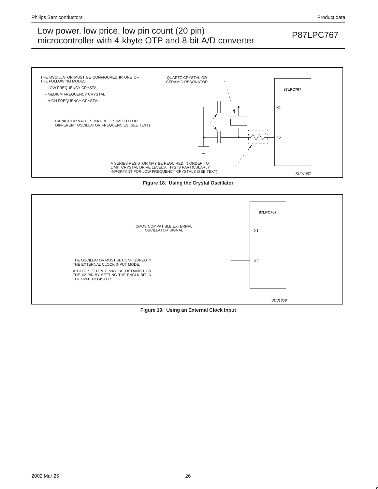

**Figure 18. Using the Crystal Oscillator**



**Figure 19. Using an External Clock Input**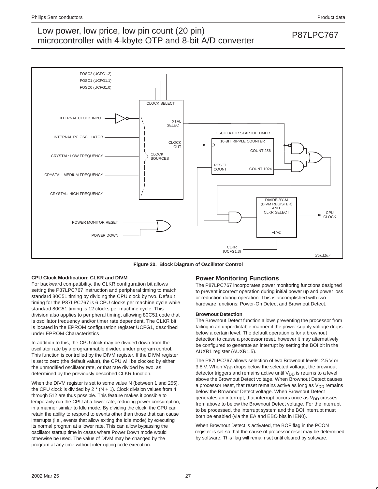

**Figure 20. Block Diagram of Oscillator Control**

### **CPU Clock Modification: CLKR and DIVM**

For backward compatibility, the CLKR configuration bit allows setting the P87LPC767 instruction and peripheral timing to match standard 80C51 timing by dividing the CPU clock by two. Default timing for the P87LPC767 is 6 CPU clocks per machine cycle while standard 80C51 timing is 12 clocks per machine cycle. This division also applies to peripheral timing, allowing 80C51 code that is oscillator frequency and/or timer rate dependent. The CLKR bit is located in the EPROM configuration register UCFG1, described under EPROM Characteristics

In addition to this, the CPU clock may be divided down from the oscillator rate by a programmable divider, under program control. This function is controlled by the DIVM register. If the DIVM register is set to zero (the default value), the CPU will be clocked by either the unmodified oscillator rate, or that rate divided by two, as determined by the previously described CLKR function.

When the DIVM register is set to some value N (between 1 and 255), the CPU clock is divided by  $2 * (N + 1)$ . Clock division values from 4 through 512 are thus possible. This feature makes it possible to temporarily run the CPU at a lower rate, reducing power consumption, in a manner similar to Idle mode. By dividing the clock, the CPU can retain the ability to respond to events other than those that can cause interrupts (i.e., events that allow exiting the Idle mode) by executing its normal program at a lower rate. This can allow bypassing the oscillator startup time in cases where Power Down mode would otherwise be used. The value of DIVM may be changed by the program at any time without interrupting code execution.

### **Power Monitoring Functions**

The P87LPC767 incorporates power monitoring functions designed to prevent incorrect operation during initial power up and power loss or reduction during operation. This is accomplished with two hardware functions: Power-On Detect and Brownout Detect.

#### **Brownout Detection**

The Brownout Detect function allows preventing the processor from failing in an unpredictable manner if the power supply voltage drops below a certain level. The default operation is for a brownout detection to cause a processor reset, however it may alternatively be configured to generate an interrupt by setting the BOI bit in the AUXR1 register (AUXR1.5).

The P87LPC767 allows selection of two Brownout levels: 2.5 V or 3.8 V. When  $V_{DD}$  drops below the selected voltage, the brownout detector triggers and remains active until  $V_{DD}$  is returns to a level above the Brownout Detect voltage. When Brownout Detect causes a processor reset, that reset remains active as long as  $V_{DD}$  remains below the Brownout Detect voltage. When Brownout Detect generates an interrupt, that interrupt occurs once as  $V_{DD}$  crosses from above to below the Brownout Detect voltage. For the interrupt to be processed, the interrupt system and the BOI interrupt must both be enabled (via the EA and EBO bits in IEN0).

When Brownout Detect is activated, the BOF flag in the PCON register is set so that the cause of processor reset may be determined by software. This flag will remain set until cleared by software.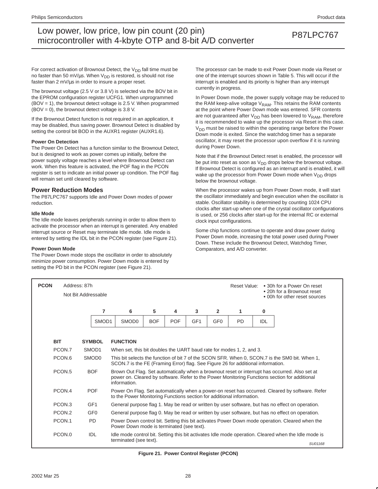For correct activation of Brownout Detect, the  $V_{DD}$  fall time must be no faster than 50 mV/ $\mu$ s. When V<sub>DD</sub> is restored, is should not rise faster than 2 mV/µs in order to insure a proper reset.

The brownout voltage (2.5 V or 3.8 V) is selected via the BOV bit in the EPROM configuration register UCFG1. When unprogrammed (BOV = 1), the brownout detect voltage is 2.5 V. When programmed  $(BOV = 0)$ , the brownout detect voltage is 3.8 V.

If the Brownout Detect function is not required in an application, it may be disabled, thus saving power. Brownout Detect is disabled by setting the control bit BOD in the AUXR1 register (AUXR1.6).

#### **Power On Detection**

The Power On Detect has a function similar to the Brownout Detect, but is designed to work as power comes up initially, before the power supply voltage reaches a level where Brownout Detect can work. When this feature is activated, the POF flag in the PCON register is set to indicate an initial power up condition. The POF flag will remain set until cleared by software.

### **Power Reduction Modes**

The P87LPC767 supports Idle and Power Down modes of power reduction.

#### **Idle Mode**

The Idle mode leaves peripherals running in order to allow them to activate the processor when an interrupt is generated. Any enabled interrupt source or Reset may terminate Idle mode. Idle mode is entered by setting the IDL bit in the PCON register (see Figure 21).

#### **Power Down Mode**

The Power Down mode stops the oscillator in order to absolutely minimize power consumption. Power Down mode is entered by setting the PD bit in the PCON register (see Figure 21).

The processor can be made to exit Power Down mode via Reset or one of the interrupt sources shown in Table 5. This will occur if the interrupt is enabled and its priority is higher than any interrupt currently in progress.

In Power Down mode, the power supply voltage may be reduced to the RAM keep-alive voltage  $V_{RAM}$ . This retains the RAM contents at the point where Power Down mode was entered. SFR contents are not guaranteed after  $V_{DD}$  has been lowered to  $V_{RAM}$ , therefore it is recommended to wake up the processor via Reset in this case. V<sub>DD</sub> must be raised to within the operating range before the Power Down mode is exited. Since the watchdog timer has a separate oscillator, it may reset the processor upon overflow if it is running during Power Down.

Note that if the Brownout Detect reset is enabled, the processor will be put into reset as soon as  $V_{DD}$  drops below the brownout voltage. If Brownout Detect is configured as an interrupt and is enabled, it will wake up the processor from Power Down mode when  $V_{DD}$  drops below the brownout voltage.

When the processor wakes up from Power Down mode, it will start the oscillator immediately and begin execution when the oscillator is stable. Oscillator stability is determined by counting 1024 CPU clocks after start-up when one of the crystal oscillator configurations is used, or 256 clocks after start-up for the internal RC or external clock input configurations.

Some chip functions continue to operate and draw power during Power Down mode, increasing the total power used during Power Down. These include the Brownout Detect, Watchdog Timer, Comparators, and A/D converter.

| <b>PCON</b> | Address: 87h       | Not Bit Addressable                                                                                                                          |                                                                       |                                                                                                                                                                                    |            |                 |                 | Reset Value: |     | • 30h for a Power On reset<br>• 20h for a Brownout reset<br>• 00h for other reset sources                                                                                                       |  |  |
|-------------|--------------------|----------------------------------------------------------------------------------------------------------------------------------------------|-----------------------------------------------------------------------|------------------------------------------------------------------------------------------------------------------------------------------------------------------------------------|------------|-----------------|-----------------|--------------|-----|-------------------------------------------------------------------------------------------------------------------------------------------------------------------------------------------------|--|--|
|             |                    | 7                                                                                                                                            | 6                                                                     | 5                                                                                                                                                                                  | 4          | 3               | $\overline{2}$  | 1            | 0   |                                                                                                                                                                                                 |  |  |
|             |                    | SMOD <sub>1</sub>                                                                                                                            | SMOD <sub>0</sub>                                                     | <b>BOF</b>                                                                                                                                                                         | <b>POF</b> | GF <sub>1</sub> | GF <sub>0</sub> | <b>PD</b>    | IDL |                                                                                                                                                                                                 |  |  |
| <b>BIT</b>  |                    | <b>SYMBOL</b>                                                                                                                                | <b>FUNCTION</b>                                                       |                                                                                                                                                                                    |            |                 |                 |              |     |                                                                                                                                                                                                 |  |  |
|             | PCON.7             | SMOD1                                                                                                                                        | When set, this bit doubles the UART baud rate for modes 1, 2, and 3.  |                                                                                                                                                                                    |            |                 |                 |              |     |                                                                                                                                                                                                 |  |  |
|             | PCON.6             | SMOD <sub>0</sub>                                                                                                                            |                                                                       | This bit selects the function of bit 7 of the SCON SFR. When 0, SCON.7 is the SM0 bit. When 1,<br>SCON.7 is the FE (Framing Error) flag. See Figure 26 for additional information. |            |                 |                 |              |     |                                                                                                                                                                                                 |  |  |
|             | PCON <sub>.5</sub> | <b>BOF</b>                                                                                                                                   | information.                                                          |                                                                                                                                                                                    |            |                 |                 |              |     | Brown Out Flag. Set automatically when a brownout reset or interrupt has occurred. Also set at<br>power on. Cleared by software. Refer to the Power Monitoring Functions section for additional |  |  |
|             | PCON.4             | <b>POF</b>                                                                                                                                   | to the Power Monitoring Functions section for additional information. |                                                                                                                                                                                    |            |                 |                 |              |     | Power On Flag. Set automatically when a power-on reset has occurred. Cleared by software. Refer                                                                                                 |  |  |
|             | PCON <sub>.3</sub> | GF <sub>1</sub>                                                                                                                              |                                                                       |                                                                                                                                                                                    |            |                 |                 |              |     | General purpose flag 1. May be read or written by user software, but has no effect on operation.                                                                                                |  |  |
|             | PCON.2             | GF <sub>0</sub>                                                                                                                              |                                                                       |                                                                                                                                                                                    |            |                 |                 |              |     | General purpose flag 0. May be read or written by user software, but has no effect on operation.                                                                                                |  |  |
|             | PCON.1             | <b>PD</b>                                                                                                                                    |                                                                       | Power Down control bit. Setting this bit activates Power Down mode operation. Cleared when the<br>Power Down mode is terminated (see text).                                        |            |                 |                 |              |     |                                                                                                                                                                                                 |  |  |
|             | PCON.0             | <b>IDL</b><br>Idle mode control bit. Setting this bit activates Idle mode operation. Cleared when the Idle mode is<br>terminated (see text). |                                                                       |                                                                                                                                                                                    |            |                 |                 |              |     | SU01168                                                                                                                                                                                         |  |  |

**Figure 21. Power Control Register (PCON)**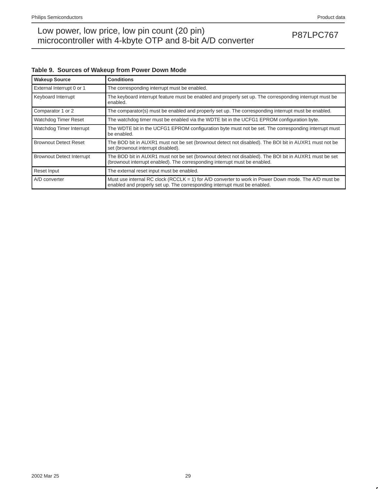## Low power, low price, low pin count (20 pin)<br>misroecantrallar with 4 kb to OTD and 8 bit A/D converter. microcontroller with 4-kbyte OTP and 8-bit A/D converter

## **Table 9. Sources of Wakeup from Power Down Mode**

| <b>Wakeup Source</b>             | <b>Conditions</b>                                                                                                                                                                   |
|----------------------------------|-------------------------------------------------------------------------------------------------------------------------------------------------------------------------------------|
| External Interrupt 0 or 1        | The corresponding interrupt must be enabled.                                                                                                                                        |
| Keyboard Interrupt               | The keyboard interrupt feature must be enabled and properly set up. The corresponding interrupt must be<br>enabled.                                                                 |
| Comparator 1 or 2                | The comparator(s) must be enabled and properly set up. The corresponding interrupt must be enabled.                                                                                 |
| Watchdog Timer Reset             | The watchdog timer must be enabled via the WDTE bit in the UCFG1 EPROM configuration byte.                                                                                          |
| Watchdog Timer Interrupt         | The WDTE bit in the UCFG1 EPROM configuration byte must not be set. The corresponding interrupt must<br>be enabled.                                                                 |
| <b>Brownout Detect Reset</b>     | The BOD bit in AUXR1 must not be set (brownout detect not disabled). The BOI bit in AUXR1 must not be<br>set (brownout interrupt disabled).                                         |
| <b>Brownout Detect Interrupt</b> | The BOD bit in AUXR1 must not be set (brownout detect not disabled). The BOI bit in AUXR1 must be set<br>(brownout interrupt enabled). The corresponding interrupt must be enabled. |
| Reset Input                      | The external reset input must be enabled.                                                                                                                                           |
| A/D converter                    | Must use internal RC clock (RCCLK = 1) for A/D converter to work in Power Down mode. The A/D must be<br>enabled and properly set up. The corresponding interrupt must be enabled.   |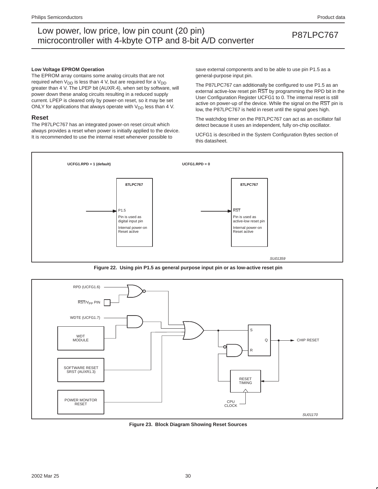#### **Low Voltage EPROM Operation**

The EPROM array contains some analog circuits that are not required when  $V_{DD}$  is less than 4 V, but are required for a  $V_{DD}$ greater than 4 V. The LPEP bit (AUXR.4), when set by software, will power down these analog circuits resulting in a reduced supply current. LPEP is cleared only by power-on reset, so it may be set ONLY for applications that always operate with  $V_{DD}$  less than 4 V.

#### **Reset**

The P87LPC767 has an integrated power-on reset circuit which always provides a reset when power is initially applied to the device. It is recommended to use the internal reset whenever possible to

save external components and to be able to use pin P1.5 as a general-purpose input pin.

The P87LPC767 can additionally be configured to use P1.5 as an external active-low reset pin RST by programming the RPD bit in the User Configuration Register UCFG1 to 0. The internal reset is still active on power-up of the device. While the signal on the RST pin is low, the P87LPC767 is held in reset until the signal goes high.

The watchdog timer on the P87LPC767 can act as an oscillator fail detect because it uses an independent, fully on-chip oscillator.

UCFG1 is described in the System Configuration Bytes section of this datasheet.



**Figure 22. Using pin P1.5 as general purpose input pin or as low-active reset pin**



**Figure 23. Block Diagram Showing Reset Sources**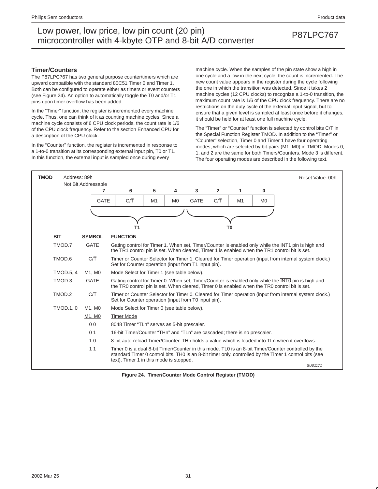### **Timer/Counters**

The P87LPC767 has two general purpose counter/timers which are upward compatible with the standard 80C51 Timer 0 and Timer 1. Both can be configured to operate either as timers or event counters (see Figure 24). An option to automatically toggle the T0 and/or T1 pins upon timer overflow has been added.

In the "Timer" function, the register is incremented every machine cycle. Thus, one can think of it as counting machine cycles. Since a machine cycle consists of 6 CPU clock periods, the count rate is 1/6 of the CPU clock frequency. Refer to the section Enhanced CPU for a description of the CPU clock.

In the "Counter" function, the register is incremented in response to a 1-to-0 transition at its corresponding external input pin, T0 or T1. In this function, the external input is sampled once during every

machine cycle. When the samples of the pin state show a high in one cycle and a low in the next cycle, the count is incremented. The new count value appears in the register during the cycle following the one in which the transition was detected. Since it takes 2 machine cycles (12 CPU clocks) to recognize a 1-to-0 transition, the maximum count rate is 1/6 of the CPU clock frequency. There are no restrictions on the duty cycle of the external input signal, but to ensure that a given level is sampled at least once before it changes, it should be held for at least one full machine cycle.

The "Timer" or "Counter" function is selected by control bits C/T in the Special Function Register TMOD. In addition to the "Timer" or "Counter" selection, Timer 0 and Timer 1 have four operating modes, which are selected by bit-pairs (M1, M0) in TMOD. Modes 0, 1, and 2 are the same for both Timers/Counters. Mode 3 is different. The four operating modes are described in the following text.



**Figure 24. Timer/Counter Mode Control Register (TMOD)**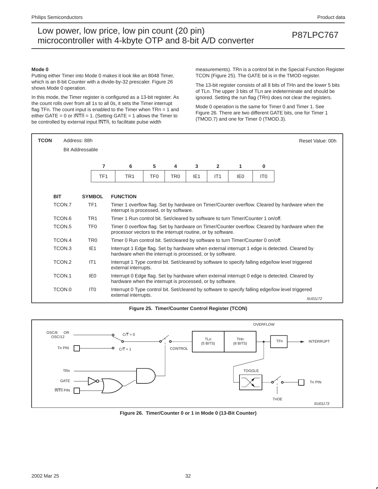#### **Mode 0**

Putting either Timer into Mode 0 makes it look like an 8048 Timer, which is an 8-bit Counter with a divide-by-32 prescaler. Figure 26 shows Mode 0 operation.

In this mode, the Timer register is configured as a 13-bit register. As the count rolls over from all 1s to all 0s, it sets the Timer interrupt flag TFn. The count input is enabled to the Timer when TRn = 1 and either GATE = 0 or  $\overline{\text{INTn}}$  = 1. (Setting GATE = 1 allows the Timer to be controlled by external input  $\overline{\text{INTn}}$ , to facilitate pulse width

measurements). TRn is a control bit in the Special Function Register TCON (Figure 25). The GATE bit is in the TMOD register.

The 13-bit register consists of all 8 bits of THn and the lower 5 bits of TLn. The upper 3 bits of TLn are indeterminate and should be ignored. Setting the run flag (TRn) does not clear the registers.

Mode 0 operation is the same for Timer 0 and Timer 1. See Figure 26. There are two different GATE bits, one for Timer 1 (TMOD.7) and one for Timer 0 (TMOD.3).

| <b>TCON</b> | Address: 88h<br>Reset Value: 00h<br><b>Bit Addressable</b> |                 |                                                                                  |                                                                                                                                                            |                 |                 |     |                 |                 |                                                                                                   |  |  |
|-------------|------------------------------------------------------------|-----------------|----------------------------------------------------------------------------------|------------------------------------------------------------------------------------------------------------------------------------------------------------|-----------------|-----------------|-----|-----------------|-----------------|---------------------------------------------------------------------------------------------------|--|--|
|             |                                                            |                 |                                                                                  |                                                                                                                                                            |                 |                 |     |                 |                 |                                                                                                   |  |  |
|             | 5<br>7<br>$\overline{2}$<br>6<br>4<br>3<br>1<br>0          |                 |                                                                                  |                                                                                                                                                            |                 |                 |     |                 |                 |                                                                                                   |  |  |
|             |                                                            | TF <sub>1</sub> | TR <sub>1</sub>                                                                  | TF <sub>0</sub>                                                                                                                                            | TR <sub>0</sub> | IE <sub>1</sub> | IT1 | IE <sub>0</sub> | IT <sub>0</sub> |                                                                                                   |  |  |
|             |                                                            |                 |                                                                                  |                                                                                                                                                            |                 |                 |     |                 |                 |                                                                                                   |  |  |
| <b>BIT</b>  |                                                            | <b>SYMBOL</b>   | <b>FUNCTION</b>                                                                  |                                                                                                                                                            |                 |                 |     |                 |                 |                                                                                                   |  |  |
|             | TCON.7                                                     | TF <sub>1</sub> |                                                                                  | Timer 1 overflow flag. Set by hardware on Timer/Counter overflow. Cleared by hardware when the<br>interrupt is processed, or by software.                  |                 |                 |     |                 |                 |                                                                                                   |  |  |
|             | TCON.6                                                     | TR <sub>1</sub> | Timer 1 Run control bit. Set/cleared by software to turn Timer/Counter 1 on/off. |                                                                                                                                                            |                 |                 |     |                 |                 |                                                                                                   |  |  |
|             | TCON <sub>.5</sub>                                         | TF <sub>0</sub> | processor vectors to the interrupt routine, or by software.                      |                                                                                                                                                            |                 |                 |     |                 |                 | Timer 0 overflow flag. Set by hardware on Timer/Counter overflow. Cleared by hardware when the    |  |  |
|             | TCON.4                                                     | TR <sub>0</sub> | Timer 0 Run control bit. Set/cleared by software to turn Timer/Counter 0 on/off. |                                                                                                                                                            |                 |                 |     |                 |                 |                                                                                                   |  |  |
|             | TCON.3                                                     | IE <sub>1</sub> | hardware when the interrupt is processed, or by software.                        |                                                                                                                                                            |                 |                 |     |                 |                 | Interrupt 1 Edge flag. Set by hardware when external interrupt 1 edge is detected. Cleared by     |  |  |
|             | TCON.2                                                     | IT1             | external interrupts.                                                             |                                                                                                                                                            |                 |                 |     |                 |                 | Interrupt 1 Type control bit. Set/cleared by software to specify falling edge/low level triggered |  |  |
|             | TCON.1                                                     | IE <sub>0</sub> |                                                                                  | Interrupt 0 Edge flag. Set by hardware when external interrupt 0 edge is detected. Cleared by<br>hardware when the interrupt is processed, or by software. |                 |                 |     |                 |                 |                                                                                                   |  |  |
|             | TCON.0                                                     | IT <sub>0</sub> |                                                                                  |                                                                                                                                                            |                 |                 |     |                 |                 | Interrupt 0 Type control bit. Set/cleared by software to specify falling edge/low level triggered |  |  |
|             |                                                            |                 | external interrupts.                                                             |                                                                                                                                                            |                 |                 |     |                 |                 | SU01172                                                                                           |  |  |

**Figure 25. Timer/Counter Control Register (TCON)**



**Figure 26. Timer/Counter 0 or 1 in Mode 0 (13-Bit Counter)**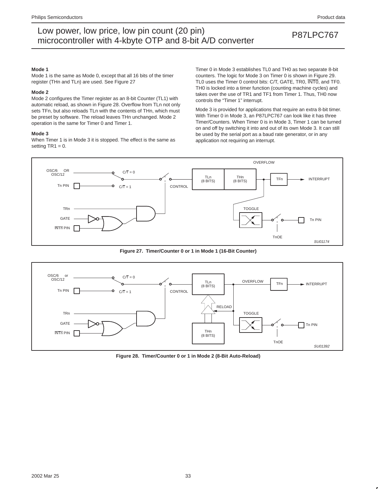#### **Mode 1**

Mode 1 is the same as Mode 0, except that all 16 bits of the timer register (THn and TLn) are used. See Figure 27

#### **Mode 2**

Mode 2 configures the Timer register as an 8-bit Counter (TL1) with automatic reload, as shown in Figure 28. Overflow from TLn not only sets TFn, but also reloads TLn with the contents of THn, which must be preset by software. The reload leaves THn unchanged. Mode 2 operation is the same for Timer 0 and Timer 1.

#### **Mode 3**

When Timer 1 is in Mode 3 it is stopped. The effect is the same as setting  $TR1 = 0$ .

Timer 0 in Mode 3 establishes TL0 and TH0 as two separate 8-bit counters. The logic for Mode 3 on Timer 0 is shown in Figure 29. TL0 uses the Timer 0 control bits: C/T, GATE, TR0, INT0, and TF0. TH0 is locked into a timer function (counting machine cycles) and takes over the use of TR1 and TF1 from Timer 1. Thus, TH0 now controls the "Timer 1" interrupt.

Mode 3 is provided for applications that require an extra 8-bit timer. With Timer 0 in Mode 3, an P87LPC767 can look like it has three Timer/Counters. When Timer 0 is in Mode 3, Timer 1 can be turned on and off by switching it into and out of its own Mode 3. It can still be used by the serial port as a baud rate generator, or in any application not requiring an interrupt.



**Figure 27. Timer/Counter 0 or 1 in Mode 1 (16-Bit Counter)**



**Figure 28. Timer/Counter 0 or 1 in Mode 2 (8-Bit Auto-Reload)**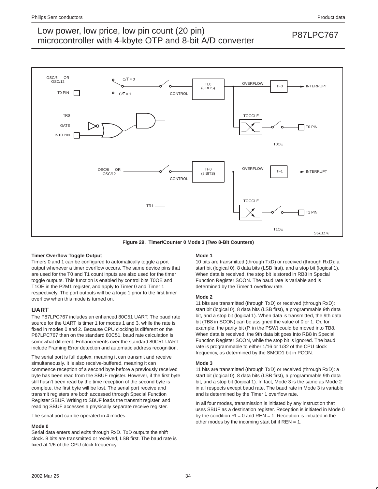

**Figure 29. Timer/Counter 0 Mode 3 (Two 8-Bit Counters)**

### **Timer Overflow Toggle Output**

Timers 0 and 1 can be configured to automatically toggle a port output whenever a timer overflow occurs. The same device pins that are used for the T0 and T1 count inputs are also used for the timer toggle outputs. This function is enabled by control bits T0OE and T1OE in the P2M1 register, and apply to Timer 0 and Timer 1 respectively. The port outputs will be a logic 1 prior to the first timer overflow when this mode is turned on.

### **UART**

The P87LPC767 includes an enhanced 80C51 UART. The baud rate source for the UART is timer 1 for modes 1 and 3, while the rate is fixed in modes 0 and 2. Because CPU clocking is different on the P87LPC767 than on the standard 80C51, baud rate calculation is somewhat different. Enhancements over the standard 80C51 UART include Framing Error detection and automatic address recognition.

The serial port is full duplex, meaning it can transmit and receive simultaneously. It is also receive-buffered, meaning it can commence reception of a second byte before a previously received byte has been read from the SBUF register. However, if the first byte still hasn't been read by the time reception of the second byte is complete, the first byte will be lost. The serial port receive and transmit registers are both accessed through Special Function Register SBUF. Writing to SBUF loads the transmit register, and reading SBUF accesses a physically separate receive register.

The serial port can be operated in 4 modes:

### **Mode 0**

Serial data enters and exits through RxD. TxD outputs the shift clock. 8 bits are transmitted or received, LSB first. The baud rate is fixed at 1/6 of the CPU clock frequency.

#### **Mode 1**

10 bits are transmitted (through TxD) or received (through RxD): a start bit (logical 0), 8 data bits (LSB first), and a stop bit (logical 1). When data is received, the stop bit is stored in RB8 in Special Function Register SCON. The baud rate is variable and is determined by the Timer 1 overflow rate.

#### **Mode 2**

11 bits are transmitted (through TxD) or received (through RxD): start bit (logical 0), 8 data bits (LSB first), a programmable 9th data bit, and a stop bit (logical 1). When data is transmitted, the 9th data bit (TB8 in SCON) can be assigned the value of 0 or 1. Or, for example, the parity bit (P, in the PSW) could be moved into TB8. When data is received, the 9th data bit goes into RB8 in Special Function Register SCON, while the stop bit is ignored. The baud rate is programmable to either 1/16 or 1/32 of the CPU clock frequency, as determined by the SMOD1 bit in PCON.

#### **Mode 3**

11 bits are transmitted (through TxD) or received (through RxD): a start bit (logical 0), 8 data bits (LSB first), a programmable 9th data bit, and a stop bit (logical 1). In fact, Mode 3 is the same as Mode 2 in all respects except baud rate. The baud rate in Mode 3 is variable and is determined by the Timer 1 overflow rate.

In all four modes, transmission is initiated by any instruction that uses SBUF as a destination register. Reception is initiated in Mode 0 by the condition  $RI = 0$  and  $REN = 1$ . Reception is initiated in the other modes by the incoming start bit if  $REN = 1$ .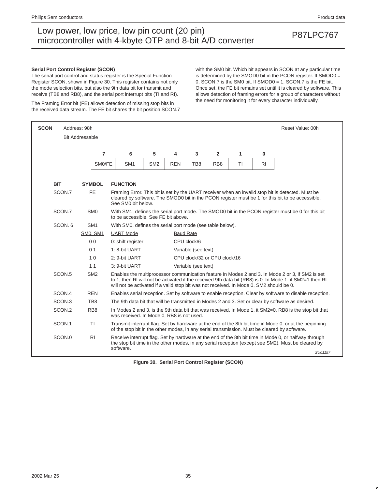#### **Serial Port Control Register (SCON)**

The serial port control and status register is the Special Function Register SCON, shown in Figure 30. This register contains not only the mode selection bits, but also the 9th data bit for transmit and receive (TB8 and RB8), and the serial port interrupt bits (TI and RI).

The Framing Error bit (FE) allows detection of missing stop bits in the received data stream. The FE bit shares the bit position SCON.7 with the SM0 bit. Which bit appears in SCON at any particular time is determined by the SMOD0 bit in the PCON register. If SMOD0 = 0, SCON.7 is the SM0 bit. If SMOD0 = 1, SCON.7 is the FE bit. Once set, the FE bit remains set until it is cleared by software. This allows detection of framing errors for a group of characters without the need for monitoring it for every character individually.

| <b>SCON</b>        | Address: 98h                                                                                                                                                |                                                                                         |                 |                  |                     |                              |           |                | Reset Value: 00h                                                                                                                                                                                             |
|--------------------|-------------------------------------------------------------------------------------------------------------------------------------------------------------|-----------------------------------------------------------------------------------------|-----------------|------------------|---------------------|------------------------------|-----------|----------------|--------------------------------------------------------------------------------------------------------------------------------------------------------------------------------------------------------------|
|                    | <b>Bit Addressable</b>                                                                                                                                      |                                                                                         |                 |                  |                     |                              |           |                |                                                                                                                                                                                                              |
|                    | $\overline{7}$                                                                                                                                              | 6                                                                                       | 5               | 4                | 3                   | $\overline{2}$               | 1         | $\bf{0}$       |                                                                                                                                                                                                              |
|                    | SMO/FE                                                                                                                                                      | SM <sub>1</sub>                                                                         | SM <sub>2</sub> | <b>REN</b>       | TB <sub>8</sub>     | RB <sub>8</sub>              | <b>TI</b> | R <sub>1</sub> |                                                                                                                                                                                                              |
| <b>BIT</b>         | <b>SYMBOL</b>                                                                                                                                               | <b>FUNCTION</b>                                                                         |                 |                  |                     |                              |           |                |                                                                                                                                                                                                              |
| SCON.7             | <b>FE</b>                                                                                                                                                   | See SM0 bit below.                                                                      |                 |                  |                     |                              |           |                | Framing Error. This bit is set by the UART receiver when an invalid stop bit is detected. Must be<br>cleared by software. The SMOD0 bit in the PCON register must be 1 for this bit to be accessible.        |
| SCON.7             | SM <sub>0</sub><br>With SM1, defines the serial port mode. The SMOD0 bit in the PCON register must be 0 for this bit<br>to be accessible. See FE bit above. |                                                                                         |                 |                  |                     |                              |           |                |                                                                                                                                                                                                              |
| SCON, 6            | SM <sub>1</sub>                                                                                                                                             | With SM0, defines the serial port mode (see table below).                               |                 |                  |                     |                              |           |                |                                                                                                                                                                                                              |
|                    | SMO, SM1                                                                                                                                                    | <b>UART Mode</b>                                                                        |                 | <b>Baud Rate</b> |                     |                              |           |                |                                                                                                                                                                                                              |
|                    | 0 <sub>0</sub>                                                                                                                                              | 0: shift register                                                                       |                 |                  | CPU clock/6         |                              |           |                |                                                                                                                                                                                                              |
|                    | 0 <sub>1</sub>                                                                                                                                              | 1: 8-bit UART                                                                           |                 |                  | Variable (see text) |                              |           |                |                                                                                                                                                                                                              |
|                    | 10                                                                                                                                                          | 2: 9-bit UART                                                                           |                 |                  |                     | CPU clock/32 or CPU clock/16 |           |                |                                                                                                                                                                                                              |
|                    | 11                                                                                                                                                          | 3: 9-bit UART                                                                           |                 |                  | Variable (see text) |                              |           |                |                                                                                                                                                                                                              |
| SCON <sub>.5</sub> | SM <sub>2</sub>                                                                                                                                             | will not be activated if a valid stop bit was not received. In Mode 0, SM2 should be 0. |                 |                  |                     |                              |           |                | Enables the multiprocessor communication feature in Modes 2 and 3. In Mode 2 or 3, if SM2 is set<br>to 1, then RI will not be activated if the received 9th data bit (RB8) is 0. In Mode 1, if SM2=1 then RI |
| SCON.4             | <b>REN</b>                                                                                                                                                  |                                                                                         |                 |                  |                     |                              |           |                | Enables serial reception. Set by software to enable reception. Clear by software to disable reception.                                                                                                       |
| SCON <sub>3</sub>  | T <sub>R</sub> 8                                                                                                                                            |                                                                                         |                 |                  |                     |                              |           |                | The 9th data bit that will be transmitted in Modes 2 and 3. Set or clear by software as desired.                                                                                                             |
| SCON.2             | RB <sub>8</sub>                                                                                                                                             | was received. In Mode 0, RB8 is not used.                                               |                 |                  |                     |                              |           |                | In Modes 2 and 3, is the 9th data bit that was received. In Mode 1, it SM2=0, RB8 is the stop bit that                                                                                                       |
| SCON.1             | <b>TI</b>                                                                                                                                                   |                                                                                         |                 |                  |                     |                              |           |                | Transmit interrupt flag. Set by hardware at the end of the 8th bit time in Mode 0, or at the beginning<br>of the stop bit in the other modes, in any serial transmission. Must be cleared by software.       |
| SCON.0             | R <sub>1</sub>                                                                                                                                              | software.                                                                               |                 |                  |                     |                              |           |                | Receive interrupt flag. Set by hardware at the end of the 8th bit time in Mode 0, or halfway through<br>the stop bit time in the other modes, in any serial reception (except see SM2). Must be cleared by   |
|                    |                                                                                                                                                             |                                                                                         |                 |                  |                     |                              |           |                | SU01157                                                                                                                                                                                                      |

**Figure 30. Serial Port Control Register (SCON)**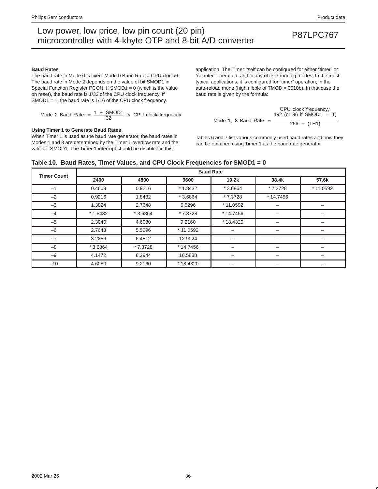#### **Baud Rates**

The baud rate in Mode 0 is fixed: Mode 0 Baud Rate = CPU clock/6. The baud rate in Mode 2 depends on the value of bit SMOD1 in Special Function Register PCON. If SMOD1 = 0 (which is the value on reset), the baud rate is 1/32 of the CPU clock frequency. If SMOD1 = 1, the baud rate is 1/16 of the CPU clock frequency.

Mode 2 Baud Rate = 
$$
\frac{1 + \text{SMOD1}}{32} \times \text{CPU clock frequency}
$$

#### **Using Timer 1 to Generate Baud Rates**

When Timer 1 is used as the baud rate generator, the baud rates in Modes 1 and 3 are determined by the Timer 1 overflow rate and the value of SMOD1. The Timer 1 interrupt should be disabled in this

application. The Timer itself can be configured for either "timer" or "counter" operation, and in any of its 3 running modes. In the most typical applications, it is configured for "timer" operation, in the auto-reload mode (high nibble of TMOD = 0010b). In that case the baud rate is given by the formula:

$$
CPU clock frequency / \text{Mode 1, 3 Baud Rate} = \frac{192 (or 96 if SMOD1 = 1)}{256 - (TH1)}
$$

Tables 6 and 7 list various commonly used baud rates and how they can be obtained using Timer 1 as the baud rate generator.

|  | Table 10. Baud Rates, Timer Values, and CPU Clock Frequencies for SMOD1 = $0$ |  |  |
|--|-------------------------------------------------------------------------------|--|--|
|  |                                                                               |  |  |

| <b>Timer Count</b> |           |           |           | <b>Baud Rate</b> |            |           |
|--------------------|-----------|-----------|-----------|------------------|------------|-----------|
|                    | 2400      | 4800      | 9600      | 19.2k            | 38.4k      | 57.6k     |
| $-1$               | 0.4608    | 0.9216    | $*1.8432$ | $*3.6864$        | * 7.3728   | * 11.0592 |
| $-2$               | 0.9216    | 1.8432    | $*3.6864$ | * 7.3728         | $*14.7456$ |           |
| $-3$               | 1.3824    | 2.7648    | 5.5296    | * 11.0592        |            |           |
| $-4$               | $*1.8432$ | $*3.6864$ | * 7.3728  | $*14.7456$       |            |           |
| $-5$               | 2.3040    | 4.6080    | 9.2160    | * 18.4320        |            |           |
| $-6$               | 2.7648    | 5.5296    | * 11.0592 |                  |            |           |
| $-7$               | 3.2256    | 6.4512    | 12.9024   |                  |            |           |
| $-8$               | $*3.6864$ | $*7.3728$ | * 14.7456 | —                |            | -         |
| $-9$               | 4.1472    | 8.2944    | 16.5888   | -                |            | -         |
| $-10$              | 4.6080    | 9.2160    | *18.4320  | -                |            | -         |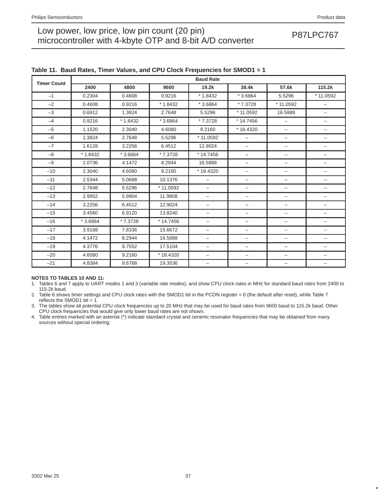| <b>Timer Count</b> |           |           |            | <b>Baud Rate</b>         |                          |                                  |                          |
|--------------------|-----------|-----------|------------|--------------------------|--------------------------|----------------------------------|--------------------------|
|                    | 2400      | 4800      | 9600       | 19.2k                    | 38.4k                    | 57.6k                            | 115.2k                   |
| $-1$               | 0.2304    | 0.4608    | 0.9216     | $*1.8432$                | $*3.6864$                | 5.5296                           | * 11.0592                |
| $-2$               | 0.4608    | 0.9216    | $*1.8432$  | $*3.6864$                | * 7.3728                 | * 11.0592                        | $\qquad \qquad -$        |
| $-3$               | 0.6912    | 1.3824    | 2.7648     | 5.5296                   | * 11.0592                | 16.5888                          | $\overline{\phantom{0}}$ |
| $-4$               | 0.9216    | $*1.8432$ | $*3.6864$  | * 7.3728                 | $*14.7456$               | -                                | -                        |
| $-5$               | 1.1520    | 2.3040    | 4.6080     | 9.2160                   | *18.4320                 | $\qquad \qquad -$                | -                        |
| $-6$               | 1.3824    | 2.7648    | 5.5296     | * 11.0592                | -                        | $\overline{\phantom{0}}$         | $\qquad \qquad -$        |
| $-7$               | 1.6128    | 3.2256    | 6.4512     | 12.9024                  | $\overline{\phantom{0}}$ | -                                | $\overline{\phantom{m}}$ |
| $-8$               | $*1.8432$ | $*3.6864$ | * 7.3728   | $*14.7456$               | -                        | $\overbrace{\phantom{12322111}}$ | -                        |
| $-9$               | 2.0736    | 4.1472    | 8.2944     | 16.5888                  | -                        | $\qquad \qquad -$                | -                        |
| $-10$              | 2.3040    | 4.6080    | 9.2160     | $*18.4320$               | $\overline{\phantom{0}}$ | $\qquad \qquad -$                | $\qquad \qquad -$        |
| $-11$              | 2.5344    | 5.0688    | 10.1376    | $\overline{\phantom{0}}$ | -                        | $\qquad \qquad -$                | $\qquad \qquad -$        |
| $-12$              | 2.7648    | 5.5296    | $*11.0592$ | -                        | -                        | -                                | -                        |
| $-13$              | 2.9952    | 5.9904    | 11.9808    | -                        | -                        | $\overline{\phantom{0}}$         | -                        |
| $-14$              | 3.2256    | 6.4512    | 12.9024    | $\overline{\phantom{0}}$ | $\overline{\phantom{0}}$ | $\qquad \qquad -$                | $\qquad \qquad -$        |
| $-15$              | 3.4560    | 6.9120    | 13.8240    | -                        | -                        | $\overline{\phantom{0}}$         | -                        |
| $-16$              | $*3.6864$ | * 7.3728  | * 14.7456  | -                        | -                        | $\overline{\phantom{0}}$         | -                        |
| $-17$              | 3.9168    | 7.8336    | 15.6672    | -                        | -                        | $\qquad \qquad -$                | -                        |
| $-18$              | 4.1472    | 8.2944    | 16.5888    | $\overline{\phantom{0}}$ | $\overline{\phantom{0}}$ | $\overline{\phantom{0}}$         | $\overline{\phantom{m}}$ |
| $-19$              | 4.3776    | 8.7552    | 17.5104    | -                        | -                        | $\overline{\phantom{0}}$         | $\qquad \qquad -$        |
| $-20$              | 4.6080    | 9.2160    | $*18.4320$ | -                        | -                        | $\qquad \qquad -$                | -                        |
| $-21$              | 4.8384    | 9.6768    | 19.3536    | -                        |                          | $\overline{\phantom{0}}$         | -                        |

### **Table 11. Baud Rates, Timer Values, and CPU Clock Frequencies for SMOD1 = 1**

#### **NOTES TO TABLES 10 AND 11:**

1. Tables 6 and 7 apply to UART modes 1 and 3 (variable rate modes), and show CPU clock rates in MHz for standard baud rates from 2400 to 115.2k baud.

2. Table 6 shows timer settings and CPU clock rates with the SMOD1 bit in the PCON register = 0 (the default after reset), while Table 7 reflects the SMOD1 bit =  $1$ .

3. The tables show all potential CPU clock frequencies up to 20 MHz that may be used for baud rates from 9600 baud to 115.2k baud. Other CPU clock frequencies that would give only lower baud rates are not shown.

4. Table entries marked with an asterisk (\*) indicate standard crystal and ceramic resonator frequencies that may be obtained from many sources without special ordering.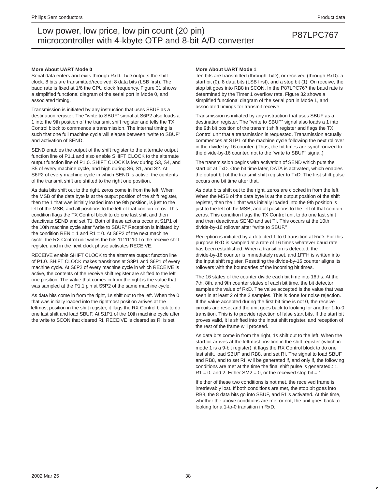#### **More About UART Mode 0**

Serial data enters and exits through RxD. TxD outputs the shift clock. 8 bits are transmitted/received: 8 data bits (LSB first). The baud rate is fixed at 1/6 the CPU clock frequency. Figure 31 shows a simplified functional diagram of the serial port in Mode 0, and associated timing.

Transmission is initiated by any instruction that uses SBUF as a destination register. The "write to SBUF" signal at S6P2 also loads a 1 into the 9th position of the transmit shift register and tells the TX Control block to commence a transmission. The internal timing is such that one full machine cycle will elapse between "write to SBUF" and activation of SEND.

SEND enables the output of the shift register to the alternate output function line of P1.1 and also enable SHIFT CLOCK to the alternate output function line of P1.0. SHIFT CLOCK is low during S3, S4, and S5 of every machine cycle, and high during S6, S1, and S2. At S6P2 of every machine cycle in which SEND is active, the contents of the transmit shift are shifted to the right one position.

As data bits shift out to the right, zeros come in from the left. When the MSB of the data byte is at the output position of the shift register, then the 1 that was initially loaded into the 9th position, is just to the left of the MSB, and all positions to the left of that contain zeros. This condition flags the TX Control block to do one last shift and then deactivate SEND and set T1. Both of these actions occur at S1P1 of the 10th machine cycle after "write to SBUF." Reception is initiated by the condition  $REN = 1$  and  $R1 = 0$ . At S6P2 of the next machine cycle, the RX Control unit writes the bits 11111110 t o the receive shift register, and in the next clock phase activates RECEIVE.

RECEIVE enable SHIFT CLOCK to the alternate output function line of P1.0. SHIFT CLOCK makes transitions at S3P1 and S6P1 of every machine cycle. At S6P2 of every machine cycle in which RECEIVE is active, the contents of the receive shift register are shifted to the left one position. The value that comes in from the right is the value that was sampled at the P1.1 pin at S5P2 of the same machine cycle.

As data bits come in from the right, 1s shift out to the left. When the 0 that was initially loaded into the rightmost position arrives at the leftmost position in the shift register, it flags the RX Control block to do one last shift and load SBUF. At S1P1 of the 10th machine cycle after the write to SCON that cleared RI, RECEIVE is cleared as RI is set.

#### **More About UART Mode 1**

Ten bits are transmitted (through TxD), or received (through RxD): a start bit (0), 8 data bits (LSB first), and a stop bit (1). On receive, the stop bit goes into RB8 in SCON. In the P87LPC767 the baud rate is determined by the Timer 1 overflow rate. Figure 32 shows a simplified functional diagram of the serial port in Mode 1, and associated timings for transmit receive.

Transmission is initiated by any instruction that uses SBUF as a destination register. The "write to SBUF" signal also loads a 1 into the 9th bit position of the transmit shift register and flags the TX Control unit that a transmission is requested. Transmission actually commences at S1P1 of the machine cycle following the next rollover in the divide-by-16 counter. (Thus, the bit times are synchronized to the divide-by-16 counter, not to the "write to SBUF" signal.)

The transmission begins with activation of SEND which puts the start bit at TxD. One bit time later, DATA is activated, which enables the output bit of the transmit shift register to TxD. The first shift pulse occurs one bit time after that.

As data bits shift out to the right, zeros are clocked in from the left. When the MSB of the data byte is at the output position of the shift register, then the 1 that was initially loaded into the 9th position is just to the left of the MSB, and all positions to the left of that contain zeros. This condition flags the TX Control unit to do one last shift and then deactivate SEND and set TI. This occurs at the 10th divide-by-16 rollover after "write to SBUF."

Reception is initiated by a detected 1-to-0 transition at RxD. For this purpose RxD is sampled at a rate of 16 times whatever baud rate has been established. When a transition is detected, the divide-by-16 counter is immediately reset, and 1FFH is written into the input shift register. Resetting the divide-by-16 counter aligns its rollovers with the boundaries of the incoming bit times.

The 16 states of the counter divide each bit time into 16ths. At the 7th, 8th, and 9th counter states of each bit time, the bit detector samples the value of RxD. The value accepted is the value that was seen in at least 2 of the 3 samples. This is done for noise rejection. If the value accepted during the first bit time is not 0, the receive circuits are reset and the unit goes back to looking for another 1-to-0 transition. This is to provide rejection of false start bits. If the start bit proves valid, it is shifted into the input shift register, and reception of the rest of the frame will proceed.

As data bits come in from the right, 1s shift out to the left. When the start bit arrives at the leftmost position in the shift register (which in mode 1 is a 9-bit register), it flags the RX Control block to do one last shift, load SBUF and RB8, and set RI. The signal to load SBUF and RB8, and to set RI, will be generated if, and only if, the following conditions are met at the time the final shift pulse is generated.: 1.  $R1 = 0$ , and 2. Either SM2 = 0, or the received stop bit = 1.

If either of these two conditions is not met, the received frame is irretrievably lost. If both conditions are met, the stop bit goes into RB8, the 8 data bits go into SBUF, and RI is activated. At this time, whether the above conditions are met or not, the unit goes back to looking for a 1-to-0 transition in RxD.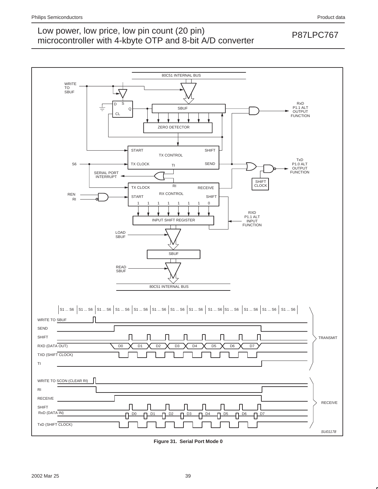

**Figure 31. Serial Port Mode 0**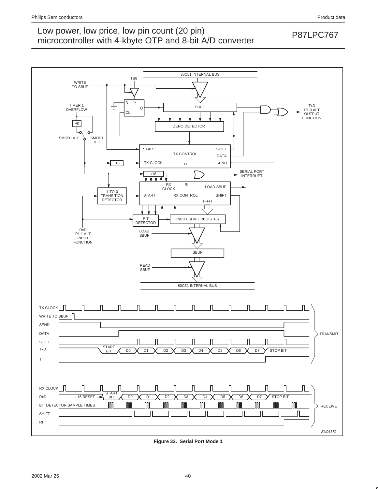



**Figure 32. Serial Port Mode 1**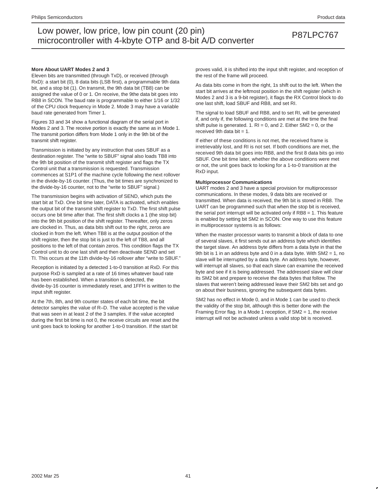#### **More About UART Modes 2 and 3**

Eleven bits are transmitted (through TxD), or received (through RxD): a start bit (0), 8 data bits (LSB first), a programmable 9th data bit, and a stop bit (1). On transmit, the 9th data bit (TB8) can be assigned the value of 0 or 1. On receive, the 9the data bit goes into RB8 in SCON. The baud rate is programmable to either 1/16 or 1/32 of the CPU clock frequency in Mode 2. Mode 3 may have a variable baud rate generated from Timer 1.

Figures 33 and 34 show a functional diagram of the serial port in Modes 2 and 3. The receive portion is exactly the same as in Mode 1. The transmit portion differs from Mode 1 only in the 9th bit of the transmit shift register.

Transmission is initiated by any instruction that uses SBUF as a destination register. The "write to SBUF" signal also loads TB8 into the 9th bit position of the transmit shift register and flags the TX Control unit that a transmission is requested. Transmission commences at S1P1 of the machine cycle following the next rollover in the divide-by-16 counter. (Thus, the bit times are synchronized to the divide-by-16 counter, not to the "write to SBUF" signal.)

The transmission begins with activation of SEND, which puts the start bit at TxD. One bit time later, DATA is activated, which enables the output bit of the transmit shift register to TxD. The first shift pulse occurs one bit time after that. The first shift clocks a 1 (the stop bit) into the 9th bit position of the shift register. Thereafter, only zeros are clocked in. Thus, as data bits shift out to the right, zeros are clocked in from the left. When TB8 is at the output position of the shift register, then the stop bit is just to the left of TB8, and all positions to the left of that contain zeros. This condition flags the TX Control unit to do one last shift and then deactivate SEND and set TI. This occurs at the 11th divide-by-16 rollover after "write to SBUF."

Reception is initiated by a detected 1-to-0 transition at RxD. For this purpose RxD is sampled at a rate of 16 times whatever baud rate has been established. When a transition is detected, the divide-by-16 counter is immediately reset, and 1FFH is written to the input shift register.

At the 7th, 8th, and 9th counter states of each bit time, the bit detector samples the value of R–D. The value accepted is the value that was seen in at least 2 of the 3 samples. If the value accepted during the first bit time is not 0, the receive circuits are reset and the unit goes back to looking for another 1-to-0 transition. If the start bit

proves valid, it is shifted into the input shift register, and reception of the rest of the frame will proceed.

As data bits come in from the right, 1s shift out to the left. When the start bit arrives at the leftmost position in the shift register (which in Modes 2 and 3 is a 9-bit register), it flags the RX Control block to do one last shift, load SBUF and RB8, and set RI.

The signal to load SBUF and RB8, and to set RI, will be generated if, and only if, the following conditions are met at the time the final shift pulse is generated. 1.  $RI = 0$ , and 2. Either SM2 = 0, or the received 9th data bit  $= 1$ .

If either of these conditions is not met, the received frame is irretrievably lost, and RI is not set. If both conditions are met, the received 9th data bit goes into RB8, and the first 8 data bits go into SBUF. One bit time later, whether the above conditions were met or not, the unit goes back to looking for a 1-to-0 transition at the RxD input.

#### **Multiprocessor Communications**

UART modes 2 and 3 have a special provision for multiprocessor communications. In these modes, 9 data bits are received or transmitted. When data is received, the 9th bit is stored in RB8. The UART can be programmed such that when the stop bit is received, the serial port interrupt will be activated only if RB8 = 1. This feature is enabled by setting bit SM2 in SCON. One way to use this feature in multiprocessor systems is as follows:

When the master processor wants to transmit a block of data to one of several slaves, it first sends out an address byte which identifies the target slave. An address byte differs from a data byte in that the 9th bit is 1 in an address byte and 0 in a data byte. With SM2 = 1, no slave will be interrupted by a data byte. An address byte, however, will interrupt all slaves, so that each slave can examine the received byte and see if it is being addressed. The addressed slave will clear its SM2 bit and prepare to receive the data bytes that follow. The slaves that weren't being addressed leave their SM2 bits set and go on about their business, ignoring the subsequent data bytes.

SM2 has no effect in Mode 0, and in Mode 1 can be used to check the validity of the stop bit, although this is better done with the Framing Error flag. In a Mode 1 reception, if SM2 = 1, the receive interrupt will not be activated unless a valid stop bit is received.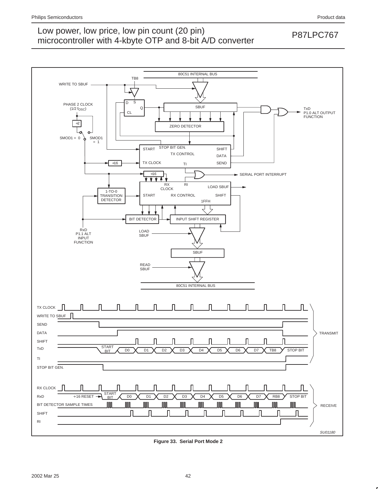

**Figure 33. Serial Port Mode 2**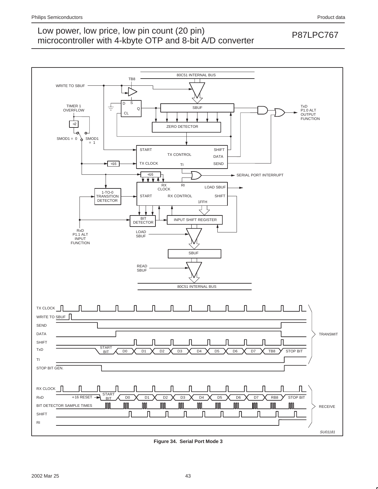

**Figure 34. Serial Port Mode 3**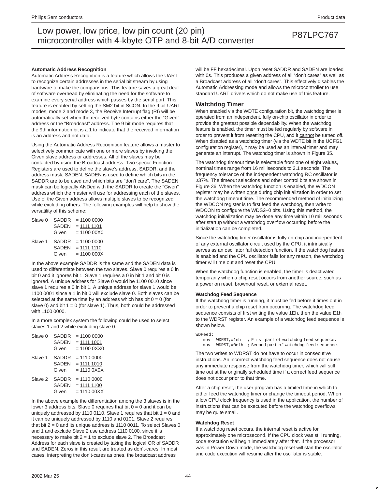#### **Automatic Address Recognition**

Automatic Address Recognition is a feature which allows the UART to recognize certain addresses in the serial bit stream by using hardware to make the comparisons. This feature saves a great deal of software overhead by eliminating the need for the software to examine every serial address which passes by the serial port. This feature is enabled by setting the SM2 bit in SCON. In the 9 bit UART modes, mode 2 and mode 3, the Receive Interrupt flag (RI) will be automatically set when the received byte contains either the "Given" address or the "Broadcast" address. The 9 bit mode requires that the 9th information bit is a 1 to indicate that the received information is an address and not data.

Using the Automatic Address Recognition feature allows a master to selectively communicate with one or more slaves by invoking the Given slave address or addresses. All of the slaves may be contacted by using the Broadcast address. Two special Function Registers are used to define the slave's address, SADDR, and the address mask, SADEN. SADEN is used to define which bits in the SADDR are to be used and which bits are "don't care". The SADEN mask can be logically ANDed with the SADDR to create the "Given" address which the master will use for addressing each of the slaves. Use of the Given address allows multiple slaves to be recognized while excluding others. The following examples will help to show the versatility of this scheme:

| Slave 0 | SADDR        | $= 11000000$  |  |  |  |  |
|---------|--------------|---------------|--|--|--|--|
|         | <b>SADEN</b> | $= 1111 1101$ |  |  |  |  |
|         | Given        | $= 110000000$ |  |  |  |  |
| Slave 1 | <b>SADDR</b> | $= 11000000$  |  |  |  |  |
|         | <b>SADEN</b> | $= 1111 1110$ |  |  |  |  |
|         | Given        | $= 11000000X$ |  |  |  |  |

In the above example SADDR is the same and the SADEN data is used to differentiate between the two slaves. Slave 0 requires a 0 in bit 0 and it ignores bit 1. Slave 1 requires a 0 in bit 1 and bit 0 is ignored. A unique address for Slave 0 would be 1100 0010 since slave 1 requires a 0 in bit 1. A unique address for slave 1 would be 1100 0001 since a 1 in bit 0 will exclude slave 0. Both slaves can be selected at the same time by an address which has bit  $0 = 0$  (for slave 0) and bit  $1 = 0$  (for slave 1). Thus, both could be addressed with 1100 0000.

In a more complex system the following could be used to select slaves 1 and 2 while excluding slave 0:

| Slave 0 | <b>SADDR</b><br><b>SADEN</b><br>Given | $= 11000000$<br>$= 1111 1001$<br>$= 110000$    |
|---------|---------------------------------------|------------------------------------------------|
| Slave 1 | SADDR<br><b>SADEN</b><br>Given        | $= 11100000$<br>$= 1111 1010$<br>$= 111000X0X$ |
| Slave 2 | SADDR<br><b>SADEN</b><br>Given        | $= 11100000$<br>$= 1111 1100$<br>$= 1110000XX$ |

In the above example the differentiation among the 3 slaves is in the lower 3 address bits. Slave 0 requires that bit  $0 = 0$  and it can be uniquely addressed by 1110 0110. Slave 1 requires that bit  $1 = 0$  and it can be uniquely addressed by 1110 and 0101. Slave 2 requires that bit  $2 = 0$  and its unique address is 1110 0011. To select Slaves 0 and 1 and exclude Slave 2 use address 1110 0100, since it is necessary to make bit  $2 = 1$  to exclude slave 2. The Broadcast Address for each slave is created by taking the logical OR of SADDR and SADEN. Zeros in this result are treated as don't-cares. In most cases, interpreting the don't-cares as ones, the broadcast address

will be FF hexadecimal. Upon reset SADDR and SADEN are loaded with 0s. This produces a given address of all "don't cares" as well as a Broadcast address of all "don't cares". This effectively disables the Automatic Addressing mode and allows the microcontroller to use standard UART drivers which do not make use of this feature.

#### **Watchdog Timer**

When enabled via the WDTE configuration bit, the watchdog timer is operated from an independent, fully on-chip oscillator in order to provide the greatest possible dependability. When the watchdog feature is enabled, the timer must be fed regularly by software in order to prevent it from resetting the CPU, and it cannot be turned off. When disabled as a watchdog timer (via the WDTE bit in the UCFG1 configuration register), it may be used as an interval timer and may generate an interrupt. The watchdog timer is shown in Figure 35.

The watchdog timeout time is selectable from one of eight values, nominal times range from 16 milliseconds to 2.1 seconds. The frequency tolerance of the independent watchdog RC oscillator is ±37%. The timeout selections and other control bits are shown in Figure 36. When the watchdog function is enabled, the WDCON register may be written once during chip initialization in order to set the watchdog timeout time. The recommended method of initializing the WDCON register is to first feed the watchdog, then write to WDCON to configure the WDS2–0 bits. Using this method, the watchdog initialization may be done any time within 10 milliseconds after startup without a watchdog overflow occurring before the initialization can be completed.

Since the watchdog timer oscillator is fully on-chip and independent of any external oscillator circuit used by the CPU, it intrinsically serves as an oscillator fail detection function. If the watchdog feature is enabled and the CPU oscillator fails for any reason, the watchdog timer will time out and reset the CPU.

When the watchdog function is enabled, the timer is deactivated temporarily when a chip reset occurs from another source, such as a power on reset, brownout reset, or external reset.

#### **Watchdog Feed Sequence**

If the watchdog timer is running, it must be fed before it times out in order to prevent a chip reset from occurring. The watchdog feed sequence consists of first writing the value 1Eh, then the value E1h to the WDRST register. An example of a watchdog feed sequence is shown below.

```
WDFeed:
mov WDRST,#1eh ; First part of watchdog feed sequence.
 mov WDRST,#0e1h ; Second part of watchdog feed sequence.
```
The two writes to WDRST do not have to occur in consecutive instructions. An incorrect watchdog feed sequence does not cause any immediate response from the watchdog timer, which will still time out at the originally scheduled time if a correct feed sequence does not occur prior to that time.

After a chip reset, the user program has a limited time in which to either feed the watchdog timer or change the timeout period. When a low CPU clock frequency is used in the application, the number of instructions that can be executed before the watchdog overflows may be quite small.

#### **Watchdog Reset**

If a watchdog reset occurs, the internal reset is active for approximately one microsecond. If the CPU clock was still running, code execution will begin immediately after that. If the processor was in Power Down mode, the watchdog reset will start the oscillator and code execution will resume after the oscillator is stable.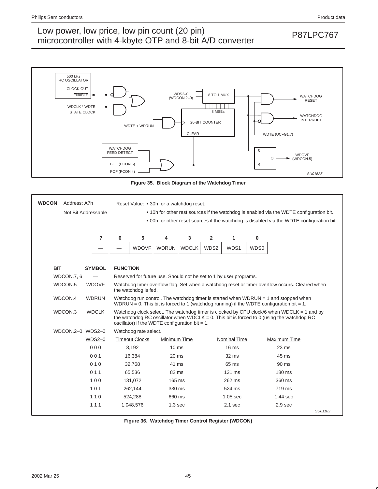## Low power, low price, low pin count (20 pin)<br>misroecantrallar with 4 kb to OTD and 8 bit A/D converter. microcontroller with 4-kbyte OTP and 8-bit A/D converter



**Figure 35. Block Diagram of the Watchdog Timer**

| <b>WDCON</b><br>Address: A7h<br>Not Bit Addressable |                |                 | Reset Value: • 30h for a watchdog reset.<br>• 10h for other rest sources if the watchdog is enabled via the WDTE configuration bit.<br>. 00h for other reset sources if the watchdog is disabled via the WDTE configuration bit. |                                                                   |              |      |                     |      |                                                                                                                                                                                           |         |  |
|-----------------------------------------------------|----------------|-----------------|----------------------------------------------------------------------------------------------------------------------------------------------------------------------------------------------------------------------------------|-------------------------------------------------------------------|--------------|------|---------------------|------|-------------------------------------------------------------------------------------------------------------------------------------------------------------------------------------------|---------|--|
|                                                     | $\overline{7}$ | 6               | 5<br>3<br>$\overline{2}$<br>$\bf{0}$<br>4<br>1                                                                                                                                                                                   |                                                                   |              |      |                     |      |                                                                                                                                                                                           |         |  |
|                                                     |                |                 | <b>WDOVF</b>                                                                                                                                                                                                                     | <b>WDRUN</b>                                                      | <b>WDCLK</b> | WDS2 | WDS1                | WDS0 |                                                                                                                                                                                           |         |  |
| <b>BIT</b>                                          | <b>SYMBOL</b>  | <b>FUNCTION</b> |                                                                                                                                                                                                                                  |                                                                   |              |      |                     |      |                                                                                                                                                                                           |         |  |
| WDCON.7, 6                                          |                |                 |                                                                                                                                                                                                                                  | Reserved for future use. Should not be set to 1 by user programs. |              |      |                     |      |                                                                                                                                                                                           |         |  |
| WDCON.5                                             | <b>WDOVF</b>   |                 | the watchdog is fed.                                                                                                                                                                                                             |                                                                   |              |      |                     |      | Watchdog timer overflow flag. Set when a watchdog reset or timer overflow occurs. Cleared when                                                                                            |         |  |
| WDCON.4                                             | <b>WDRUN</b>   |                 |                                                                                                                                                                                                                                  |                                                                   |              |      |                     |      | Watchdog run control. The watchdog timer is started when $WDRUN = 1$ and stopped when<br>WDRUN = 0. This bit is forced to 1 (watchdog running) if the WDTE configuration bit = 1.         |         |  |
| WDCON.3                                             | <b>WDCLK</b>   |                 |                                                                                                                                                                                                                                  | oscillator) if the WDTE configuration bit = $1$ .                 |              |      |                     |      | Watchdog clock select. The watchdog timer is clocked by CPU clock/6 when WDCLK = 1 and by<br>the watchdog RC oscillator when WDCLK = $0$ . This bit is forced to 0 (using the watchdog RC |         |  |
| WDCON.2-0 WDS2-0                                    |                |                 | Watchdog rate select.                                                                                                                                                                                                            |                                                                   |              |      |                     |      |                                                                                                                                                                                           |         |  |
|                                                     | $WDS2-0$       |                 | <b>Timeout Clocks</b>                                                                                                                                                                                                            | Minimum Time                                                      |              |      | <b>Nominal Time</b> |      | Maximum Time                                                                                                                                                                              |         |  |
|                                                     | 000            |                 | 8,192                                                                                                                                                                                                                            | $10 \text{ ms}$                                                   |              |      | 16 <sub>ms</sub>    |      | $23 \text{ ms}$                                                                                                                                                                           |         |  |
|                                                     | 001            |                 | 16,384                                                                                                                                                                                                                           | $20 \text{ ms}$                                                   |              |      | $32 \text{ ms}$     |      | 45 ms                                                                                                                                                                                     |         |  |
|                                                     | 010            |                 | 32.768                                                                                                                                                                                                                           | 41 ms                                                             |              |      | 65 ms               |      | 90 ms                                                                                                                                                                                     |         |  |
|                                                     | 011            |                 | 65,536                                                                                                                                                                                                                           | 82 ms                                                             |              |      | 131 ms              |      | $180 \text{ ms}$                                                                                                                                                                          |         |  |
|                                                     | 100            |                 | 131,072                                                                                                                                                                                                                          | 165 ms                                                            |              |      | 262 ms              |      | 360 ms                                                                                                                                                                                    |         |  |
|                                                     | 101            |                 | 262,144                                                                                                                                                                                                                          | 330 ms                                                            |              |      | 524 ms              |      | 719 ms                                                                                                                                                                                    |         |  |
|                                                     | 110            |                 | 524,288                                                                                                                                                                                                                          | 660 ms                                                            |              |      | $1.05$ sec          |      | $1.44$ sec                                                                                                                                                                                |         |  |
|                                                     | 111            |                 | 1,048,576                                                                                                                                                                                                                        | 1.3 <sub>sec</sub>                                                |              |      | $2.1$ sec           |      | 2.9 <sub>sec</sub>                                                                                                                                                                        |         |  |
|                                                     |                |                 |                                                                                                                                                                                                                                  |                                                                   |              |      |                     |      |                                                                                                                                                                                           | SU01183 |  |

**Figure 36. Watchdog Timer Control Register (WDCON)**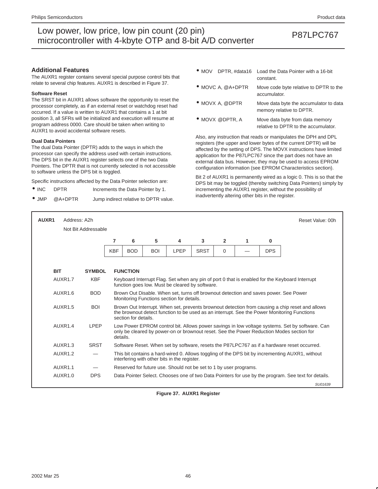#### **Additional Features**

The AUXR1 register contains several special purpose control bits that relate to several chip features. AUXR1 is described in Figure 37.

#### **Software Reset**

The SRST bit in AUXR1 allows software the opportunity to reset the processor completely, as if an external reset or watchdog reset had occurred. If a value is written to AUXR1 that contains a 1 at bit position 3, all SFRs will be initialized and execution will resume at program address 0000. Care should be taken when writing to AUXR1 to avoid accidental software resets.

#### **Dual Data Pointers**

The dual Data Pointer (DPTR) adds to the ways in which the processor can specify the address used with certain instructions. The DPS bit in the AUXR1 register selects one of the two Data Pointers. The DPTR that is not currently selected is not accessible to software unless the DPS bit is toggled.

Specific instructions affected by the Data Pointer selection are:

- INC DPTR Increments the Data Pointer by 1.
- JMP @A+DPTR Jump indirect relative to DPTR value.
- MOV DPTR, #data16 Load the Data Pointer with a 16-bit constant.
- MOVC A, @A+DPTR Move code byte relative to DPTR to the accumulator.
- MOVX A, @DPTR Move data byte the accumulator to data memory relative to DPTR.
- MOVX @DPTR, A Move data byte from data memory relative to DPTR to the accumulator.

Also, any instruction that reads or manipulates the DPH and DPL registers (the upper and lower bytes of the current DPTR) will be affected by the setting of DPS. The MOVX instructions have limited application for the P87LPC767 since the part does not have an external data bus. However, they may be used to access EPROM configuration information (see EPROM Characteristics section).

Bit 2 of AUXR1 is permanently wired as a logic 0. This is so that the DPS bit may be toggled (thereby switching Data Pointers) simply by incrementing the AUXR1 register, without the possibility of inadvertently altering other bits in the register.

| AUXR1      | Address: A2h        |               |            |                                                                                                                                                   |            |      |             |                |   |              | Reset Value: 00h                                                                                                                                                                               |  |  |
|------------|---------------------|---------------|------------|---------------------------------------------------------------------------------------------------------------------------------------------------|------------|------|-------------|----------------|---|--------------|------------------------------------------------------------------------------------------------------------------------------------------------------------------------------------------------|--|--|
|            | Not Bit Addressable |               |            |                                                                                                                                                   |            |      |             |                |   |              |                                                                                                                                                                                                |  |  |
|            |                     |               | 7          | 6                                                                                                                                                 | 5          | 4    | 3           | $\overline{2}$ | 1 | $\mathbf{0}$ |                                                                                                                                                                                                |  |  |
|            |                     |               | <b>KBF</b> | <b>BOD</b>                                                                                                                                        | <b>BOI</b> | LPEP | <b>SRST</b> | 0              |   | <b>DPS</b>   |                                                                                                                                                                                                |  |  |
|            |                     |               |            |                                                                                                                                                   |            |      |             |                |   |              |                                                                                                                                                                                                |  |  |
| <b>BIT</b> |                     | <b>SYMBOL</b> |            | <b>FUNCTION</b>                                                                                                                                   |            |      |             |                |   |              |                                                                                                                                                                                                |  |  |
|            | AUXR1.7             | <b>KBF</b>    |            | Keyboard Interrupt Flag. Set when any pin of port 0 that is enabled for the Keyboard Interrupt<br>function goes low. Must be cleared by software. |            |      |             |                |   |              |                                                                                                                                                                                                |  |  |
|            | AUXR1.6             | <b>BOD</b>    |            | Brown Out Disable. When set, turns off brownout detection and saves power. See Power<br>Monitoring Functions section for details.                 |            |      |             |                |   |              |                                                                                                                                                                                                |  |  |
|            | AUXR1.5             | <b>BOI</b>    |            | section for details.                                                                                                                              |            |      |             |                |   |              | Brown Out Interrupt. When set, prevents brownout detection from causing a chip reset and allows<br>the brownout detect function to be used as an interrupt. See the Power Monitoring Functions |  |  |
|            | AUXR1.4             | LPEP          | details.   |                                                                                                                                                   |            |      |             |                |   |              | Low Power EPROM control bit. Allows power savings in low voltage systems. Set by software. Can<br>only be cleared by power-on or brownout reset. See the Power Reduction Modes section for     |  |  |
|            | AUXR <sub>1.3</sub> | <b>SRST</b>   |            |                                                                                                                                                   |            |      |             |                |   |              | Software Reset. When set by software, resets the P87LPC767 as if a hardware reset occurred.                                                                                                    |  |  |
|            | AUXR <sub>1.2</sub> |               |            | This bit contains a hard-wired 0. Allows toggling of the DPS bit by incrementing AUXR1, without<br>interfering with other bits in the register.   |            |      |             |                |   |              |                                                                                                                                                                                                |  |  |
|            | AUXR <sub>1.1</sub> |               |            | Reserved for future use. Should not be set to 1 by user programs.                                                                                 |            |      |             |                |   |              |                                                                                                                                                                                                |  |  |
|            | AUXR <sub>1.0</sub> | <b>DPS</b>    |            |                                                                                                                                                   |            |      |             |                |   |              | Data Pointer Select. Chooses one of two Data Pointers for use by the program. See text for details.                                                                                            |  |  |
|            |                     |               |            |                                                                                                                                                   |            |      |             |                |   |              | SU01639                                                                                                                                                                                        |  |  |

**Figure 37. AUXR1 Register**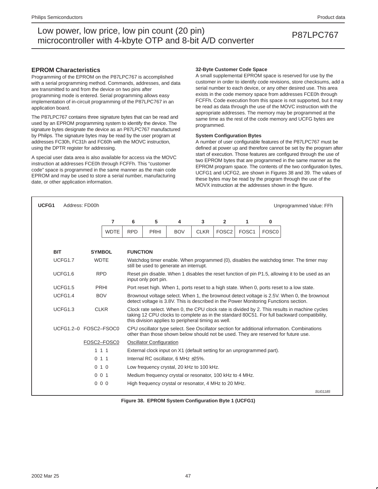### **EPROM Characteristics**

Programming of the EPROM on the P87LPC767 is accomplished with a serial programming method. Commands, addresses, and data are transmitted to and from the device on two pins after programming mode is entered. Serial programming allows easy implementation of in-circuit programming of the P87LPC767 in an application board.

The P87LPC767 contains three signature bytes that can be read and used by an EPROM programming system to identify the device. The signature bytes designate the device as an P87LPC767 manufactured by Philips. The signature bytes may be read by the user program at addresses FC30h, FC31h and FC60h with the MOVC instruction, using the DPTR register for addressing.

A special user data area is also available for access via the MOVC instruction at addresses FCE0h through FCFFh. This "customer code" space is programmed in the same manner as the main code EPROM and may be used to store a serial number, manufacturing date, or other application information.

#### **32-Byte Customer Code Space**

A small supplemental EPROM space is reserved for use by the customer in order to identify code revisions, store checksums, add a serial number to each device, or any other desired use. This area exists in the code memory space from addresses FCE0h through FCFFh. Code execution from this space is not supported, but it may be read as data through the use of the MOVC instruction with the appropriate addresses. The memory may be programmed at the same time as the rest of the code memory and UCFG bytes are programmed.

### **System Configuration Bytes**

A number of user configurable features of the P87LPC767 must be defined at power up and therefore cannot be set by the program after start of execution. Those features are configured through the use of two EPROM bytes that are programmed in the same manner as the EPROM program space. The contents of the two configuration bytes, UCFG1 and UCFG2, are shown in Figures 38 and 39. The values of these bytes may be read by the program through the use of the MOVX instruction at the addresses shown in the figure.

| UCFG1 |                       | Address: FD00h |                |                                                                                                                                                                                    |                                 |                                                                        |             |                   |                   |                   | Unprogrammed Value: FFh                                                                                                                                                                      |
|-------|-----------------------|----------------|----------------|------------------------------------------------------------------------------------------------------------------------------------------------------------------------------------|---------------------------------|------------------------------------------------------------------------|-------------|-------------------|-------------------|-------------------|----------------------------------------------------------------------------------------------------------------------------------------------------------------------------------------------|
|       |                       |                | 7              | 6                                                                                                                                                                                  | 5                               | 4                                                                      | 3           | $\overline{2}$    | 1                 | 0                 |                                                                                                                                                                                              |
|       |                       |                | <b>WDTE</b>    | <b>RPD</b>                                                                                                                                                                         | PRHI                            | <b>BOV</b>                                                             | <b>CLKR</b> | FOSC <sub>2</sub> | FOSC <sub>1</sub> | FOSC <sub>0</sub> |                                                                                                                                                                                              |
|       |                       |                |                |                                                                                                                                                                                    |                                 |                                                                        |             |                   |                   |                   |                                                                                                                                                                                              |
|       | <b>BIT</b>            | <b>SYMBOL</b>  |                | <b>FUNCTION</b>                                                                                                                                                                    |                                 |                                                                        |             |                   |                   |                   |                                                                                                                                                                                              |
|       | UCFG1.7               | <b>WDTE</b>    |                |                                                                                                                                                                                    |                                 | still be used to generate an interrupt.                                |             |                   |                   |                   | Watchdog timer enable. When programmed (0), disables the watchdog timer. The timer may                                                                                                       |
|       | UCFG1.6               | <b>RPD</b>     |                |                                                                                                                                                                                    | input only port pin.            |                                                                        |             |                   |                   |                   | Reset pin disable. When 1 disables the reset function of pin P1.5, allowing it to be used as an                                                                                              |
|       | UCFG1.5               |                | PRHI           | Port reset high. When 1, ports reset to a high state. When 0, ports reset to a low state.                                                                                          |                                 |                                                                        |             |                   |                   |                   |                                                                                                                                                                                              |
|       | UCFG1.4<br><b>BOV</b> |                |                | Brownout voltage select. When 1, the brownout detect voltage is 2.5V. When 0, the brownout<br>detect voltage is 3.8V. This is described in the Power Monitoring Functions section. |                                 |                                                                        |             |                   |                   |                   |                                                                                                                                                                                              |
|       | UCFG1.3               | <b>CLKR</b>    |                |                                                                                                                                                                                    |                                 | this division applies to peripheral timing as well.                    |             |                   |                   |                   | Clock rate select. When 0, the CPU clock rate is divided by 2. This results in machine cycles<br>taking 12 CPU clocks to complete as in the standard 80C51. For full backward compatibility, |
|       | UCFG1.2-0 FOSC2-FSOC0 |                |                |                                                                                                                                                                                    |                                 |                                                                        |             |                   |                   |                   | CPU oscillator type select. See Oscillator section for additional information. Combinations<br>other than those shown below should not be used. They are reserved for future use.            |
|       |                       | FOSC2-FOSC0    |                |                                                                                                                                                                                    | <b>Oscillator Configuration</b> |                                                                        |             |                   |                   |                   |                                                                                                                                                                                              |
|       |                       | 111            |                |                                                                                                                                                                                    |                                 | External clock input on X1 (default setting for an unprogrammed part). |             |                   |                   |                   |                                                                                                                                                                                              |
|       |                       | $\Omega$       | 1 <sub>1</sub> |                                                                                                                                                                                    |                                 | Internal RC oscillator, 6 MHz ±25%.                                    |             |                   |                   |                   |                                                                                                                                                                                              |
|       |                       | 010            |                |                                                                                                                                                                                    |                                 | Low frequency crystal, 20 kHz to 100 kHz.                              |             |                   |                   |                   |                                                                                                                                                                                              |
|       |                       | 001            |                |                                                                                                                                                                                    |                                 | Medium frequency crystal or resonator, 100 kHz to 4 MHz.               |             |                   |                   |                   |                                                                                                                                                                                              |
|       |                       | 000            |                |                                                                                                                                                                                    |                                 | High frequency crystal or resonator, 4 MHz to 20 MHz.                  |             |                   |                   |                   |                                                                                                                                                                                              |
|       |                       |                |                |                                                                                                                                                                                    |                                 |                                                                        |             |                   |                   |                   | SU01185                                                                                                                                                                                      |

**Figure 38. EPROM System Configuration Byte 1 (UCFG1)**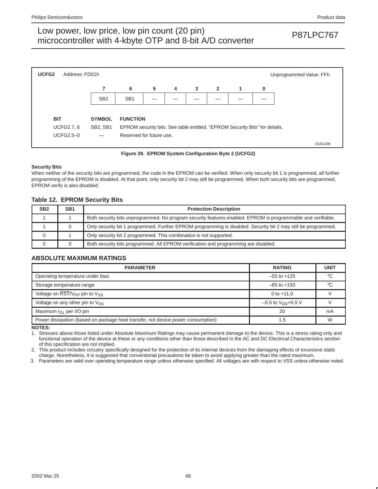

**Figure 39. EPROM System Configuration Byte 2 (UCFG2)**

#### **Security Bits**

When neither of the security bits are programmed, the code in the EPROM can be verified. When only security bit 1 is programmed, all further programming of the EPROM is disabled. At that point, only security bit 2 may still be programmed. When both security bits are programmed, EPROM verify is also disabled.

### **Table 12. EPROM Security Bits**

| SB <sub>2</sub> | SB <sub>1</sub> | <b>Protection Description</b>                                                                                  |
|-----------------|-----------------|----------------------------------------------------------------------------------------------------------------|
|                 |                 | Both security bits unprogrammed. No program security features enabled. EPROM is programmable and verifiable.   |
|                 |                 | Only security bit 1 programmed. Further EPROM programming is disabled. Security bit 2 may still be programmed. |
|                 |                 | Only security bit 2 programmed. This combination is not supported.                                             |
|                 |                 | Both security bits programmed. All EPROM verification and programming are disabled.                            |

### **ABSOLUTE MAXIMUM RATINGS**

| <b>PARAMETER</b>                                                                 | <b>RATING</b>             | <b>UNIT</b> |
|----------------------------------------------------------------------------------|---------------------------|-------------|
| Operating temperature under bias                                                 | $-55$ to $+125$           |             |
| Storage temperature range                                                        | $-65$ to $+150$           | $\circ$     |
| Voltage on $\overline{\text{RST}}/V_{\text{PP}}$ pin to $V_{SS}$                 | 0 to $+11.0$              |             |
| Voltage on any other pin to $V_{SS}$                                             | $-0.5$ to $V_{DD}$ +0.5 V |             |
| Maximum $I_{\Omega}$ per I/O pin                                                 | 20                        | mA          |
| Power dissipation (based on package heat transfer, not device power consumption) | 1.5                       | W           |

**NOTES:**

1. Stresses above those listed under Absolute Maximum Ratings may cause permanent damage to the device. This is a stress rating only and functional operation of the device at these or any conditions other than those described in the AC and DC Electrical Characteristics section of this specification are not implied.

2. This product includes circuitry specifically designed for the protection of its internal devices from the damaging effects of excessive static charge. Nonetheless, it is suggested that conventional precautions be taken to avoid applying greater than the rated maximum.

3. Parameters are valid over operating temperature range unless otherwise specified. All voltages are with respect to VSS unless otherwise noted.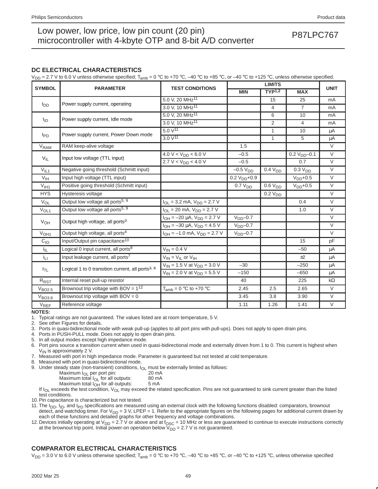### **DC ELECTRICAL CHARACTERISTICS**

 $V_{\text{DD}}$  = 2.7 V to 6.0 V unless otherwise specified;  $T_{\text{amb}}$  = 0 °C to +70 °C, –40 °C to +85 °C, or –40 °C to +125 °C, unless otherwise specified.

|                        |                                                              |                                         |                     | <b>UNIT</b>         |                     |                |
|------------------------|--------------------------------------------------------------|-----------------------------------------|---------------------|---------------------|---------------------|----------------|
| <b>SYMBOL</b>          | <b>PARAMETER</b>                                             | <b>TEST CONDITIONS</b>                  | <b>MIN</b>          | TYP <sup>1,2</sup>  | <b>MAX</b>          |                |
|                        |                                                              | 5.0 V, 20 MHz <sup>11</sup>             |                     | 15                  | 25                  | mA             |
| $I_{DD}$               | Power supply current, operating                              | 3.0 V, 10 MHz <sup>11</sup>             |                     | $\overline{4}$      | $\overline{7}$      | mA             |
|                        |                                                              | 5.0 V, 20 MHz <sup>11</sup>             |                     | 6                   | 10                  | mA             |
| <sup>1</sup> ID        | Power supply current, Idle mode                              | 3.0 V, 10 MHz <sup>11</sup>             |                     | 2                   | $\overline{4}$      | mA             |
|                        |                                                              | $5.0 \sqrt{11}$                         |                     | $\mathbf{1}$        | 10                  | μA             |
| $I_{PD}$               | Power supply current, Power Down mode                        | 3.0 V <sup>11</sup>                     |                     | 1                   | 5                   | μA             |
| <b>V<sub>RAM</sub></b> | RAM keep-alive voltage                                       |                                         | 1.5                 |                     |                     | $\vee$         |
|                        |                                                              | 4.0 V < $V_{DD}$ < 6.0 V                | $-0.5$              |                     | $0.2 V_{DD} - 0.1$  | $\vee$         |
| $V_{IL}$               | Input low voltage (TTL input)                                | 2.7 V < V <sub>DD</sub> < 4.0 V         | $-0.5$              |                     | 0.7                 | $\overline{V}$ |
| $V_{IL1}$              | Negative going threshold (Schmitt input)                     |                                         | $-0.5 VDD$          | 0.4 V <sub>DD</sub> | 0.3 V <sub>DD</sub> | $\vee$         |
| V <sub>IH</sub>        | Input high voltage (TTL input)                               |                                         | $0.2 VDD+0.9$       |                     | $VDD+0.5$           | $\vee$         |
| V <sub>HH1</sub>       | Positive going threshold (Schmitt input)                     |                                         | 0.7 V <sub>DD</sub> | 0.6 V <sub>DD</sub> | $VDD+0.5$           | $\vee$         |
| <b>HYS</b>             | Hysteresis voltage                                           |                                         |                     | 0.2 V <sub>DD</sub> |                     | $\vee$         |
| $V_{OL}$               | Output low voltage all ports <sup>5, 9</sup>                 | $I_{OL}$ = 3.2 mA, $V_{DD}$ = 2.7 V     |                     |                     | 0.4                 | $\vee$         |
| $V_{OL1}$              | Output low voltage all ports <sup>5, 9</sup>                 | $I_{OL}$ = 20 mA, $V_{DD}$ = 2.7 V      |                     |                     | 1.0                 | $\vee$         |
|                        |                                                              | $I_{OH} = -20 \mu A$ , $V_{DD} = 2.7 V$ | $VDD - 0.7$         |                     |                     | $\vee$         |
| V <sub>OH</sub>        | Output high voltage, all ports <sup>3</sup>                  | $I_{OH} = -30 \mu A$ , $V_{DD} = 4.5 V$ | $VDD - 0.7$         |                     |                     | $\vee$         |
| V <sub>OH1</sub>       | Output high voltage, all ports <sup>4</sup>                  | $I_{OH} = -1.0$ mA, $V_{DD} = 2.7$ V    | $VDD - 0.7$         |                     |                     | $\vee$         |
| $C_{10}$               | Input/Output pin capacitance <sup>10</sup>                   |                                         |                     |                     | 15                  | pF             |
| I <sub>IL</sub>        | Logical 0 input current, all ports <sup>8</sup>              | $V_{IN} = 0.4 V$                        |                     |                     | $-50$               | μA             |
| Īц                     | Input leakage current, all ports <sup>7</sup>                | $V_{IN} = V_{IL}$ or $V_{IH}$           |                     |                     | ±2                  | μA             |
|                        |                                                              | $V_{IN}$ = 1.5 V at $V_{DD}$ = 3.0 V    | $-30$               |                     | $-250$              | μA             |
| I <sub>TL</sub>        | Logical 1 to 0 transition current, all ports <sup>3, 6</sup> | $V_{1N}$ = 2.0 V at $V_{DD}$ = 5.5 V    | $-150$              |                     | $-650$              | μA             |
| $R_{\tiny\mbox{RST}}$  | Internal reset pull-up resistor                              |                                         | 40                  |                     | 225                 | $k\Omega$      |
| V <sub>BO2.5</sub>     | Brownout trip voltage with BOV = $1^{12}$                    | $T_{amb} = 0$ °C to +70 °C              | 2.45                | 2.5                 | 2.65                | $\vee$         |
| V <sub>BO3.8</sub>     | Brownout trip voltage with $BOV = 0$                         |                                         | 3.45                | 3.8                 | 3.90                | $\vee$         |
| <b>VREF</b>            | Reference voltage                                            |                                         | 1.11                | 1.26                | 1.41                | $\vee$         |

**NOTES:**

1. Typical ratings are not guaranteed. The values listed are at room temperature, 5 V.

2. See other Figures for details.

3. Ports in quasi-bidirectional mode with weak pull-up (applies to all port pins with pull-ups). Does not apply to open drain pins.

4. Ports in PUSH-PULL mode. Does not apply to open drain pins.

5. In all output modes except high impedance mode.

6. Port pins source a transition current when used in quasi-bidirectional mode and externally driven from 1 to 0. This current is highest when  $V_{IN}$  is approximately 2 V.

7. Measured with port in high impedance mode. Parameter is guaranteed but not tested at cold temperature.

8. Measured with port in quasi-bidirectional mode.

9. Under steady state (non-transient) conditions,  $I_{OL}$  must be externally limited as follows:<br>Maximum  $I_{OL}$  per port pin: 20 mA

Maximum  $I_{OL}$  per port pin:  $20 \text{ mA}$ <br>Maximum total  $I_{OL}$  for all outputs:  $80 \text{ mA}$ Maximum total  $I_{OL}$  for all outputs: 80 m/<br>Maximum total  $I_{OH}$  for all outputs: 5 mA

Maximum total  $I_{OH}$  for all outputs:

If  $I_{OL}$  exceeds the test condition,  $V_{OL}$  may exceed the related specification. Pins are not guaranteed to sink current greater than the listed test conditions.

10. Pin capacitance is characterized but not tested.

- 11. The  $I_{DD}$ ,  $I_{ID}$ , and  $I_{PD}$  specifications are measured using an external clock with the following functions disabled: comparators, brownout detect, and watchdog timer. For  $V_{DD} = 3$  V, LPEP = 1. Refer to the appropriate figures on the following pages for additional current drawn by each of these functions and detailed graphs for other frequency and voltage combinations.
- 12. Devices initially operating at  $V_{DD} = 2.7$  V or above and at  $f_{OSC} = 10$  MHz or less are guaranteed to continue to execute instructions correctly at the brownout trip point. Initial power-on operation below  $V_{DD} = 2.7 V$  is not guaranteed.

### **COMPARATOR ELECTRICAL CHARACTERISTICS**

 $V_{\text{DD}}$  = 3.0 V to 6.0 V unless otherwise specified;  $T_{\text{amb}}$  = 0 °C to +70 °C, –40 °C to +85 °C, or –40 °C to +125 °C, unless otherwise specified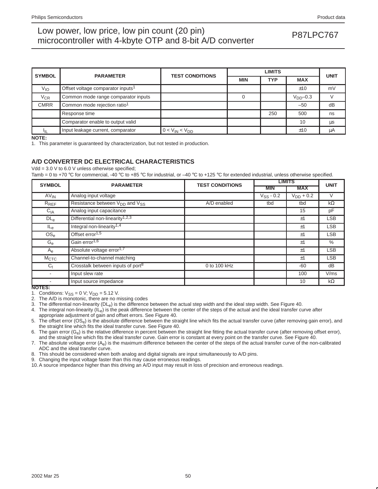| <b>SYMBOL</b> | <b>PARAMETER</b>                              | <b>TEST CONDITIONS</b> |            | <b>UNIT</b> |            |    |
|---------------|-----------------------------------------------|------------------------|------------|-------------|------------|----|
|               |                                               |                        | <b>MIN</b> | TYP         | <b>MAX</b> |    |
| $V_{IO}$      | Offset voltage comparator inputs <sup>1</sup> |                        |            |             | ±10        | mV |
| $V_{CR}$      | Common mode range comparator inputs           |                        |            |             | $VDD-0.3$  |    |
| <b>CMRR</b>   | Common mode rejection ratio <sup>1</sup>      |                        |            |             | $-50$      | dB |
|               | Response time                                 |                        |            | 250         | 500        | ns |
|               | Comparator enable to output valid             |                        |            |             | 10         | μs |
| Ιщ            | Input leakage current, comparator             | $0 < V_{IN} < V_{DD}$  |            |             | ±10        | μA |

**NOTE:**

1. This parameter is guaranteed by characterization, but not tested in production.

### **A/D CONVERTER DC ELECTRICAL CHARACTERISTICS**

 $Vdd = 3.0 V$  to 6.0 V unless otherwise specified;

Tamb = 0 to +70 °C for commercial, -40 °C to +85 °C for industrial, or -40 °C to +125 °C for extended industrial, unless otherwise specified.

| <b>SYMBOL</b>            | <b>PARAMETER</b>                              | <b>TEST CONDITIONS</b> | <b>LIMITS</b>  | <b>UNIT</b>    |            |
|--------------------------|-----------------------------------------------|------------------------|----------------|----------------|------------|
|                          |                                               |                        | <b>MIN</b>     | <b>MAX</b>     |            |
| $AV_{IN}$                | Analog input voltage                          |                        | $V_{SS} - 0.2$ | $V_{DD} + 0.2$ | $\vee$     |
| $R_{REF}$                | Resistance between $V_{DD}$ and $V_{SS}$      | A/D enabled            | tbd            | tbd            | $k\Omega$  |
| $C_{\text{IA}}$          | Analog input capacitance                      |                        |                | 15             | pF         |
| DL <sub>e</sub>          | Differential non-linearity <sup>1,2,3</sup>   |                        |                | ±1             | <b>LSB</b> |
| $IL_{e}$                 | Integral non-linearity <sup>1,4</sup>         |                        |                | ±1             | <b>LSB</b> |
| OS <sub>e</sub>          | Offset error <sup>1,5</sup>                   |                        |                | ±1             | <b>LSB</b> |
| $G_e$                    | Gain error <sup>1,6</sup>                     |                        |                | ±1             | $\%$       |
| $A_{e}$                  | Absolute voltage error <sup>1,7</sup>         |                        |                | ±1             | <b>LSB</b> |
| M <sub>CTC</sub>         | Channel-to-channel matching                   |                        |                | ±1             | <b>LSB</b> |
| $C_{\dagger}$            | Crosstalk between inputs of port <sup>8</sup> | 0 to 100 kHz           |                | $-60$          | dB         |
| $\overline{\phantom{a}}$ | Input slew rate                               |                        |                | 100            | V/ms       |
| NOTES.                   | Input source impedance                        |                        |                | 10             | $k\Omega$  |

**NOTES:**

1. Conditions:  $V_{SS} = 0$  V;  $V_{DD} = 5.12$  V.

2. The A/D is monotonic, there are no missing codes

3. The differential non-linearity (DLe) is the difference between the actual step width and the ideal step width. See Figure 40.

4. The integral non-linearity  $(I_{\text{e}})$  is the peak difference between the center of the steps of the actual and the ideal transfer curve after appropriate adjustment of gain and offset errors. See Figure 40.

5. The offset error (OS<sub>e</sub>) is the absolute difference between the straight line which fits the actual transfer curve (after removing gain error), and the straight line which fits the ideal transfer curve. See Figure 40.

6. The gain error  $(G_e)$  is the relative difference in percent between the straight line fitting the actual transfer curve (after removing offset error), and the straight line which fits the ideal transfer curve. Gain error is constant at every point on the transfer curve. See Figure 40.

7. The absolute voltage error (A<sub>e</sub>) is the maximum difference between the center of the steps of the actual transfer curve of the non-calibrated ADC and the ideal transfer curve.

8. This should be considered when both analog and digital signals are input simultaneously to A/D pins.

9. Changing the input voltage faster than this may cause erroneous readings.

10. A source impedance higher than this driving an A/D input may result in loss of precision and erroneous readings.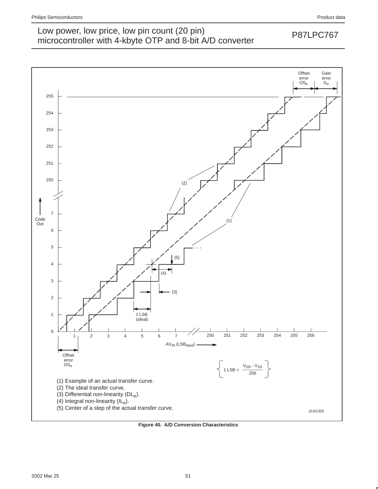

**Figure 40. A/D Conversion Characteristics**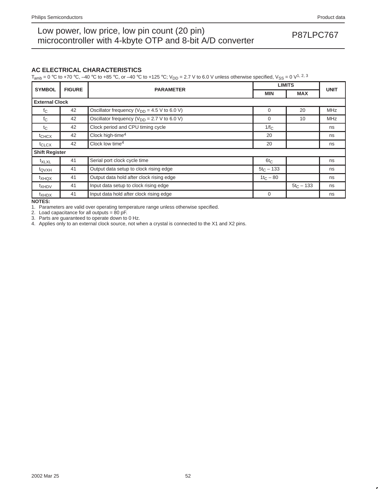### **AC ELECTRICAL CHARACTERISTICS**

 $T_{amb} = 0$  °C to +70 °C, -40 °C to +85 °C, or -40 °C to +125 °C;  $V_{DD} = 2.7$  V to 6.0 V unless otherwise specified,  $V_{SS} = 0$  V<sup>1, 2, 3</sup>

| <b>SYMBOL</b>         | <b>FIGURE</b> |                                                   | <b>LIMITS</b> |              |             |
|-----------------------|---------------|---------------------------------------------------|---------------|--------------|-------------|
|                       |               | <b>PARAMETER</b>                                  | <b>MIN</b>    | <b>MAX</b>   | <b>UNIT</b> |
| <b>External Clock</b> |               |                                                   |               |              |             |
| $f_{\rm C}$           | 42            | Oscillator frequency ( $V_{DD}$ = 4.5 V to 6.0 V) | $\Omega$      | 20           | <b>MHz</b>  |
| $f_{\rm C}$           | 42            | Oscillator frequency ( $V_{DD}$ = 2.7 V to 6.0 V) | $\Omega$      | 10           | <b>MHz</b>  |
| $t_{\rm C}$           | 42            | Clock period and CPU timing cycle                 | $1/f_C$       |              | ns          |
| $t_{CHCX}$            | 42            | Clock high-time <sup>4</sup>                      | 20            |              | ns          |
| t <sub>CLCX</sub>     | 42            | Clock low time <sup>4</sup>                       | 20            |              | ns          |
| <b>Shift Register</b> |               |                                                   |               |              |             |
| t <sub>XLXL</sub>     | 41            | Serial port clock cycle time                      | $6t_C$        |              | ns          |
| $t_{\text{QVXH}}$     | 41            | Output data setup to clock rising edge            | $5t_C - 133$  |              | ns          |
| $t_{XHQX}$            | 41            | Output data hold after clock rising edge          | $1t_C - 80$   |              | ns          |
| <sup>t</sup> XHDV     | 41            | Input data setup to clock rising edge             |               | $5t_C - 133$ | ns          |
| $t_{XHDX}$            | 41            | Input data hold after clock rising edge           | $\Omega$      |              | ns          |

**NOTES:**

1. Parameters are valid over operating temperature range unless otherwise specified.

2. Load capacitance for all outputs =  $80$  pF.

3. Parts are guaranteed to operate down to 0 Hz.

4. Applies only to an external clock source, not when a crystal is connected to the X1 and X2 pins.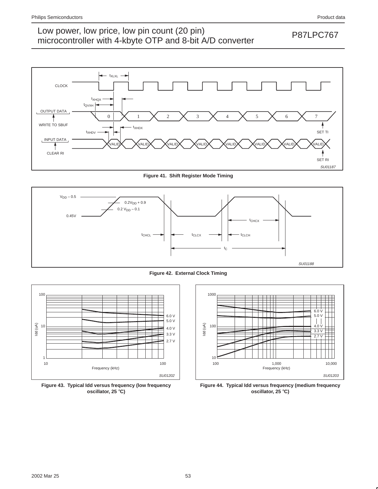

**Figure 41. Shift Register Mode Timing**



**Figure 42. External Clock Timing**



**Figure 43. Typical Idd versus frequency (low frequency oscillator, 25** °**C)**



**Figure 44. Typical Idd versus frequency (medium frequency oscillator, 25** °**C)**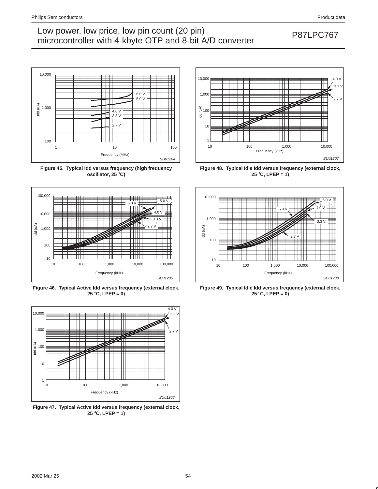

**Figure 45. Typical Idd versus frequency (high frequency oscillator, 25** °**C)**



**Figure 46. Typical Active Idd versus frequency (external clock, 25** °**C, LPEP = 0)**



**Figure 47. Typical Active Idd versus frequency (external clock, 25** °**C, LPEP = 1)**



**Figure 48. Typical Idle Idd versus frequency (external clock, 25** °**C, LPEP = 1)**



**Figure 49. Typical Idle Idd versus frequency (external clock, 25** °**C, LPEP = 0)**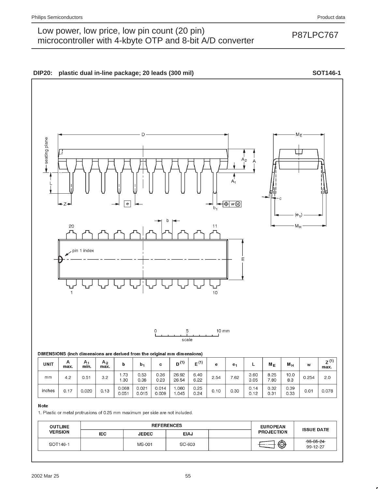#### 2002 Mar 25 55





| -4-    |      |                                                                       |  |                                                                      |  |              |      |
|--------|------|-----------------------------------------------------------------------|--|----------------------------------------------------------------------|--|--------------|------|
| inches | 0.17 | $\begin{array}{ c c c c c } \hline 0.020 & 0.13 \ \hline \end{array}$ |  | $0.068$   0.021   0.014   1.060  <br>$0.051$   0.015   0.009   1.045 |  | 0.25<br>0.24 | 0.10 |

Note

1. Plastic or metal protrusions of 0.25 mm maximum per side are not included.

| <b>OUTLINE</b><br><b>VERSION</b> |            | <b>REFERENCES</b> | <b>EUROPEAN</b> | <b>ISSUE DATE</b> |                   |                             |
|----------------------------------|------------|-------------------|-----------------|-------------------|-------------------|-----------------------------|
|                                  | <b>IEC</b> | <b>JEDEC</b>      | <b>EIAJ</b>     |                   | <b>PROJECTION</b> |                             |
| SOT146-1                         |            | MS-001            | SC-603          |                   | ⊕                 | $-95 - 05 - 24$<br>99-12-27 |

 $0.14$ 

 $0.12$ 

 $0.30$ 

 $0.32$ 

 $0.31$ 

0.39

0.33

 $0.01$ 

0.078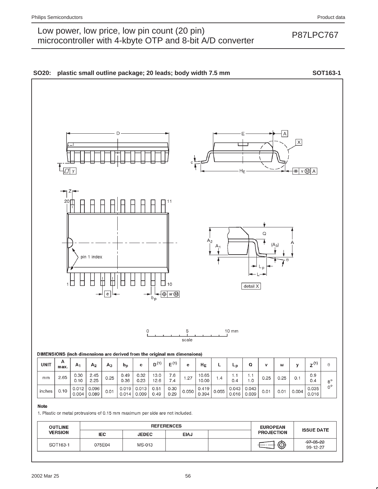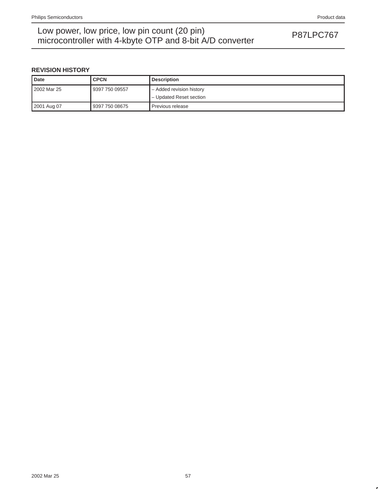## Low power, low price, low pin count (20 pin)<br>misroecantrallar with 4 kb to OTD and 8 bit A/D converter. microcontroller with 4-kbyte OTP and 8-bit A/D converter

### **REVISION HISTORY**

| <b>Date</b> | <b>CPCN</b>    | <b>Description</b>       |
|-------------|----------------|--------------------------|
| 2002 Mar 25 | 9397 750 09557 | - Added revision history |
|             |                | - Updated Reset section  |
| 2001 Aug 07 | 9397 750 08675 | Previous release         |